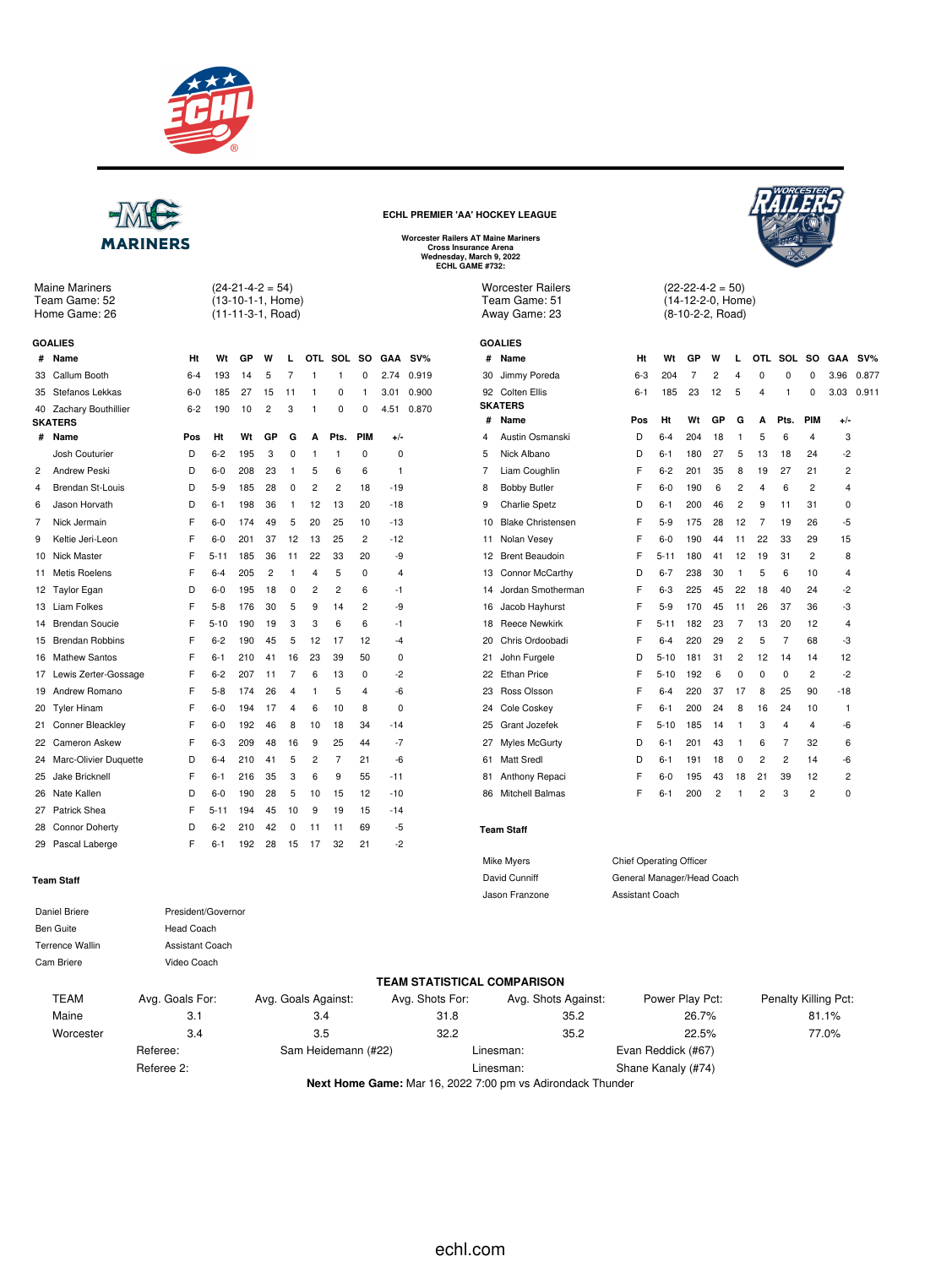

 $(24-21-4-2=54)$ (13-10-1-1, Home) (11-11-3-1, Road)



**# Name Ht Wt GP W L OTL SOL SO GAA SV%** 33 Callum Booth 6-4 193 14 5 35 Stefanos Lekkas 6-0 185 27 15 40 Zachary Bouthillier 6-2 190 10 2

**# Name Pos Ht Wt GP G A Pts. PIM +/-** Josh Couturier D 6-2 195 3 2 Andrew Peski D 6-0 208 23 4 Brendan St-Louis D 5-9 185 28 0 2 2 18 -19 6 Jason Horvath D 6-1 198 36 1 12 13 20 -18 7 Nick Jermain F 6-0 174 49 9 Keltie Jeri-Leon F 6-0 201 37 10 Nick Master F 5-11 185 36 11 Metis Roelens F 6-4 205 2 12 Taylor Egan **D** 6-0 195 18 13 Liam Folkes F 5-8 176 30 14 Brendan Soucie F 5-10 190 19 15 Brendan Robbins F 6-2 190 45 16 Mathew Santos F 6-1 210 41 17 Lewis Zerter-Gossage F 6-2 207 11 19 Andrew Romano F 5-8 174 26 20 Tyler Hinam F 6-0 194 17 21 Conner Bleackley F 6-0 192 46 22 Cameron Askew F 6-3 209 48 24 Marc-Olivier Duquette D 6-4 210 41 25 Jake Bricknell F 6-1 216 35 26 Nate Kallen **D** 6-0 190 28 27 Patrick Shea F 5-11 194 45 28 Connor Doherty **D** 6-2 210 42 29 Pascal Laberge F 6-1 192 28

Maine Mariners Team Game: 52 Home Game: 26

**GOALIES**

**SKATERS**

**Team Staff**

Daniel Briere President/Governor Ben Guite **Head Coach** Terrence Wallin **Assistant Coach** Cam Briere Video Coach

**ECHL PREMIER 'AA' HOCKEY LEAGUE Worcester Railers AT Maine Mariners**

**Cross Insurance Arena Wednesday, March 9, 2022 ECHL GAME #732:**

Worcester Railers Team Game: 51 Away Game: 23



 $(22-22-4-2=50)$  $(14-12-2-0,$  Home) (8-10-2-2, Road)

|    |     |                |            |             |                             |    | <b>GOALIES</b>           |                                |                 |                |                |                |                |      |                |                      |        |
|----|-----|----------------|------------|-------------|-----------------------------|----|--------------------------|--------------------------------|-----------------|----------------|----------------|----------------|----------------|------|----------------|----------------------|--------|
| L  | OTL | SOL SO         |            | GAA         | $SV\%$                      | #  | Name                     | Ht                             | Wt              | GP             | W              | L              | OTL            | SOL  | <b>SO</b>      | <b>GAA</b>           | $SV\%$ |
| 7  | 1   | 1              | 0          | 2.74        | 0.919                       | 30 | Jimmy Poreda             | $6 - 3$                        | 204             | $\overline{7}$ | $\overline{2}$ | 4              | 0              | 0    | 0              | 3.96                 | 0.877  |
| 11 | 1   | 0              | 1          | 3.01        | 0.900                       | 92 | <b>Colten Ellis</b>      | $6 - 1$                        | 185             | 23             | 12             | 5              | $\overline{4}$ | 1    | 0              | 3.03                 | 0.911  |
| 3  | 1   | 0              | 0          | 4.51        | 0.870                       |    | <b>SKATERS</b>           |                                |                 |                |                |                |                |      |                |                      |        |
|    |     |                |            |             |                             | #  | Name                     | Pos                            | Ht              | Wt             | GP             | G              | Α              | Pts. | <b>PIM</b>     | $+/-$                |        |
| G  | Α   | Pts.           | <b>PIM</b> | $+/-$       |                             | 4  | Austin Osmanski          | D                              | $6 - 4$         | 204            | 18             | 1              | 5              | 6    | 4              | 3                    |        |
| 0  | 1   | 1              | 0          | 0           |                             | 5  | Nick Albano              | D                              | $6 - 1$         | 180            | 27             | 5              | 13             | 18   | 24             | $-2$                 |        |
| 1  | 5   | 6              | 6          | 1           |                             | 7  | Liam Coughlin            | F                              | $6 - 2$         | 201            | 35             | 8              | 19             | 27   | 21             | 2                    |        |
| 0  | 2   | $\overline{c}$ | 18         | $-19$       |                             | 8  | <b>Bobby Butler</b>      | F                              | $6 - 0$         | 190            | 6              | $\overline{c}$ | $\overline{4}$ | 6    | 2              | 4                    |        |
| 1  | 12  | 13             | 20         | $-18$       |                             | 9  | <b>Charlie Spetz</b>     | D                              | $6 - 1$         | 200            | 46             | 2              | 9              | 11   | 31             | 0                    |        |
| 5  | 20  | 25             | 10         | $-13$       |                             | 10 | <b>Blake Christensen</b> | F                              | $5-9$           | 175            | 28             | 12             | 7              | 19   | 26             | -5                   |        |
| 12 | 13  | 25             | 2          | $-12$       |                             | 11 | Nolan Vesey              | F                              | $6-0$           | 190            | 44             | 11             | 22             | 33   | 29             | 15                   |        |
| 11 | 22  | 33             | 20         | -9          |                             | 12 | <b>Brent Beaudoin</b>    | F                              | 5-11            | 180            | 41             | 12             | 19             | 31   | 2              | 8                    |        |
| 1  | 4   | 5              | 0          | 4           |                             | 13 | Connor McCarthy          | D                              | $6 - 7$         | 238            | 30             | 1              | 5              | 6    | 10             | 4                    |        |
| 0  | 2   | 2              | 6          | -1          |                             | 14 | Jordan Smotherman        | F                              | $6 - 3$         | 225            | 45             | 22             | 18             | 40   | 24             | -2                   |        |
| 5  | 9   | 14             | 2          | -9          |                             | 16 | Jacob Hayhurst           | F                              | $5-9$           | 170            | 45             | 11             | 26             | 37   | 36             | -3                   |        |
| 3  | 3   | 6              | 6          | $-1$        |                             | 18 | <b>Reece Newkirk</b>     | F                              | $5 - 11$        | 182            | 23             | 7              | 13             | 20   | 12             | 4                    |        |
| 5  | 12  | 17             | 12         | $-4$        |                             | 20 | Chris Ordoobadi          | F                              | $6 - 4$         | 220            | 29             | 2              | 5              | 7    | 68             | -3                   |        |
| 16 | 23  | 39             | 50         | 0           |                             | 21 | John Furgele             | D                              | $5 - 10$        | 181            | 31             | $\overline{c}$ | 12             | 14   | 14             | 12                   |        |
| 7  | 6   | 13             | 0          | $-2$        |                             | 22 | <b>Ethan Price</b>       | F                              | $5 - 10$        | 192            | 6              | 0              | 0              | 0    | 2              | -2                   |        |
| 4  | 1   | 5              | 4          | $-6$        |                             | 23 | Ross Olsson              | F                              | $6 - 4$         | 220            | 37             | 17             | 8              | 25   | 90             | $-18$                |        |
| 4  | 6   | 10             | 8          | $\mathbf 0$ |                             | 24 | Cole Coskey              | F                              | $6 - 1$         | 200            | 24             | 8              | 16             | 24   | 10             | 1                    |        |
| 8  | 10  | 18             | 34         | $-14$       |                             | 25 | Grant Jozefek            | F                              | $5 - 10$        | 185            | 14             | 1              | 3              | 4    | 4              | -6                   |        |
| 16 | 9   | 25             | 44         | -7          |                             | 27 | Myles McGurty            | D                              | $6 - 1$         | 201            | 43             | 1              | 6              | 7    | 32             | 6                    |        |
| 5  | 2   | 7              | 21         | -6          |                             | 61 | <b>Matt Sredl</b>        | D                              | $6 - 1$         | 191            | 18             | 0              | $\overline{2}$ | 2    | 14             | -6                   |        |
| 3  | 6   | 9              | 55         | -11         |                             | 81 | Anthony Repaci           | F                              | $6-0$           | 195            | 43             | 18             | 21             | 39   | 12             | 2                    |        |
| 5  | 10  | 15             | 12         | $-10$       |                             | 86 | Mitchell Balmas          | F                              | $6 - 1$         | 200            | $\overline{2}$ | 1              | $\overline{2}$ | 3    | $\overline{2}$ | 0                    |        |
| 10 | 9   | 19             | 15         | $-14$       |                             |    |                          |                                |                 |                |                |                |                |      |                |                      |        |
| 0  | 11  | 11             | 69         | -5          |                             |    | <b>Team Staff</b>        |                                |                 |                |                |                |                |      |                |                      |        |
| 15 | 17  | 32             | 21         | $-2$        |                             |    |                          |                                |                 |                |                |                |                |      |                |                      |        |
|    |     |                |            |             |                             |    | Mike Myers               | <b>Chief Operating Officer</b> |                 |                |                |                |                |      |                |                      |        |
|    |     |                |            |             |                             |    | David Cunniff            | General Manager/Head Coach     |                 |                |                |                |                |      |                |                      |        |
|    |     |                |            |             |                             |    | Jason Franzone           | Assistant Coach                |                 |                |                |                |                |      |                |                      |        |
|    |     |                |            |             |                             |    |                          |                                |                 |                |                |                |                |      |                |                      |        |
|    |     |                |            |             | TEAM STATISTICAL COMPARISON |    |                          |                                |                 |                |                |                |                |      |                |                      |        |
|    |     | Goals Against: |            |             | Avg. Shots For:             |    | Avg. Shots Against:      |                                | Power Play Pct: |                |                |                |                |      |                | Penalty Killing Pct: |        |
|    | 3.4 |                |            |             | 31.8                        |    | 35.2                     |                                |                 | 26.7%          |                |                |                |      |                | 81.1%                |        |
|    | 3.5 |                |            |             | 32.2                        |    | 35.2                     |                                |                 | 22.5%          |                |                |                |      |                | 77.0%                |        |

TEAM Avg. Goals For: Avg. Maine 3.1 3.4 31.8 35.2 26.7% 81.1% 81.1% Worcester 3.4 3.5 32.2 35.2 22.5% 77.0% Referee: Sam Heidemann (#22) Linesman: Evan Reddick (#67) Referee 2: Channel Kanaly (#74) **Channel Kanaly (#74)** Linesman: Shane Kanaly (#74) **Next Home Game:** Mar 16, 2022 7:00 pm vs Adirondack Thunder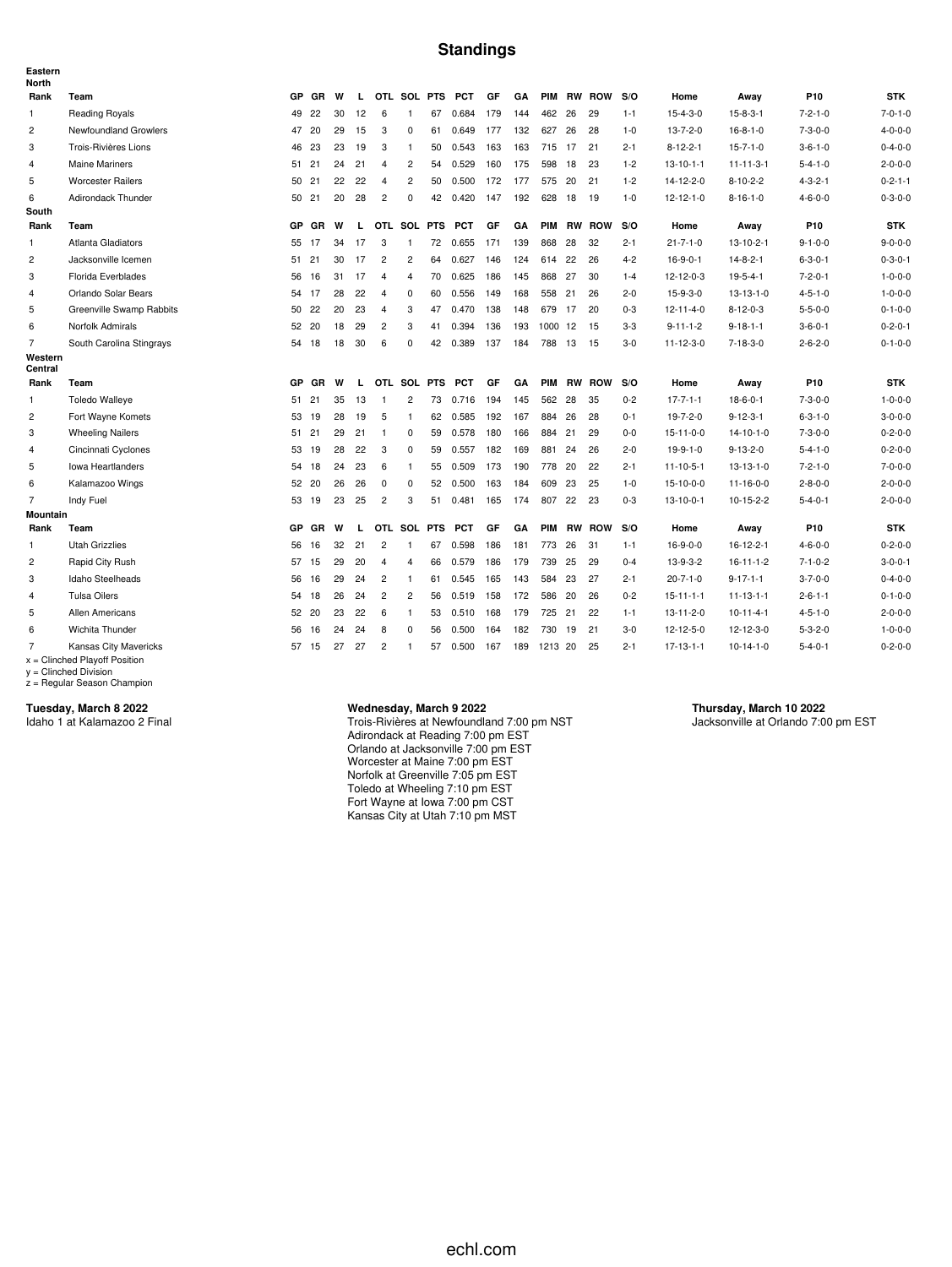## **Standings**

| Eastern<br><b>North</b> |                                                          |           |       |    |    |                |                |    |            |     |     |            |           |               |         |                   |                   |                 |                 |
|-------------------------|----------------------------------------------------------|-----------|-------|----|----|----------------|----------------|----|------------|-----|-----|------------|-----------|---------------|---------|-------------------|-------------------|-----------------|-----------------|
| Rank                    | Team                                                     | GP        | GR    | W  | L  |                | OTL SOL PTS    |    | <b>PCT</b> | GF  | GA  | <b>PIM</b> |           | <b>RW ROW</b> | S/O     | Home              | Away              | P10             | <b>STK</b>      |
| $\mathbf{1}$            | <b>Reading Royals</b>                                    | 49        | 22    | 30 | 12 | 6              | $\mathbf{1}$   | 67 | 0.684      | 179 | 144 | 462        | 26        | 29            | $1 - 1$ | $15 - 4 - 3 - 0$  | $15 - 8 - 3 - 1$  | $7 - 2 - 1 - 0$ | $7 - 0 - 1 - 0$ |
| $\overline{c}$          | Newfoundland Growlers                                    | 47        | 20    | 29 | 15 | 3              | 0              | 61 | 0.649      | 177 | 132 | 627        | 26        | 28            | $1 - 0$ | $13 - 7 - 2 - 0$  | $16 - 8 - 1 - 0$  | $7 - 3 - 0 - 0$ | $4 - 0 - 0 - 0$ |
| 3                       | Trois-Rivières Lions                                     |           | 46 23 | 23 | 19 | 3              | $\mathbf{1}$   | 50 | 0.543      | 163 | 163 | 715 17     |           | 21            | $2 - 1$ | $8 - 12 - 2 - 1$  | $15 - 7 - 1 - 0$  | $3 - 6 - 1 - 0$ | $0 - 4 - 0 - 0$ |
| 4                       | <b>Maine Mariners</b>                                    |           | 51 21 | 24 | 21 | $\overline{4}$ | 2              | 54 | 0.529      | 160 | 175 | 598        | 18        | 23            | $1 - 2$ | $13 - 10 - 1 - 1$ | $11 - 11 - 3 - 1$ | $5 - 4 - 1 - 0$ | $2 - 0 - 0 - 0$ |
| 5                       | <b>Worcester Railers</b>                                 |           | 50 21 | 22 | 22 | 4              | 2              | 50 | 0.500      | 172 | 177 | 575 20     |           | 21            | $1 - 2$ | 14-12-2-0         | $8 - 10 - 2 - 2$  | $4 - 3 - 2 - 1$ | $0 - 2 - 1 - 1$ |
| 6                       | Adirondack Thunder                                       |           | 50 21 | 20 | 28 | $\overline{2}$ | 0              | 42 | 0.420      | 147 | 192 | 628        | 18        | 19            | $1 - 0$ | $12 - 12 - 1 - 0$ | $8 - 16 - 1 - 0$  | $4 - 6 - 0 - 0$ | $0 - 3 - 0 - 0$ |
| South                   |                                                          |           |       |    |    |                |                |    |            |     |     |            |           |               |         |                   |                   |                 |                 |
| Rank                    | Team                                                     | GP        | GR    | W  | I. |                | OTL SOL PTS    |    | <b>PCT</b> | GF  | GA  | <b>PIM</b> |           | <b>RW ROW</b> | S/O     | Home              | Away              | P <sub>10</sub> | <b>STK</b>      |
| 1                       | Atlanta Gladiators                                       | 55        | 17    | 34 | 17 | 3              | $\mathbf{1}$   | 72 | 0.655      | 171 | 139 | 868        | 28        | 32            | $2 - 1$ | $21 - 7 - 1 - 0$  | $13 - 10 - 2 - 1$ | $9 - 1 - 0 - 0$ | $9 - 0 - 0 - 0$ |
| $\overline{c}$          | Jacksonville Icemen                                      |           | 51 21 | 30 | 17 | $\overline{c}$ | $\overline{2}$ | 64 | 0.627      | 146 | 124 | 614        | 22        | 26            | $4 - 2$ | $16-9-0-1$        | $14 - 8 - 2 - 1$  | $6 - 3 - 0 - 1$ | $0 - 3 - 0 - 1$ |
| 3                       | Florida Everblades                                       | 56        | 16    | 31 | 17 | 4              | $\overline{4}$ | 70 | 0.625      | 186 | 145 | 868        | 27        | 30            | $1 - 4$ | $12 - 12 - 0 - 3$ | $19 - 5 - 4 - 1$  | $7 - 2 - 0 - 1$ | $1 - 0 - 0 - 0$ |
| 4                       | Orlando Solar Bears                                      |           | 54 17 | 28 | 22 | $\overline{4}$ | 0              | 60 | 0.556      | 149 | 168 | 558 21     |           | 26            | $2 - 0$ | $15-9-3-0$        | $13 - 13 - 1 - 0$ | $4 - 5 - 1 - 0$ | $1 - 0 - 0 - 0$ |
| 5                       | Greenville Swamp Rabbits                                 |           | 50 22 | 20 | 23 | $\overline{4}$ | 3              | 47 | 0.470      | 138 | 148 | 679 17     |           | -20           | $0 - 3$ | $12 - 11 - 4 - 0$ | $8 - 12 - 0 - 3$  | $5 - 5 - 0 - 0$ | $0 - 1 - 0 - 0$ |
| 6                       | Norfolk Admirals                                         |           | 52 20 | 18 | 29 | $\overline{c}$ | 3              | 41 | 0.394      | 136 | 193 | 1000 12    |           | 15            | $3 - 3$ | $9 - 11 - 1 - 2$  | $9 - 18 - 1 - 1$  | $3 - 6 - 0 - 1$ | $0 - 2 - 0 - 1$ |
| $\overline{7}$          | South Carolina Stingrays                                 |           | 54 18 | 18 | 30 | 6              | $\Omega$       | 42 | 0.389      | 137 | 184 | 788        | - 13      | 15            | $3-0$   | $11 - 12 - 3 - 0$ | $7 - 18 - 3 - 0$  | $2 - 6 - 2 - 0$ | $0 - 1 - 0 - 0$ |
| Western<br>Central      |                                                          |           |       |    |    |                |                |    |            |     |     |            |           |               |         |                   |                   |                 |                 |
| Rank                    | Team                                                     | <b>GP</b> | GR    | W  | L  |                | OTL SOL PTS    |    | <b>PCT</b> | GF  | GA  | <b>PIM</b> |           | <b>RW ROW</b> | S/O     | Home              | Away              | P <sub>10</sub> | <b>STK</b>      |
| 1                       | <b>Toledo Walleye</b>                                    | 51        | 21    | 35 | 13 | $\mathbf{1}$   | 2              | 73 | 0.716      | 194 | 145 | 562        | 28        | 35            | $0 - 2$ | $17 - 7 - 1 - 1$  | $18-6-0-1$        | $7 - 3 - 0 - 0$ | $1 - 0 - 0 - 0$ |
| $\overline{c}$          | Fort Wayne Komets                                        | 53        | 19    | 28 | 19 | 5              | $\mathbf{1}$   | 62 | 0.585      | 192 | 167 | 884        | 26        | 28            | $0 - 1$ | $19 - 7 - 2 - 0$  | $9 - 12 - 3 - 1$  | $6 - 3 - 1 - 0$ | $3 - 0 - 0 - 0$ |
| 3                       | <b>Wheeling Nailers</b>                                  | 51        | 21    | 29 | 21 | $\mathbf{1}$   | 0              | 59 | 0.578      | 180 | 166 | 884        | 21        | 29            | $0-0$   | $15-11-0-0$       | $14 - 10 - 1 - 0$ | $7 - 3 - 0 - 0$ | $0 - 2 - 0 - 0$ |
| 4                       | Cincinnati Cyclones                                      | 53        | 19    | 28 | 22 | 3              | $\mathbf 0$    | 59 | 0.557      | 182 | 169 | 881        | 24        | 26            | $2 - 0$ | $19-9-1-0$        | $9 - 13 - 2 - 0$  | $5 - 4 - 1 - 0$ | $0 - 2 - 0 - 0$ |
| 5                       | Iowa Heartlanders                                        | 54        | 18    | 24 | 23 | 6              | $\mathbf{1}$   | 55 | 0.509      | 173 | 190 | 778        | 20        | 22            | $2 - 1$ | $11 - 10 - 5 - 1$ | $13 - 13 - 1 - 0$ | $7 - 2 - 1 - 0$ | $7 - 0 - 0 - 0$ |
| 6                       | Kalamazoo Wings                                          |           | 52 20 | 26 | 26 | $\mathbf 0$    | 0              | 52 | 0.500      | 163 | 184 | 609        | 23        | 25            | $1 - 0$ | $15-10-0-0$       | $11 - 16 - 0 - 0$ | $2 - 8 - 0 - 0$ | $2 - 0 - 0 - 0$ |
| $\overline{7}$          | Indy Fuel                                                |           | 53 19 | 23 | 25 | $\overline{2}$ | 3              | 51 | 0.481      | 165 | 174 | 807        | 22        | 23            | $0 - 3$ | $13 - 10 - 0 - 1$ | $10-15-2-2$       | $5 - 4 - 0 - 1$ | $2 - 0 - 0 - 0$ |
| <b>Mountain</b>         |                                                          |           |       |    |    |                |                |    |            |     |     |            |           |               |         |                   |                   |                 |                 |
| Rank                    | Team                                                     | GP        | GR    | W  | л. | OTI            | SOL PTS        |    | <b>PCT</b> | GF  | GA  | PIM        | <b>RW</b> | <b>ROW</b>    | S/O     | Home              | Away              | P10             | <b>STK</b>      |
| $\mathbf{1}$            | <b>Utah Grizzlies</b>                                    | 56        | 16    | 32 | 21 | $\overline{c}$ | 1              | 67 | 0.598      | 186 | 181 | 773        | 26        | 31            | $1 - 1$ | $16-9-0-0$        | $16 - 12 - 2 - 1$ | $4 - 6 - 0 - 0$ | $0 - 2 - 0 - 0$ |
| $\overline{c}$          | Rapid City Rush                                          | 57        | 15    | 29 | 20 | 4              | $\overline{4}$ | 66 | 0.579      | 186 | 179 | 739        | 25        | 29            | $0 - 4$ | $13-9-3-2$        | $16 - 11 - 1 - 2$ | $7 - 1 - 0 - 2$ | $3 - 0 - 0 - 1$ |
| 3                       | Idaho Steelheads                                         | 56        | 16    | 29 | 24 | $\overline{c}$ | $\overline{1}$ | 61 | 0.545      | 165 | 143 | 584        | 23        | 27            | $2 - 1$ | $20 - 7 - 1 - 0$  | $9 - 17 - 1 - 1$  | $3 - 7 - 0 - 0$ | $0 - 4 - 0 - 0$ |
| $\overline{4}$          | <b>Tulsa Oilers</b>                                      | 54        | 18    | 26 | 24 | $\overline{c}$ | $\overline{2}$ | 56 | 0.519      | 158 | 172 | 586        | 20        | 26            | $0 - 2$ | $15 - 11 - 1 - 1$ | $11 - 13 - 1 - 1$ | $2 - 6 - 1 - 1$ | $0 - 1 - 0 - 0$ |
| 5                       | <b>Allen Americans</b>                                   | 52        | 20    | 23 | 22 | 6              | $\overline{1}$ | 53 | 0.510      | 168 | 179 | 725        | 21        | 22            | $1 - 1$ | $13 - 11 - 2 - 0$ | $10-11-4-1$       | $4 - 5 - 1 - 0$ | $2 - 0 - 0 - 0$ |
| 6                       | Wichita Thunder                                          | 56        | 16    | 24 | 24 | 8              | $\mathbf 0$    | 56 | 0.500      | 164 | 182 | 730        | 19        | 21            | $3-0$   | $12 - 12 - 5 - 0$ | 12-12-3-0         | $5 - 3 - 2 - 0$ | $1 - 0 - 0 - 0$ |
| $\overline{7}$          | Kansas City Mavericks<br>$x =$ Clinched Playoff Position |           | 57 15 | 27 | 27 | $\overline{c}$ | 1              | 57 | 0.500      | 167 | 189 | 1213 20    |           | 25            | $2 - 1$ | $17 - 13 - 1 - 1$ | $10-14-1-0$       | $5 - 4 - 0 - 1$ | $0 - 2 - 0 - 0$ |

x = Clinched Playoff Position y = Clinched Division z = Regular Season Champion

#### **Tuesday, March 8 2022**

Idaho 1 at Kalamazoo 2 Final

#### **Wednesday, March 9 2022**

Trois-Rivières at Newfoundland 7:00 pm NST Adirondack at Reading 7:00 pm EST Orlando at Jacksonville 7:00 pm EST Worcester at Maine 7:00 pm EST Norfolk at Greenville 7:05 pm EST Toledo at Wheeling 7:10 pm EST Fort Wayne at Iowa 7:00 pm CST Kansas City at Utah 7:10 pm MST

#### **Thursday, March 10 2022** Jacksonville at Orlando 7:00 pm EST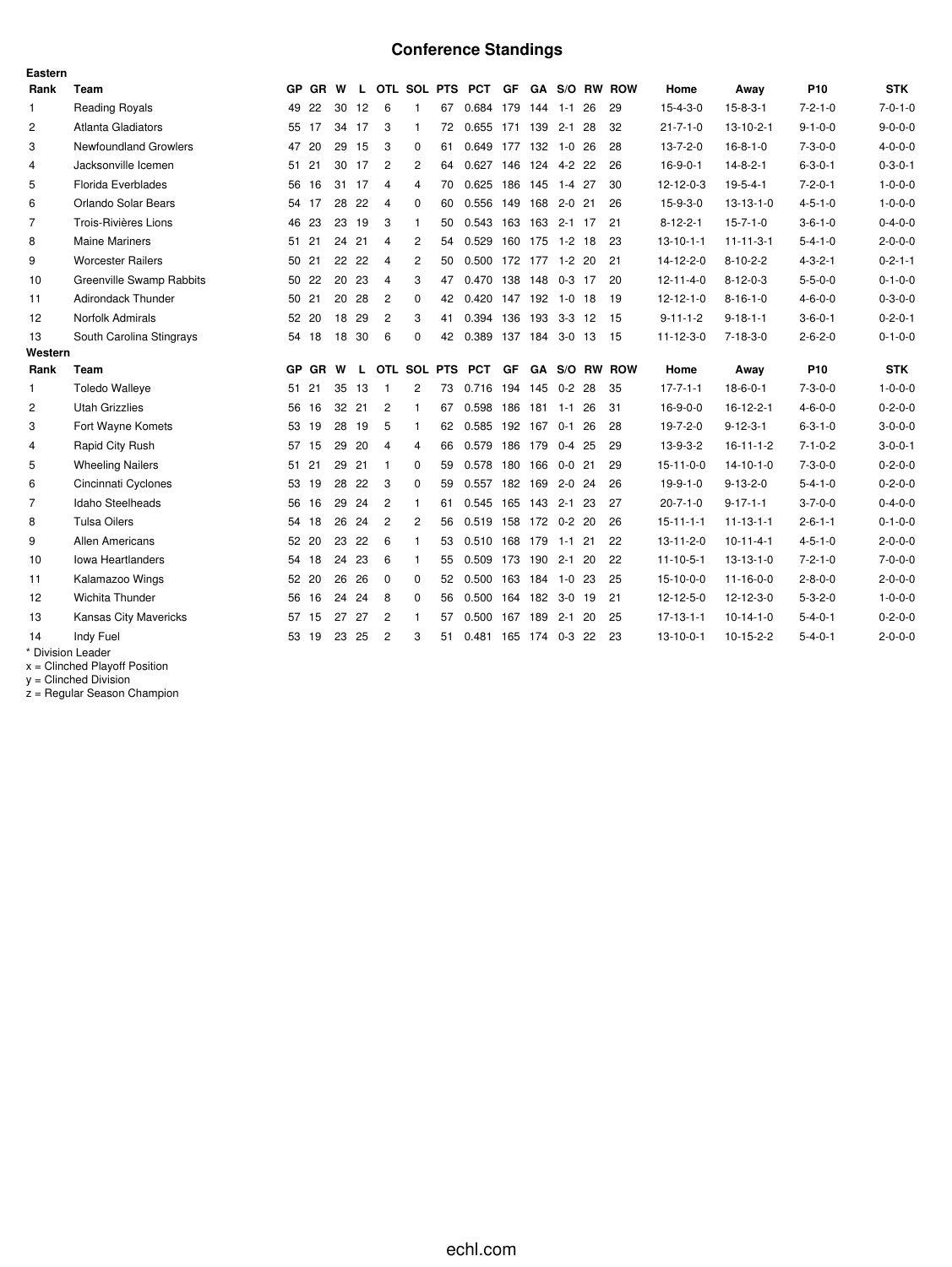## **Conference Standings**

| Eastern        |                                 |           |           |    |              |                |                |    |                      |                |         |            |     |               |                   |                   |                 |                 |
|----------------|---------------------------------|-----------|-----------|----|--------------|----------------|----------------|----|----------------------|----------------|---------|------------|-----|---------------|-------------------|-------------------|-----------------|-----------------|
| Rank           | Team                            |           | GP GR W   |    | $\mathsf{L}$ |                |                |    | OTL SOL PTS PCT      | GF             |         |            |     | GA S/O RW ROW | Home              | Away              | P <sub>10</sub> | <b>STK</b>      |
| $\mathbf{1}$   | <b>Reading Royals</b>           |           | 49 22     | 30 | 12           | 6              | $\mathbf{1}$   | 67 | 0.684 179 144 1-1    |                |         |            | -26 | 29            | $15 - 4 - 3 - 0$  | $15 - 8 - 3 - 1$  | $7 - 2 - 1 - 0$ | $7 - 0 - 1 - 0$ |
| $\overline{c}$ | <b>Atlanta Gladiators</b>       |           | 55 17     |    | 34 17        | 3              | -1             | 72 | 0.655 171 139 2-1 28 |                |         |            |     | 32            | $21 - 7 - 1 - 0$  | $13 - 10 - 2 - 1$ | $9 - 1 - 0 - 0$ | $9 - 0 - 0 - 0$ |
| 3              | Newfoundland Growlers           | 47        | -20       | 29 | 15           | 3              | $\Omega$       | 61 | 0.649 177 132 1-0    |                |         |            | 26  | 28            | $13 - 7 - 2 - 0$  | $16 - 8 - 1 - 0$  | $7 - 3 - 0 - 0$ | $4 - 0 - 0 - 0$ |
| $\overline{4}$ | Jacksonville Icemen             |           | 51 21     |    | 30 17        | $\overline{2}$ | 2              | 64 | 0.627 146 124 4-2 22 |                |         |            |     | 26            | $16-9-0-1$        | $14 - 8 - 2 - 1$  | $6 - 3 - 0 - 1$ | $0 - 3 - 0 - 1$ |
| 5              | Florida Everblades              | 56        | 16        |    | 31 17        | 4              | 4              | 70 | 0.625                | 186            | 145     | 1-4 27     |     | 30            | 12-12-0-3         | $19-5-4-1$        | $7 - 2 - 0 - 1$ | $1 - 0 - 0 - 0$ |
| 6              | Orlando Solar Bears             |           | 54 17     | 28 | -22          | 4              | 0              | 60 | 0.556                | 149 168 2-0 21 |         |            |     | 26            | $15-9-3-0$        | $13-13-1-0$       | $4 - 5 - 1 - 0$ | $1 - 0 - 0 - 0$ |
| $\overline{7}$ | Trois-Rivières Lions            |           | 46 23     |    | 23 19        | 3              | 1              | 50 | 0.543 163 163 2-1 17 |                |         |            |     | 21            | $8 - 12 - 2 - 1$  | $15 - 7 - 1 - 0$  | $3 - 6 - 1 - 0$ | $0 - 4 - 0 - 0$ |
| 8              | <b>Maine Mariners</b>           |           | 51 21     | 24 | 21           | 4              | $\overline{c}$ | 54 | 0.529                | 160 175 1-2 18 |         |            |     | 23            | $13 - 10 - 1 - 1$ | $11 - 11 - 3 - 1$ | $5 - 4 - 1 - 0$ | $2 - 0 - 0 - 0$ |
| 9              | <b>Worcester Railers</b>        |           | 50 21     | 22 | 22           | 4              | $\overline{c}$ | 50 | 0.500 172 177 1-2 20 |                |         |            |     | 21            | 14-12-2-0         | $8 - 10 - 2 - 2$  | $4 - 3 - 2 - 1$ | $0 - 2 - 1 - 1$ |
| 10             | <b>Greenville Swamp Rabbits</b> | 50        | 22        | 20 | 23           | 4              | 3              | 47 | 0.470                | 138 148        |         | $0-3$ 17   |     | 20            | $12 - 11 - 4 - 0$ | $8 - 12 - 0 - 3$  | $5 - 5 - 0 - 0$ | $0 - 1 - 0 - 0$ |
| 11             | Adirondack Thunder              | 50        | -21       | 20 | -28          | 2              | 0              | 42 | 0.420 147 192 1-0 18 |                |         |            |     | 19            | $12 - 12 - 1 - 0$ | $8 - 16 - 1 - 0$  | $4 - 6 - 0 - 0$ | $0 - 3 - 0 - 0$ |
| 12             | Norfolk Admirals                |           | 52 20     | 18 | 29           | $\overline{2}$ | 3              | 41 | 0.394 136 193 3-3 12 |                |         |            |     | -15           | $9 - 11 - 1 - 2$  | $9 - 18 - 1 - 1$  | $3 - 6 - 0 - 1$ | $0 - 2 - 0 - 1$ |
| 13             | South Carolina Stingrays        |           | 54 18     | 18 | 30           | 6              | $\Omega$       | 42 | 0.389 137 184 3-0 13 |                |         |            |     | - 15          | $11 - 12 - 3 - 0$ | $7 - 18 - 3 - 0$  | $2 - 6 - 2 - 0$ | $0 - 1 - 0 - 0$ |
| Western        |                                 |           |           |    |              |                |                |    |                      |                |         |            |     |               |                   |                   |                 |                 |
| Rank           | Team                            | <b>GP</b> | <b>GR</b> | W  | L            |                | OTL SOL PTS    |    | <b>PCT</b>           | GF             |         |            |     | GA S/O RW ROW | Home              | Away              | P <sub>10</sub> | <b>STK</b>      |
| $\mathbf{1}$   | <b>Toledo Walleye</b>           |           | 51 21     |    | 35 13        |                | $\overline{c}$ | 73 | 0.716 194 145 0-2 28 |                |         |            |     | 35            | $17 - 7 - 1 - 1$  | $18-6-0-1$        | $7 - 3 - 0 - 0$ | $1 - 0 - 0 - 0$ |
| $\overline{c}$ | <b>Utah Grizzlies</b>           | 56        | 16        | 32 | 21           | 2              | 1              | 67 | 0.598 186            |                | 181 1-1 |            | -26 | 31            | $16-9-0-0$        | 16-12-2-1         | $4 - 6 - 0 - 0$ | $0 - 2 - 0 - 0$ |
| 3              | Fort Wayne Komets               | 53        | 19        | 28 | 19           | 5              | $\mathbf{1}$   | 62 | 0.585 192 167 0-1 26 |                |         |            |     | 28            | $19 - 7 - 2 - 0$  | $9 - 12 - 3 - 1$  | $6 - 3 - 1 - 0$ | $3 - 0 - 0 - 0$ |
| 4              | Rapid City Rush                 |           | 57 15     | 29 | 20           | 4              | 4              | 66 | 0.579                | 186            | 179     | $0-4$ 25   |     | 29            | 13-9-3-2          | $16 - 11 - 1 - 2$ | $7 - 1 - 0 - 2$ | $3 - 0 - 0 - 1$ |
| 5              | <b>Wheeling Nailers</b>         | 51        | 21        | 29 | 21           | 1              | $\Omega$       | 59 | 0.578 180 166        |                |         | $0 - 0$ 21 |     | 29            | $15 - 11 - 0 - 0$ | $14 - 10 - 1 - 0$ | $7 - 3 - 0 - 0$ | $0 - 2 - 0 - 0$ |
| 6              | Cincinnati Cyclones             | 53        | 19        |    | 28 22        | 3              | $\Omega$       | 59 | 0.557 182 169 2-0 24 |                |         |            |     | 26            | $19-9-1-0$        | $9 - 13 - 2 - 0$  | $5 - 4 - 1 - 0$ | $0 - 2 - 0 - 0$ |
| 7              | Idaho Steelheads                | 56        | 16        | 29 | 24           | $\overline{c}$ | 1              | 61 | 0.545                | 165 143        |         | $2 - 1$ 23 |     | 27            | $20 - 7 - 1 - 0$  | $9 - 17 - 1 - 1$  | $3 - 7 - 0 - 0$ | $0 - 4 - 0 - 0$ |
| 8              | <b>Tulsa Oilers</b>             |           | 54 18     | 26 | 24           | 2              | 2              | 56 | 0.519 158 172 0-2 20 |                |         |            |     | 26            | $15 - 11 - 1 - 1$ | $11 - 13 - 1 - 1$ | $2 - 6 - 1 - 1$ | $0 - 1 - 0 - 0$ |
| 9              | <b>Allen Americans</b>          |           | 52 20     | 23 | 22           | 6              | 1              | 53 | 0.510 168            |                | 179     | $1 - 1$ 21 |     | 22            | $13 - 11 - 2 - 0$ | $10-11-4-1$       | $4 - 5 - 1 - 0$ | $2 - 0 - 0 - 0$ |
| 10             | Iowa Heartlanders               | 54        | 18        | 24 | 23           | 6              | 1              | 55 | 0.509                | 173 190        |         | $2 - 1$ 20 |     | 22            | $11 - 10 - 5 - 1$ | $13 - 13 - 1 - 0$ | $7 - 2 - 1 - 0$ | $7 - 0 - 0 - 0$ |
| 11             | Kalamazoo Wings                 |           | 52 20     | 26 | -26          | $\Omega$       | 0              | 52 | 0.500 163 184 1-0 23 |                |         |            |     | 25            | $15-10-0-0$       | $11 - 16 - 0 - 0$ | $2 - 8 - 0 - 0$ | $2 - 0 - 0 - 0$ |
| 12             | Wichita Thunder                 | 56        | 16        | 24 | 24           | 8              | 0              | 56 | 0.500                |                | 164 182 | $3-0$      | -19 | 21            | 12-12-5-0         | 12-12-3-0         | $5 - 3 - 2 - 0$ | $1 - 0 - 0 - 0$ |
|                |                                 |           |           |    |              |                |                |    |                      |                |         |            |     |               |                   |                   |                 |                 |
| 13             | Kansas City Mavericks           |           | 57 15     | 27 | 27           | 2              | 1              | 57 | 0.500 167 189 2-1 20 |                |         |            |     | 25            | $17 - 13 - 1 - 1$ | $10-14-1-0$       | $5 - 4 - 0 - 1$ | $0 - 2 - 0 - 0$ |
| 14             | Indy Fuel                       | 53        | 19        | 23 | 25           | 2              | 3              | 51 | 0.481 165 174 0-3 22 |                |         |            |     | 23            | $13 - 10 - 0 - 1$ | $10-15-2-2$       | $5 - 4 - 0 - 1$ | $2 - 0 - 0 - 0$ |

\* Division Leader x = Clinched Playoff Position

y = Clinched Division

z = Regular Season Champion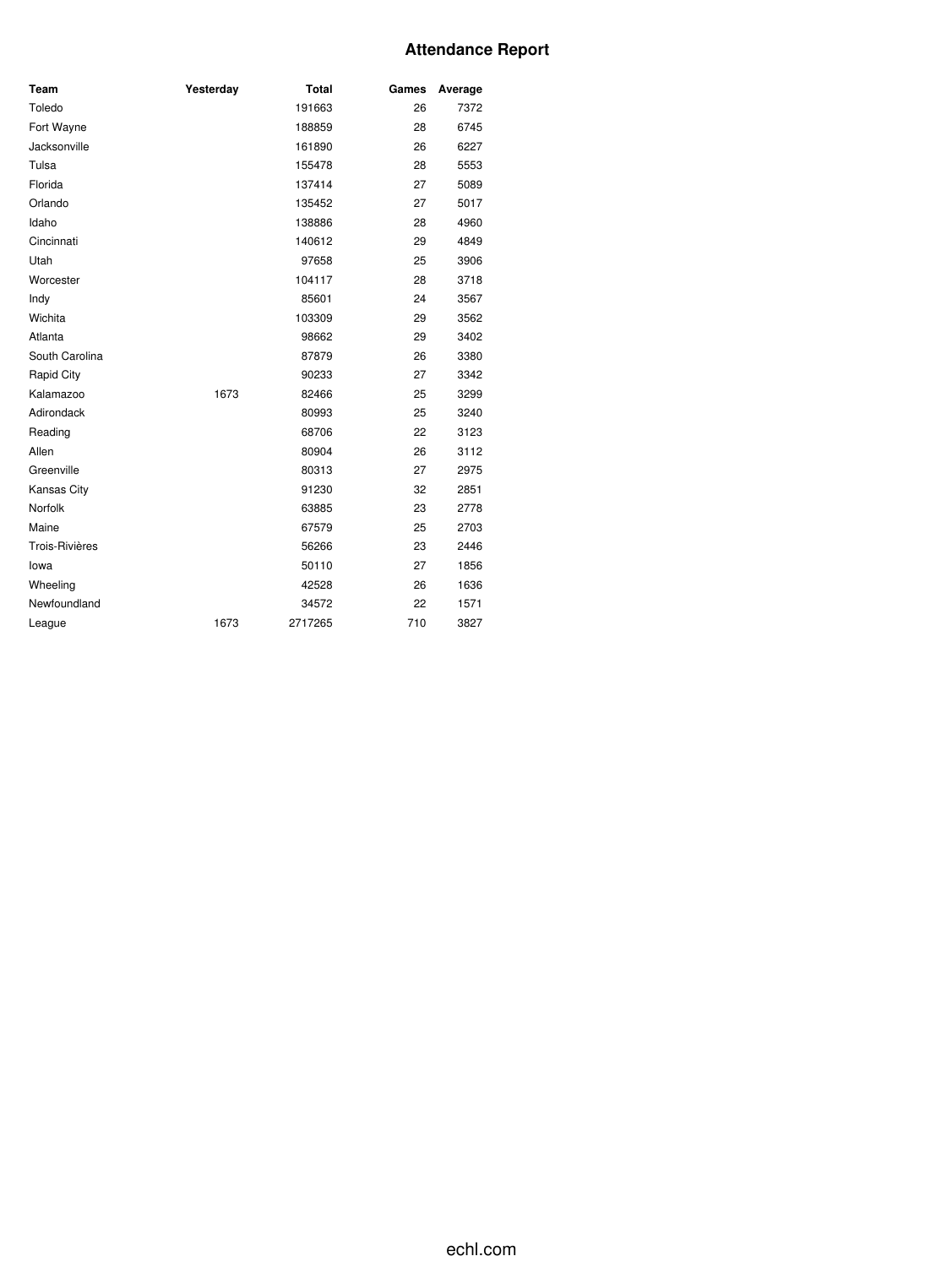## **Attendance Report**

| Team           | Yesterday | <b>Total</b> | Games | Average |
|----------------|-----------|--------------|-------|---------|
| Toledo         |           | 191663       | 26    | 7372    |
| Fort Wayne     |           | 188859       | 28    | 6745    |
| Jacksonville   |           | 161890       | 26    | 6227    |
| Tulsa          |           | 155478       | 28    | 5553    |
| Florida        |           | 137414       | 27    | 5089    |
| Orlando        |           | 135452       | 27    | 5017    |
| Idaho          |           | 138886       | 28    | 4960    |
| Cincinnati     |           | 140612       | 29    | 4849    |
| Utah           |           | 97658        | 25    | 3906    |
| Worcester      |           | 104117       | 28    | 3718    |
| Indy           |           | 85601        | 24    | 3567    |
| Wichita        |           | 103309       | 29    | 3562    |
| Atlanta        |           | 98662        | 29    | 3402    |
| South Carolina |           | 87879        | 26    | 3380    |
| Rapid City     |           | 90233        | 27    | 3342    |
| Kalamazoo      | 1673      | 82466        | 25    | 3299    |
| Adirondack     |           | 80993        | 25    | 3240    |
| Reading        |           | 68706        | 22    | 3123    |
| Allen          |           | 80904        | 26    | 3112    |
| Greenville     |           | 80313        | 27    | 2975    |
| Kansas City    |           | 91230        | 32    | 2851    |
| Norfolk        |           | 63885        | 23    | 2778    |
| Maine          |           | 67579        | 25    | 2703    |
| Trois-Rivières |           | 56266        | 23    | 2446    |
| lowa           |           | 50110        | 27    | 1856    |
| Wheeling       |           | 42528        | 26    | 1636    |
| Newfoundland   |           | 34572        | 22    | 1571    |
| League         | 1673      | 2717265      | 710   | 3827    |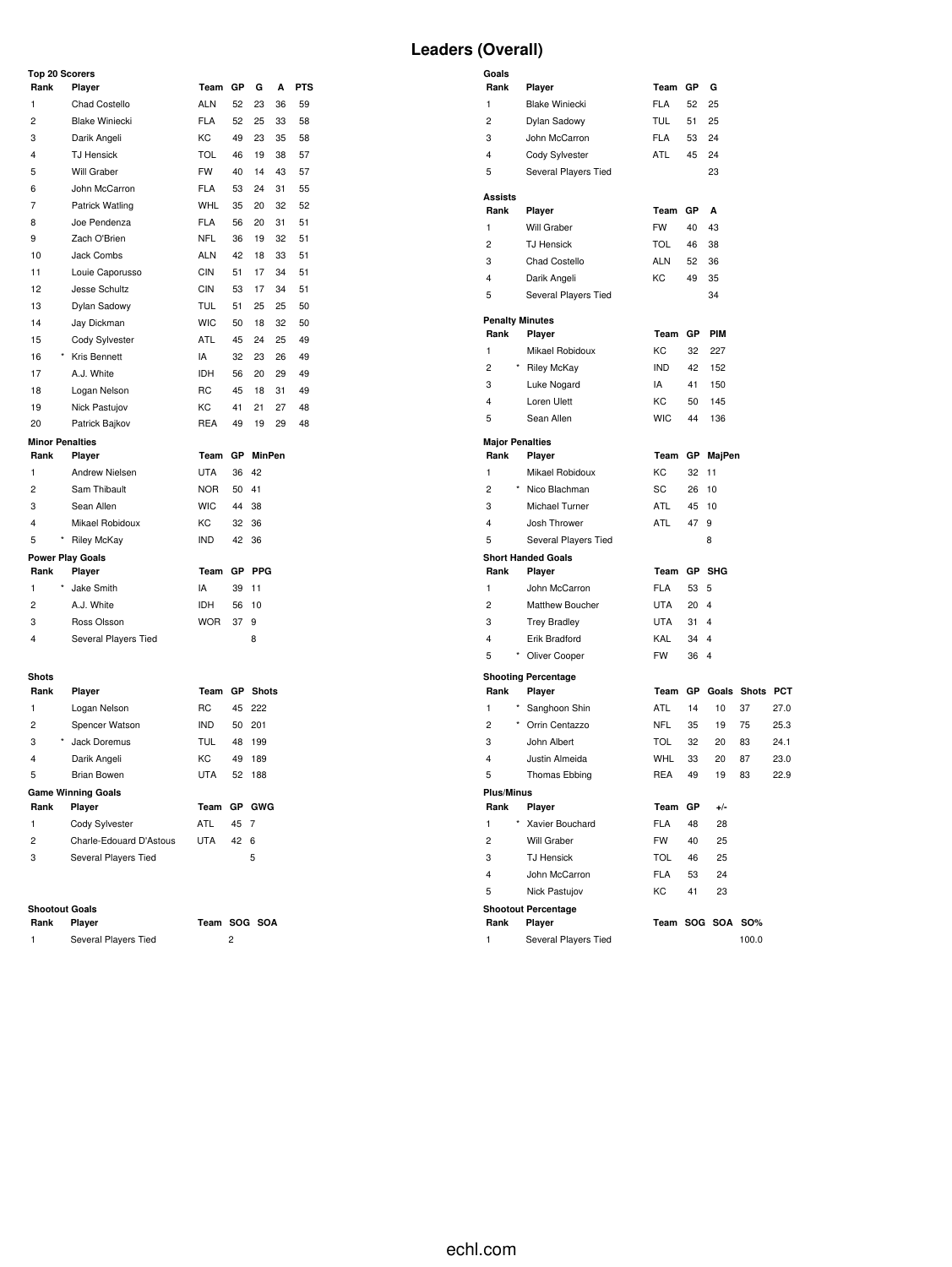## **Leaders (Overall)**

**Goals**

| <b>Top 20 Scorers</b>   |                           |            |    |               |    |            |
|-------------------------|---------------------------|------------|----|---------------|----|------------|
| Rank                    | Player                    | Team       | GP | G             | A  | <b>PTS</b> |
| 1                       | <b>Chad Costello</b>      | <b>ALN</b> | 52 | 23            | 36 | 59         |
| $\overline{c}$          | <b>Blake Winiecki</b>     | <b>FLA</b> | 52 | 25            | 33 | 58         |
| 3                       | Darik Angeli              | KC         | 49 | 23            | 35 | 58         |
| $\overline{\mathbf{4}}$ | <b>TJ Hensick</b>         | <b>TOL</b> | 46 | 19            | 38 | 57         |
| 5                       | Will Graber               | <b>FW</b>  | 40 | 14            | 43 | 57         |
| 6                       | John McCarron             | <b>FLA</b> | 53 | 24            | 31 | 55         |
| 7                       | Patrick Watling           | WHL        | 35 | 20            | 32 | 52         |
| 8                       | Joe Pendenza              | <b>FLA</b> | 56 | 20            | 31 | 51         |
| 9                       | Zach O'Brien              | <b>NFL</b> | 36 | 19            | 32 | 51         |
| 10                      | <b>Jack Combs</b>         | <b>ALN</b> | 42 | 18            | 33 | 51         |
| 11                      | Louie Caporusso           | <b>CIN</b> | 51 | 17            | 34 | 51         |
| 12                      | Jesse Schultz             | <b>CIN</b> | 53 | 17            | 34 | 51         |
| 13                      | Dylan Sadowy              | <b>TUL</b> | 51 | 25            | 25 | 50         |
| 14                      | Jay Dickman               | <b>WIC</b> | 50 | 18            | 32 | 50         |
| 15                      | Cody Sylvester            | <b>ATL</b> | 45 | 24            | 25 | 49         |
| 16                      | Kris Bennett              | IA         | 32 | 23            | 26 | 49         |
| 17                      | A.J. White                | <b>IDH</b> | 56 | 20            | 29 | 49         |
| 18                      | Logan Nelson              | RC         | 45 | 18            | 31 | 49         |
| 19                      | Nick Pastujov             | KC         | 41 | 21            | 27 | 48         |
| 20                      | Patrick Bajkov            | <b>REA</b> | 49 | 19            | 29 | 48         |
| <b>Minor Penalties</b>  |                           |            |    |               |    |            |
| Rank                    | Player                    | Team       | GР | <b>MinPen</b> |    |            |
| $\mathbf{1}$            | <b>Andrew Nielsen</b>     | <b>UTA</b> | 36 | 42            |    |            |
| $\overline{c}$          | Sam Thibault              | <b>NOR</b> | 50 | 41            |    |            |
| 3                       | Sean Allen                | <b>WIC</b> | 44 | 38            |    |            |
| 4                       | Mikael Robidoux           | KC         | 32 | 36            |    |            |
| 5                       | <b>Riley McKay</b>        | <b>IND</b> | 42 | 36            |    |            |
|                         | <b>Power Play Goals</b>   |            |    |               |    |            |
| Rank                    | Player                    | Team       | GP | <b>PPG</b>    |    |            |
| $\mathbf{1}$            | Jake Smith                | IA         | 39 | 11            |    |            |
| $\overline{c}$          | A.J. White                | <b>IDH</b> | 56 | 10            |    |            |
| 3                       | Ross Olsson               | <b>WOR</b> | 37 | 9             |    |            |
| $\overline{4}$          | Several Players Tied      |            |    | 8             |    |            |
|                         |                           |            |    |               |    |            |
| <b>Shots</b>            |                           |            |    |               |    |            |
| Rank                    | Player                    | Team       | GP | <b>Shots</b>  |    |            |
| $\mathbf{1}$            | Logan Nelson              | <b>RC</b>  | 45 | 222           |    |            |
| $\overline{2}$          | Spencer Watson            | <b>IND</b> | 50 | 201           |    |            |
| 3                       | Jack Doremus              | TUL        | 48 | 199           |    |            |
| 4                       | Darik Angeli              | KC.        | 49 | 189           |    |            |
| 5                       | <b>Brian Bowen</b>        | <b>UTA</b> | 52 | 188           |    |            |
|                         | <b>Game Winning Goals</b> |            |    |               |    |            |
| Rank                    | Player                    | Team       | GP | GWG           |    |            |
| $\mathbf{1}$            | Cody Sylvester            | ATL        | 45 | 7             |    |            |
| $\overline{c}$          | Charle-Edouard D'Astous   | <b>UTA</b> | 42 | 6             |    |            |
| 3                       | Several Players Tied      |            |    | 5             |    |            |

# **Shootout Goals**

| nank | <b>Player</b>        | learn SC |  |
|------|----------------------|----------|--|
|      | Several Players Tied |          |  |

**Rank Player Team SOG SOA**

| Rank                   | Player                               | Team       | GР | G              |             |            |
|------------------------|--------------------------------------|------------|----|----------------|-------------|------------|
| 1                      | <b>Blake Winiecki</b>                | <b>FLA</b> | 52 | 25             |             |            |
| $\overline{c}$         | Dylan Sadowy                         | <b>TUL</b> | 51 | 25             |             |            |
| 3                      | John McCarron                        | <b>FLA</b> | 53 | 24             |             |            |
| 4                      | Cody Sylvester                       | ATL        | 45 | 24             |             |            |
| 5                      | Several Players Tied                 |            |    | 23             |             |            |
| <b>Assists</b>         |                                      |            |    |                |             |            |
| Rank                   | Player                               | Team       | GP | A              |             |            |
| 1                      | <b>Will Graber</b>                   | <b>FW</b>  | 40 | 43             |             |            |
| $\overline{c}$         | <b>TJ Hensick</b>                    | <b>TOL</b> | 46 | 38             |             |            |
| 3                      | <b>Chad Costello</b>                 | <b>ALN</b> | 52 | 36             |             |            |
| 4                      | Darik Angeli                         | KC         | 49 | 35             |             |            |
| 5                      | Several Players Tied                 |            |    | 34             |             |            |
| <b>Penalty Minutes</b> |                                      |            |    |                |             |            |
| Rank                   | Player                               | Team       | GP | <b>PIM</b>     |             |            |
| 1                      | Mikael Robidoux                      | KC         | 32 | 227            |             |            |
| $\overline{c}$         | * Riley McKay                        | <b>IND</b> | 42 | 152            |             |            |
| 3                      | Luke Nogard                          | IA         | 41 | 150            |             |            |
| 4                      | Loren Ulett                          | KC.        | 50 | 145            |             |            |
| 5                      | Sean Allen                           | <b>WIC</b> | 44 | 136            |             |            |
| <b>Major Penalties</b> |                                      |            |    |                |             |            |
| Rank                   | Player                               | Team       |    | GP MajPen      |             |            |
| 1                      | Mikael Robidoux                      | KC         | 32 | 11             |             |            |
| $\overline{c}$         | * Nico Blachman                      | <b>SC</b>  | 26 | 10             |             |            |
| 3                      | Michael Turner                       | <b>ATL</b> | 45 | 10             |             |            |
| 4                      | Josh Thrower                         | <b>ATL</b> | 47 | 9              |             |            |
| 5                      | Several Players Tied                 |            |    | 8              |             |            |
|                        | <b>Short Handed Goals</b>            |            |    |                |             |            |
| Rank                   | Player                               | Team       |    | GP SHG         |             |            |
| 1                      | John McCarron                        | <b>FLA</b> | 53 | 5              |             |            |
| $\overline{c}$         | Matthew Boucher                      | <b>UTA</b> | 20 | $\overline{4}$ |             |            |
| 3                      | <b>Trey Bradley</b>                  | <b>UTA</b> | 31 | 4              |             |            |
| 4                      | Erik Bradford                        | KAL        | 34 | $\overline{4}$ |             |            |
| 5                      | Oliver Cooper                        | <b>FW</b>  | 36 | $\overline{4}$ |             |            |
| Rank                   | <b>Shooting Percentage</b><br>Player | Team       | GР |                | Goals Shots | <b>PCT</b> |
| $^{\star}$<br>1        | Sanghoon Shin                        | <b>ATL</b> | 14 | 10             | 37          | 27.0       |
| $\overline{2}$         | * Orrin Centazzo                     | <b>NFL</b> | 35 | 19             | 75          | 25.3       |
| 3                      | John Albert                          | TOL        | 32 | 20             | 83          | 24.1       |
| 4                      | Justin Almeida                       | <b>WHL</b> | 33 | 20             | 87          | 23.0       |
| 5                      | Thomas Ebbing                        | <b>REA</b> | 49 | 19             | 83          | 22.9       |
| <b>Plus/Minus</b>      |                                      |            |    |                |             |            |
| Rank                   | Player                               | Team       | GР | +/-            |             |            |
| 1                      | Xavier Bouchard                      | <b>FLA</b> | 48 | 28             |             |            |
| $\overline{c}$         | Will Graber                          | <b>FW</b>  | 40 | 25             |             |            |
| 3                      | <b>TJ Hensick</b>                    | TOL        | 46 | 25             |             |            |
| 4                      | John McCarron                        | <b>FLA</b> | 53 | 24             |             |            |
| 5                      | Nick Pastujov                        | КC         | 41 | 23             |             |            |
|                        | <b>Shootout Percentage</b>           |            |    |                |             |            |
| Rank                   | Player                               |            |    | Team SOG SOA   | <b>SO%</b>  |            |
| 1                      | Several Players Tied                 |            |    |                | 100.0       |            |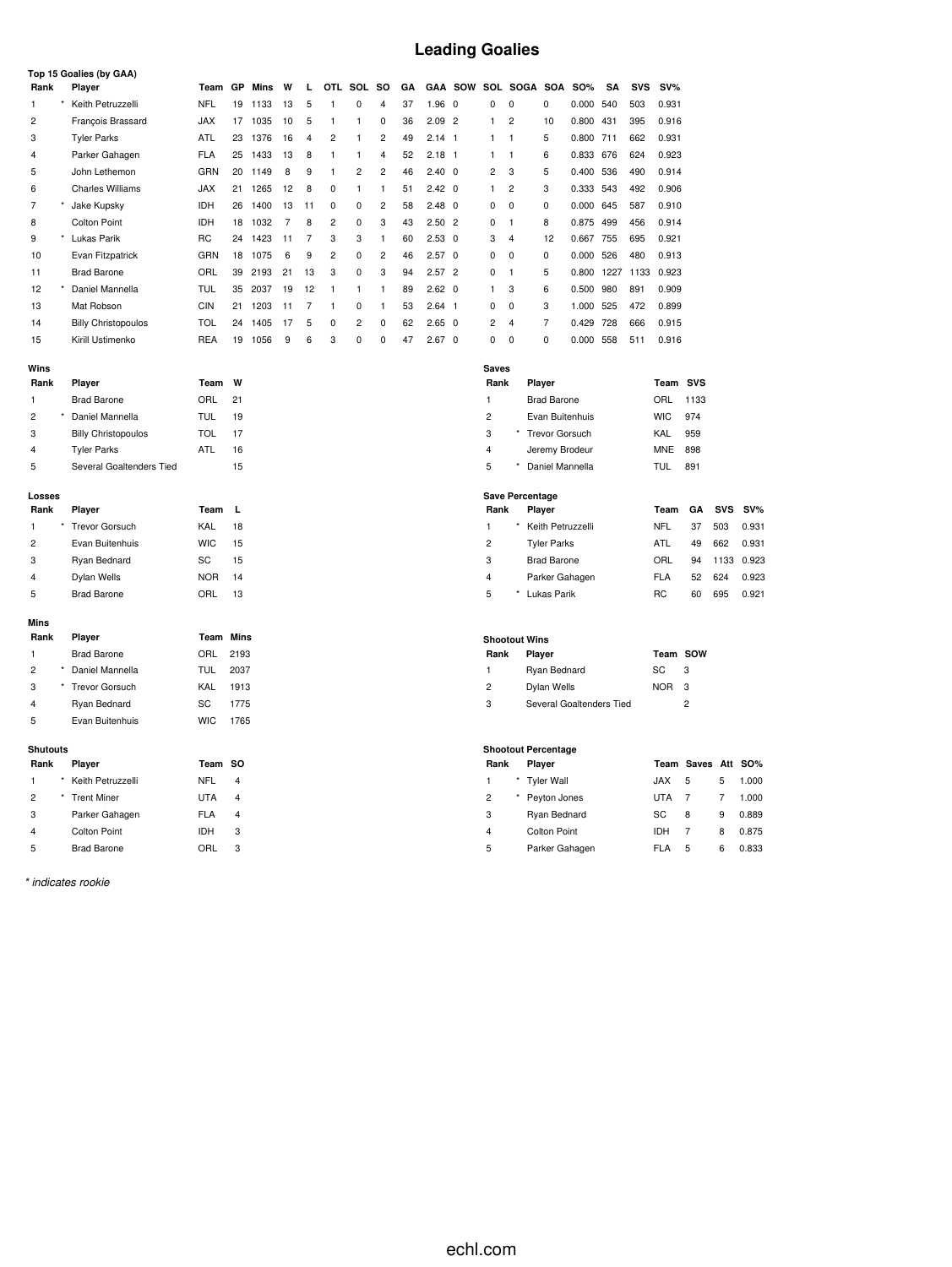## **Leading Goalies**

|                 | Top 15 Goalies (by GAA)     |                       |           |              | W  |                |                |                         | <b>SO</b>      | GА |                   |                                           |                         |                        |                            |                     |           |                   | SV%        |                    |      |       |  |
|-----------------|-----------------------------|-----------------------|-----------|--------------|----|----------------|----------------|-------------------------|----------------|----|-------------------|-------------------------------------------|-------------------------|------------------------|----------------------------|---------------------|-----------|-------------------|------------|--------------------|------|-------|--|
| Rank<br>1       | Player<br>Keith Petruzzelli | Team GP<br><b>NFL</b> | 19        | Mins<br>1133 | 13 | L<br>5         | 1              | OTL SOL<br>0            | 4              | 37 | 1.96              | <b>GAA SOW</b><br>$\overline{\mathbf{0}}$ | 0                       | 0                      | SOL SOGA SOA<br>0          | <b>SO%</b><br>0.000 | SΑ<br>540 | <b>SVS</b><br>503 | 0.931      |                    |      |       |  |
| $\overline{c}$  | François Brassard           | <b>JAX</b>            | 17        | 1035         | 10 | 5              | $\mathbf{1}$   | $\mathbf{1}$            | $\pmb{0}$      | 36 | 2.09              | $\overline{2}$                            | $\mathbf{1}$            | $\overline{2}$         | 10                         | 0.800 431           |           | 395               | 0.916      |                    |      |       |  |
| 3               | <b>Tyler Parks</b>          | ATL                   | 23        | 1376         | 16 | 4              | $\overline{c}$ | $\mathbf{1}$            | $\overline{c}$ | 49 | $2.14$ 1          |                                           | 1                       | $\mathbf{1}$           | 5                          | 0.800 711           |           | 662               | 0.931      |                    |      |       |  |
| 4               | Parker Gahagen              | <b>FLA</b>            | 25        | 1433         | 13 | 8              | $\mathbf{1}$   | 1                       | 4              | 52 | 2.18              | $\overline{1}$                            | 1                       | $\mathbf{1}$           | 6                          | 0.833 676           |           | 624               | 0.923      |                    |      |       |  |
| 5               | John Lethemon               | GRN                   |           | 20 1149      | 8  | 9              | $\mathbf{1}$   | $\overline{\mathbf{c}}$ | $\overline{2}$ | 46 | $2.40 \quad 0$    |                                           | $\overline{2}$          | 3                      | 5                          | 0.400 536           |           | 490               | 0.914      |                    |      |       |  |
| 6               | <b>Charles Williams</b>     | <b>JAX</b>            | 21        | 1265         | 12 | 8              | 0              | 1                       | 1              | 51 | $2.42 \quad 0$    |                                           | 1                       | $\overline{2}$         | 3                          | 0.333 543           |           | 492               | 0.906      |                    |      |       |  |
| 7               | Jake Kupsky                 | IDH                   | 26        | 1400         | 13 | 11             | 0              | $\mathbf 0$             | $\overline{c}$ | 58 | 2.48              | $\mathbf 0$                               | $\mathbf 0$             | $\mathbf 0$            | 0                          | 0.000               | 645       | 587               | 0.910      |                    |      |       |  |
| 8               | <b>Colton Point</b>         | IDH                   | 18        | 1032         | 7  | 8              | $\overline{c}$ | $\mathbf 0$             | 3              | 43 | 2.50              | $\overline{2}$                            | $\mathbf 0$             | $\overline{1}$         | 8                          | 0.875 499           |           | 456               | 0.914      |                    |      |       |  |
| 9               | Lukas Parik                 | RC                    | 24        | 1423         | 11 | 7              | 3              | 3                       | 1              | 60 | 2.53              | 0                                         | 3                       | $\overline{4}$         | 12                         | 0.667               | 755       | 695               | 0.921      |                    |      |       |  |
| 10              | Evan Fitzpatrick            | GRN                   | 18        | 1075         | 6  | 9              | $\overline{2}$ | $\mathbf 0$             | $\overline{2}$ | 46 | $2.57$ 0          |                                           | $\mathbf 0$             | $\mathbf 0$            | $\mathbf 0$                | 0.000 526           |           | 480               | 0.913      |                    |      |       |  |
| 11              | <b>Brad Barone</b>          | ORL                   | 39        | 2193         | 21 | 13             | 3              | $\mathbf 0$             | 3              | 94 | 2.57 <sup>2</sup> |                                           | 0                       | $\overline{1}$         | 5                          | 0.800 1227          |           | 1133              | 0.923      |                    |      |       |  |
| 12              | Daniel Mannella             | <b>TUL</b>            | 35        | 2037         | 19 | 12             | 1              | 1                       | 1              | 89 | $2.62 \quad 0$    |                                           | 1                       | 3                      | 6                          | 0.500 980           |           | 891               | 0.909      |                    |      |       |  |
| 13              | Mat Robson                  | <b>CIN</b>            | 21        | 1203         | 11 | $\overline{7}$ | $\mathbf{1}$   | $\mathbf 0$             | 1              | 53 | $2.64$ 1          |                                           | $\mathbf 0$             | $\mathbf 0$            | 3                          | 1.000 525           |           | 472               | 0.899      |                    |      |       |  |
| 14              | <b>Billy Christopoulos</b>  | <b>TOL</b>            | 24        | 1405         | 17 | 5              | 0              | $\overline{c}$          | 0              | 62 | 2.65              | $\mathbf 0$                               | $\overline{\mathbf{c}}$ | $\overline{4}$         | $\overline{7}$             | 0.429               | 728       | 666               | 0.915      |                    |      |       |  |
| 15              | Kirill Ustimenko            | <b>REA</b>            | 19        | 1056         | 9  | 6              | 3              | $\mathbf 0$             | 0              | 47 | $2.67$ 0          |                                           | 0                       | $\mathbf 0$            | $\mathbf 0$                | 0.000 558           |           | 511               | 0.916      |                    |      |       |  |
|                 |                             |                       |           |              |    |                |                |                         |                |    |                   |                                           |                         |                        |                            |                     |           |                   |            |                    |      |       |  |
| Wins            |                             |                       |           |              |    |                |                |                         |                |    |                   |                                           | <b>Saves</b>            |                        |                            |                     |           |                   |            |                    |      |       |  |
| Rank            | Player                      | Team                  | W         |              |    |                |                |                         |                |    |                   |                                           | Rank                    |                        | Player                     |                     |           |                   | Team SVS   |                    |      |       |  |
| 1               | <b>Brad Barone</b>          | ORL                   | 21        |              |    |                |                |                         |                |    |                   |                                           | 1                       |                        | <b>Brad Barone</b>         |                     |           |                   | ORL        | 1133               |      |       |  |
| $\overline{2}$  | Daniel Mannella             | TUL                   | 19        |              |    |                |                |                         |                |    |                   |                                           | $\overline{2}$          |                        | Evan Buitenhuis            |                     |           |                   | <b>WIC</b> | 974                |      |       |  |
| 3               | <b>Billy Christopoulos</b>  | <b>TOL</b>            | 17        |              |    |                |                |                         |                |    |                   |                                           | 3                       |                        | <b>Trevor Gorsuch</b>      |                     |           |                   | KAL        | 959                |      |       |  |
| 4               | <b>Tyler Parks</b>          | ATL                   | 16        |              |    |                |                |                         |                |    |                   |                                           | $\overline{\mathbf{4}}$ |                        | Jeremy Brodeur             |                     |           |                   | MNE        | 898                |      |       |  |
| 5               | Several Goaltenders Tied    |                       | 15        |              |    |                |                |                         |                |    |                   |                                           | 5                       |                        | Daniel Mannella            |                     |           |                   | TUL        | 891                |      |       |  |
| Losses          |                             |                       |           |              |    |                |                |                         |                |    |                   |                                           |                         | <b>Save Percentage</b> |                            |                     |           |                   |            |                    |      |       |  |
| Rank            | Player                      | Team                  | L         |              |    |                |                |                         |                |    |                   |                                           | Rank                    |                        | Player                     |                     |           |                   | Team       | GΑ                 | SVS  | SV%   |  |
| 1               | <b>Trevor Gorsuch</b>       | KAL                   | 18        |              |    |                |                |                         |                |    |                   |                                           | $\mathbf{1}$            |                        | Keith Petruzzelli          |                     |           |                   | NFL        | 37                 | 503  | 0.931 |  |
| 2               | Evan Buitenhuis             | <b>WIC</b>            | 15        |              |    |                |                |                         |                |    |                   |                                           | $\overline{c}$          |                        | <b>Tyler Parks</b>         |                     |           |                   | ATL        | 49                 | 662  | 0.931 |  |
| 3               | Ryan Bednard                | SC                    | 15        |              |    |                |                |                         |                |    |                   |                                           | 3                       |                        | <b>Brad Barone</b>         |                     |           |                   | ORL        | 94                 | 1133 | 0.923 |  |
| 4               | Dylan Wells                 | <b>NOR</b>            | 14        |              |    |                |                |                         |                |    |                   |                                           | $\overline{4}$          |                        | Parker Gahagen             |                     |           |                   | <b>FLA</b> | 52                 | 624  | 0.923 |  |
| 5               | <b>Brad Barone</b>          | ORL                   | 13        |              |    |                |                |                         |                |    |                   |                                           | 5                       |                        | * Lukas Parik              |                     |           |                   | RC         | 60                 | 695  | 0.921 |  |
|                 |                             |                       |           |              |    |                |                |                         |                |    |                   |                                           |                         |                        |                            |                     |           |                   |            |                    |      |       |  |
| Mins            |                             |                       |           |              |    |                |                |                         |                |    |                   |                                           |                         |                        |                            |                     |           |                   |            |                    |      |       |  |
| Rank            | Player                      | <b>Team Mins</b>      |           |              |    |                |                |                         |                |    |                   |                                           |                         | <b>Shootout Wins</b>   |                            |                     |           |                   |            |                    |      |       |  |
| 1               | <b>Brad Barone</b>          | ORL                   | 2193      |              |    |                |                |                         |                |    |                   |                                           | Rank                    |                        | Player                     |                     |           |                   | Team SOW   |                    |      |       |  |
| 2               | Daniel Mannella             | TUL                   | 2037      |              |    |                |                |                         |                |    |                   |                                           | 1                       |                        | Ryan Bednard               |                     |           |                   | SC         | 3                  |      |       |  |
| 3               | <b>Trevor Gorsuch</b>       | KAL                   | 1913      |              |    |                |                |                         |                |    |                   |                                           | $\overline{2}$          |                        | Dylan Wells                |                     |           |                   | <b>NOR</b> | 3                  |      |       |  |
| 4               | Ryan Bednard                | SC                    | 1775      |              |    |                |                |                         |                |    |                   |                                           | 3                       |                        | Several Goaltenders Tied   |                     |           |                   |            | $\overline{c}$     |      |       |  |
| 5               | Evan Buitenhuis             | <b>WIC</b>            | 1765      |              |    |                |                |                         |                |    |                   |                                           |                         |                        |                            |                     |           |                   |            |                    |      |       |  |
| <b>Shutouts</b> |                             |                       |           |              |    |                |                |                         |                |    |                   |                                           |                         |                        | <b>Shootout Percentage</b> |                     |           |                   |            |                    |      |       |  |
| Rank            | Player                      | Team                  | <b>SO</b> |              |    |                |                |                         |                |    |                   |                                           | Rank                    |                        | Player                     |                     |           |                   |            | Team Saves Att SO% |      |       |  |
| 1               | Keith Petruzzelli           | NFL                   | 4         |              |    |                |                |                         |                |    |                   |                                           | 1                       |                        | <b>Tyler Wall</b>          |                     |           |                   | <b>JAX</b> | 5                  | 5    | 1.000 |  |
| $\overline{2}$  | <b>Trent Miner</b>          | UTA                   | 4         |              |    |                |                |                         |                |    |                   |                                           | $\overline{2}$          |                        | Peyton Jones               |                     |           |                   | UTA        | $\overline{7}$     | 7    | 1.000 |  |
| 3               | Parker Gahagen              | <b>FLA</b>            | 4         |              |    |                |                |                         |                |    |                   |                                           | 3                       |                        | Ryan Bednard               |                     |           |                   | SC         | 8                  | 9    | 0.889 |  |
| 4               | <b>Colton Point</b>         | IDH                   | 3         |              |    |                |                |                         |                |    |                   |                                           | 4                       |                        | <b>Colton Point</b>        |                     |           |                   | <b>IDH</b> | $\overline{7}$     | 8    | 0.875 |  |
|                 | <b>Brad Barone</b>          | ORL                   | 3         |              |    |                |                |                         |                |    |                   |                                           | 5                       |                        | Parker Gahagen             |                     |           |                   | <b>FLA</b> | 5                  | 6    | 0.833 |  |

*\* indicates rookie*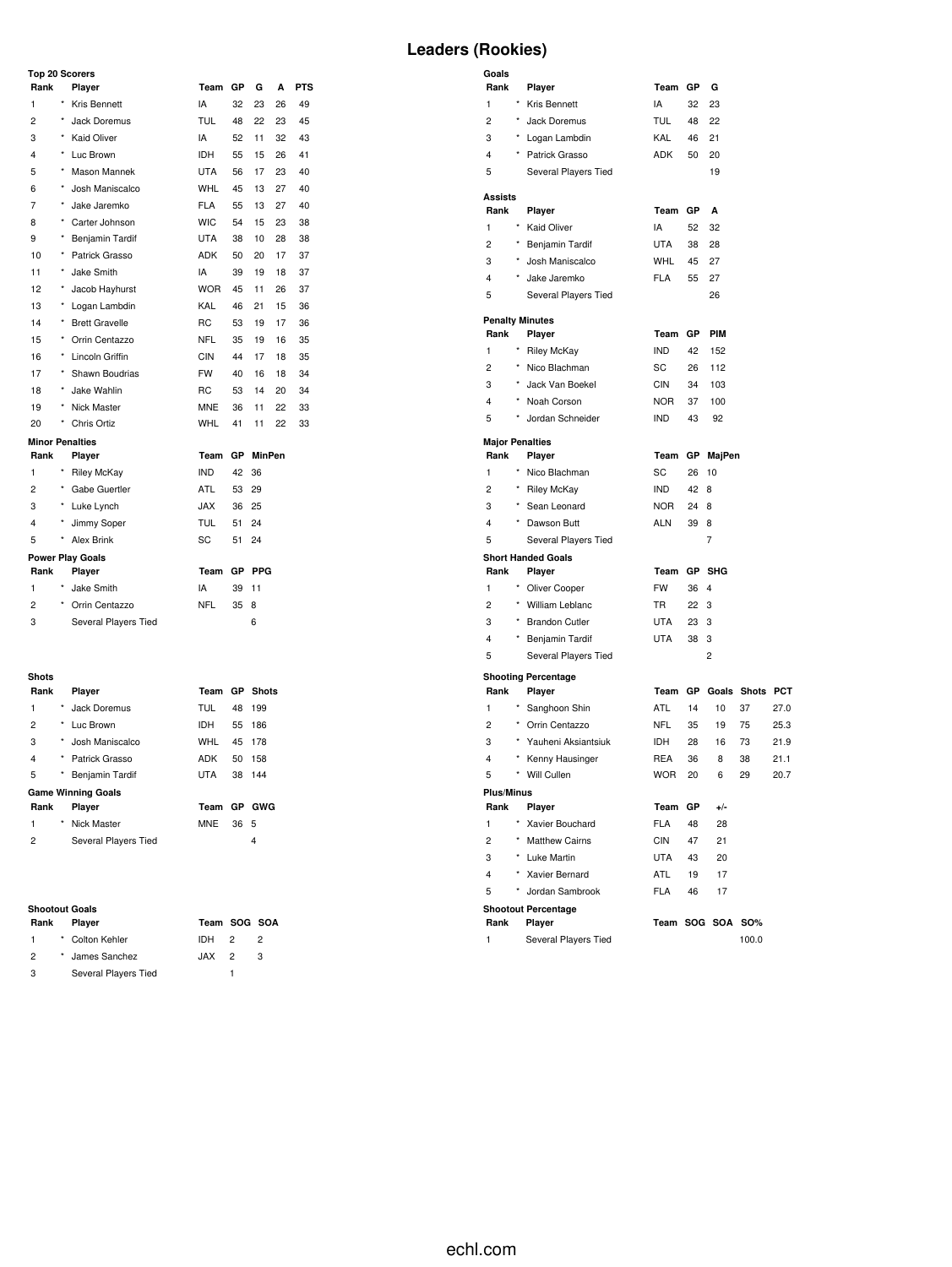## **Top 20 Scorers**

| Rank           |            | Player                  | Team       | GР | G             | A  | <b>PTS</b> |
|----------------|------------|-------------------------|------------|----|---------------|----|------------|
| 1              | $\star$    | Kris Bennett            | IA         | 32 | 23            | 26 | 49         |
| $\overline{2}$ | $\star$    | Jack Doremus            | TUL        | 48 | 22            | 23 | 45         |
| 3              | $\star$    | <b>Kaid Oliver</b>      | IA         | 52 | 11            | 32 | 43         |
| 4              | ×          | Luc Brown               | <b>IDH</b> | 55 | 15            | 26 | 41         |
| 5              | $\star$    | Mason Mannek            | UTA        | 56 | 17            | 23 | 40         |
| 6              | $\star$    | Josh Maniscalco         | WHL        | 45 | 13            | 27 | 40         |
| $\overline{7}$ | $\star$    | Jake Jaremko            | <b>FLA</b> | 55 | 13            | 27 | 40         |
| 8              | $^{\star}$ | Carter Johnson          | <b>WIC</b> | 54 | 15            | 23 | 38         |
| 9              | ×          | Benjamin Tardif         | <b>UTA</b> | 38 | 10            | 28 | 38         |
| 10             | $^{\star}$ | Patrick Grasso          | ADK        | 50 | 20            | 17 | 37         |
| 11             |            | Jake Smith              | IA         | 39 | 19            | 18 | 37         |
| 12             | *          | Jacob Hayhurst          | <b>WOR</b> | 45 | 11            | 26 | 37         |
| 13             | $\star$    | Logan Lambdin           | KAL        | 46 | 21            | 15 | 36         |
| 14             | $^\star$   | <b>Brett Gravelle</b>   | <b>RC</b>  | 53 | 19            | 17 | 36         |
| 15             | $^\star$   | Orrin Centazzo          | <b>NFL</b> | 35 | 19            | 16 | 35         |
| 16             | ×          | Lincoln Griffin         | CIN        | 44 | 17            | 18 | 35         |
| 17             | $^{\star}$ | Shawn Boudrias          | <b>FW</b>  | 40 | 16            | 18 | 34         |
| 18             | $\star$    | Jake Wahlin             | RC.        | 53 | 14            | 20 | 34         |
| 19             | $^{\star}$ | <b>Nick Master</b>      | <b>MNE</b> | 36 | 11            | 22 | 33         |
| 20             |            | Chris Ortiz             | <b>WHL</b> | 41 | 11            | 22 | 33         |
|                |            | <b>Minor Penalties</b>  |            |    |               |    |            |
| Rank           |            | Player                  | Team       | GP | <b>MinPen</b> |    |            |
| 1              | $^{\star}$ | <b>Riley McKay</b>      | <b>IND</b> | 42 | 36            |    |            |
| 2              | $\star$    | Gabe Guertler           | <b>ATL</b> | 53 | 29            |    |            |
| 3              |            | * Luke Lynch            | <b>JAX</b> | 36 | 25            |    |            |
| 4              | $\star$    | Jimmy Soper             | <b>TUL</b> | 51 | 24            |    |            |
| 5              | $^\star$   | Alex Brink              | SC         | 51 | 24            |    |            |
|                |            | <b>Power Play Goals</b> |            |    |               |    |            |
| Rank           |            | Player                  | Team       | GP | <b>PPG</b>    |    |            |
| 1              | $\star$    | Jake Smith              | IA         | 39 | 11            |    |            |

#### **Shots**

| Rank |         | Player                    | Team GP Shots |    |     |
|------|---------|---------------------------|---------------|----|-----|
| 1    |         | * Jack Doremus            | TUL           | 48 | 199 |
| 2    |         | * Luc Brown               | <b>IDH</b>    | 55 | 186 |
| 3    |         | * Josh Maniscalco         | WHL           | 45 | 178 |
| 4    |         | * Patrick Grasso          | <b>ADK</b>    | 50 | 158 |
| 5    |         | Benjamin Tardif           | <b>UTA</b>    | 38 | 144 |
|      |         | <b>Game Winning Goals</b> |               |    |     |
| Rank |         | Player                    | Team GP GWG   |    |     |
| 1    | $\star$ | <b>Nick Master</b>        | MNE           | 36 | -5  |
| 2    |         | Several Players Tied      |               |    | 4   |

 \* Orrin Centazzo NFL 35 8 Several Players Tied 6

#### **Shootout Goals**

| Rank           | <b>Plaver</b>        | Team SOG SOA |   |
|----------------|----------------------|--------------|---|
| $\overline{1}$ | * Colton Kehler      | IDH 2        | 2 |
| $\mathcal{P}$  | * James Sanchez      | $JAX$ 2      | 3 |
| -3             | Several Players Tied |              |   |

| Team SOG S |   |   |
|------------|---|---|
| IDH        | 2 | 2 |
| JAX.       | 2 | З |
|            |   |   |

## **Leaders (Rookies)**

| Goals                          |          |                            |            |    |                  |       |      |
|--------------------------------|----------|----------------------------|------------|----|------------------|-------|------|
| Rank                           |          | Player                     | Team       | GР | G                |       |      |
| 1                              |          | * Kris Bennett             | IA         | 32 | 23               |       |      |
| 2                              |          | Jack Doremus               | TUL        | 48 | 22               |       |      |
| 3                              |          | * Logan Lambdin            | KAL        | 46 | 21               |       |      |
| 4                              |          | * Patrick Grasso           | ADK        | 50 | 20               |       |      |
| 5                              |          | Several Players Tied       |            |    | 19               |       |      |
| Assists                        |          |                            |            |    |                  |       |      |
| Rank                           |          | Player                     | Team GP    |    | A                |       |      |
| 1                              |          | * Kaid Oliver              | IA         | 52 | 32               |       |      |
| 2                              |          | * Benjamin Tardif          | <b>UTA</b> | 38 | 28               |       |      |
| 3                              | *        | Josh Maniscalco            | WHL        | 45 | 27               |       |      |
| 4                              |          | * Jake Jaremko             | <b>FLA</b> | 55 | 27               |       |      |
| 5                              |          | Several Players Tied       |            |    | 26               |       |      |
|                                |          | <b>Penalty Minutes</b>     |            |    |                  |       |      |
| Rank                           |          | Player                     | Team GP    |    | <b>PIM</b>       |       |      |
| 1                              |          | * Riley McKay              | <b>IND</b> | 42 | 152              |       |      |
| 2                              | $\star$  | Nico Blachman              | SC         | 26 | 112              |       |      |
| 3                              | $^\star$ | Jack Van Boekel            | CIN        | 34 | 103              |       |      |
| 4                              |          | * Noah Corson              | <b>NOR</b> | 37 | 100              |       |      |
| 5                              |          | Jordan Schneider           | IND        | 43 | 92               |       |      |
|                                |          |                            |            |    |                  |       |      |
| <b>Major Penalties</b><br>Rank |          | Player                     |            |    | Team GP MajPen   |       |      |
| 1                              |          | * Nico Blachman            | SC         | 26 | 10               |       |      |
| 2                              |          | * Riley McKay              | IND        | 42 | 8                |       |      |
| 3                              |          | * Sean Leonard             | <b>NOR</b> | 24 | 8                |       |      |
| 4                              |          | * Dawson Butt              | ALN        | 39 | 8                |       |      |
| 5                              |          | Several Players Tied       |            |    | 7                |       |      |
|                                |          | <b>Short Handed Goals</b>  |            |    |                  |       |      |
| Rank                           |          | Player                     | Team GP    |    | <b>SHG</b>       |       |      |
| 1                              | $\star$  | Oliver Cooper              | <b>FW</b>  | 36 | $\overline{4}$   |       |      |
| 2                              |          | * William Leblanc          | TR         | 22 | 3                |       |      |
| 3                              |          | * Brandon Cutler           | UTA        | 23 | 3                |       |      |
| 4                              |          | * Benjamin Tardif          | UTA        | 38 | 3                |       |      |
| 5                              |          | Several Players Tied       |            |    | 2                |       |      |
|                                |          | <b>Shooting Percentage</b> |            |    |                  |       |      |
| Rank                           |          | Player                     | Team GP    |    | Goals            | Shots | PCT  |
| 1                              |          | * Sanghoon Shin            | <b>ATL</b> | 14 | 10               | 37    | 27.0 |
| 2                              |          | * Orrin Centazzo           | NFL        | 35 | 19               | 75    | 25.3 |
| 3                              |          | * Yauheni Aksiantsiuk      | IDH        | 28 | 16               | 73    | 21.9 |
| 4                              |          | * Kenny Hausinger          | <b>REA</b> | 36 | 8                | 38    | 21.1 |
| 5                              |          | * Will Cullen              | <b>WOR</b> | 20 | 6                | 29    | 20.7 |
| <b>Plus/Minus</b>              |          |                            |            |    |                  |       |      |
| Rank                           |          | Player                     | Team GP    |    | $+/-$            |       |      |
| 1                              |          | * Xavier Bouchard          | <b>FLA</b> | 48 | 28               |       |      |
| 2                              |          | * Matthew Cairns           | CIN        | 47 | 21               |       |      |
| 3                              |          | * Luke Martin              | <b>UTA</b> | 43 | 20               |       |      |
| 4                              |          | * Xavier Bernard           | ATL        | 19 | 17               |       |      |
| 5                              |          | * Jordan Sambrook          | <b>FLA</b> | 46 | 17               |       |      |
|                                |          | <b>Shootout Percentage</b> |            |    |                  |       |      |
| Rank                           |          | Player                     |            |    | Team SOG SOA SO% |       |      |
| 1                              |          | Several Players Tied       |            |    |                  | 100.0 |      |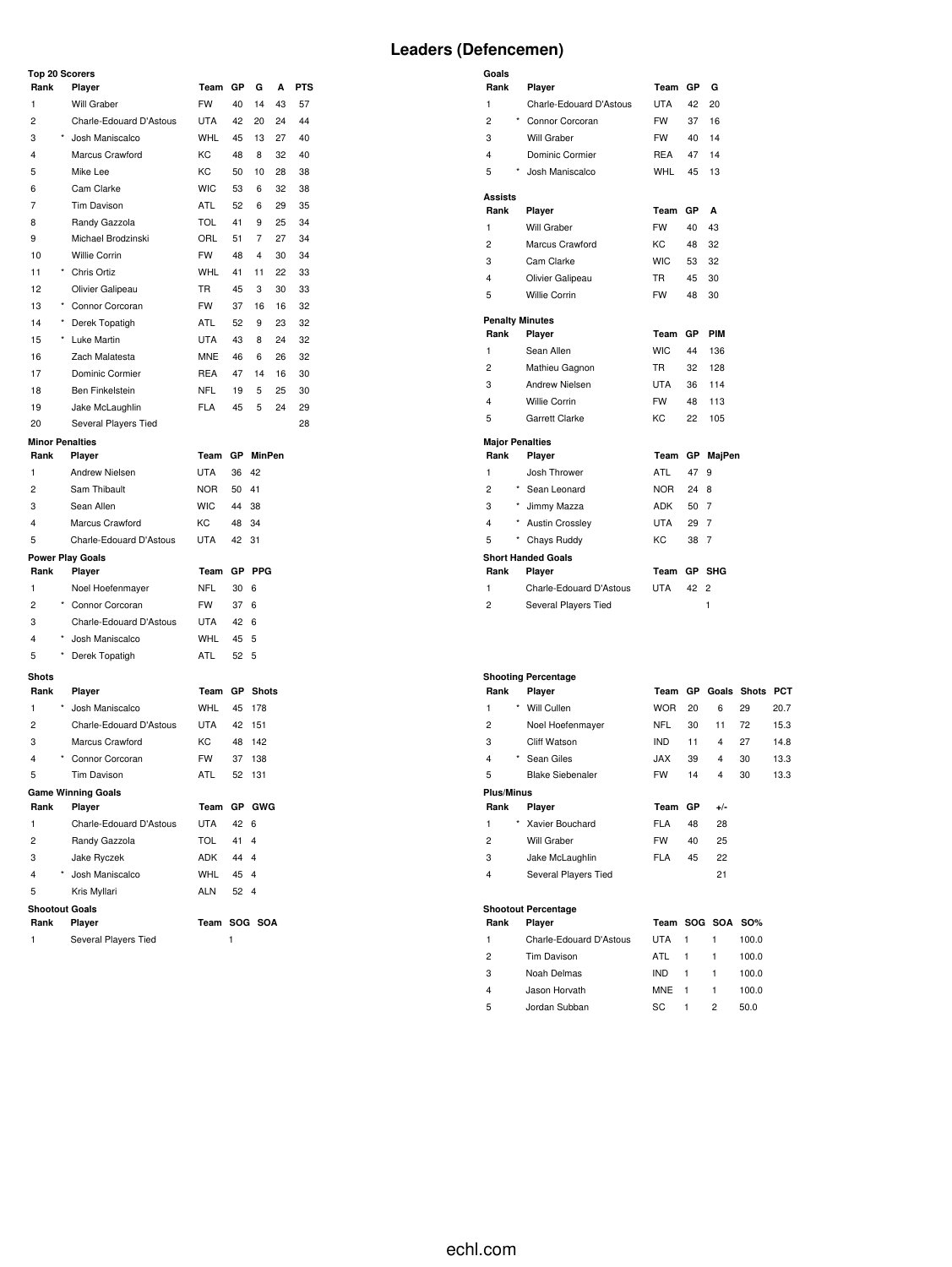### **Top 20 Scorers**

|  | Leaders (Defencemen) |
|--|----------------------|
|--|----------------------|

**Goals**

| Top 20 Scorers          |          |                                       |                  |          |                 |    |     |
|-------------------------|----------|---------------------------------------|------------------|----------|-----------------|----|-----|
| Rank                    | Player   |                                       | Team             | GP       | G               | A  | PTS |
| 1                       |          | Will Graber                           | <b>FW</b>        | 40       | 14              | 43 | 57  |
| 2                       |          | Charle-Edouard D'Astous               | <b>UTA</b>       | 42       | 20              | 24 | 44  |
| 3                       |          | Josh Maniscalco                       | <b>WHL</b>       | 45       | 13              | 27 | 40  |
| 4                       |          | Marcus Crawford                       | KC               | 48       | 8               | 32 | 40  |
| 5                       |          | Mike Lee                              | KC               | 50       | 10              | 28 | 38  |
| 6                       |          | Cam Clarke                            | <b>WIC</b>       | 53       | 6               | 32 | 38  |
| 7                       |          | <b>Tim Davison</b>                    | <b>ATL</b>       | 52       | 6               | 29 | 35  |
| 8                       |          | Randy Gazzola                         | <b>TOL</b>       | 41       | 9               | 25 | 34  |
| 9                       |          | Michael Brodzinski                    | ORL              | 51       | 7               | 27 | 34  |
| 10                      |          | Willie Corrin                         | <b>FW</b>        | 48       | 4               | 30 | 34  |
| 11                      |          | Chris Ortiz                           | <b>WHL</b>       | 41       | 11              | 22 | 33  |
| 12                      |          | Olivier Galipeau                      | <b>TR</b>        | 45       | 3               | 30 | 33  |
| 13                      | $\star$  | Connor Corcoran                       | <b>FW</b>        | 37       | 16              | 16 | 32  |
| 14                      | $^\star$ | Derek Topatigh                        | <b>ATL</b>       | 52       | 9               | 23 | 32  |
| 15                      |          | Luke Martin                           | <b>UTA</b>       | 43       | 8               | 24 | 32  |
| 16                      |          | Zach Malatesta                        | <b>MNE</b>       | 46       | 6               | 26 | 32  |
| 17                      |          | Dominic Cormier                       | <b>REA</b>       | 47       | 14              | 16 | 30  |
| 18                      |          | <b>Ben Finkelstein</b>                | <b>NFL</b>       | 19       | 5               | 25 | 30  |
| 19                      |          | Jake McLaughlin                       | <b>FLA</b>       | 45       | 5               | 24 | 29  |
| 20                      |          | Several Players Tied                  |                  |          |                 |    | 28  |
| <b>Minor Penalties</b>  |          |                                       |                  |          |                 |    |     |
| Rank                    | Player   |                                       | Team             |          | GP MinPen       |    |     |
| 1                       |          | <b>Andrew Nielsen</b>                 | <b>UTA</b>       | 36       | 42              |    |     |
| 2                       |          | Sam Thibault                          | <b>NOR</b>       | 50       | 41              |    |     |
| 3                       |          | Sean Allen                            | <b>WIC</b>       | 44       | 38              |    |     |
| 4                       |          | Marcus Crawford                       | КC               | 48       | 34              |    |     |
| 5                       |          | Charle-Edouard D'Astous               | <b>UTA</b>       | 42       | 31              |    |     |
| <b>Power Play Goals</b> |          |                                       |                  | GP       | <b>PPG</b>      |    |     |
| Rank<br>$\mathbf{1}$    | Player   |                                       | Team             |          | 6               |    |     |
| 2                       |          | Noel Hoefenmayer<br>* Connor Corcoran | NFL<br><b>FW</b> | 30       |                 |    |     |
| 3                       |          | Charle-Edouard D'Astous               | UTA              | 37<br>42 | 6<br>6          |    |     |
| 4                       |          | Josh Maniscalco                       | <b>WHL</b>       | 45       | 5               |    |     |
| 5                       |          | Derek Topatigh                        | ATL              | 52       | 5               |    |     |
|                         |          |                                       |                  |          |                 |    |     |
| <b>Shots</b><br>Rank    |          |                                       | Team             |          | <b>GP</b> Shots |    |     |
| $\mathbf{1}$            | Player   | Josh Maniscalco                       | <b>WHL</b>       | 45       | 178             |    |     |
| 2                       |          | Charle-Edouard D'Astous               | <b>UTA</b>       | 42       | 151             |    |     |
| 3                       |          | Marcus Crawford                       | KC               | 48       | 142             |    |     |
| 4                       |          | Connor Corcoran                       | <b>FW</b>        | 37       | 138             |    |     |
| 5                       |          | Tim Davison                           | <b>ATL</b>       | 52       | 131             |    |     |
|                         |          |                                       |                  |          |                 |    |     |
| Rank                    | Player   | <b>Game Winning Goals</b>             | Team             |          | GP GWG          |    |     |
| 1                       |          | Charle-Edouard D'Astous               | <b>UTA</b>       | 42       | 6               |    |     |
| $\overline{2}$          |          | Randy Gazzola                         | <b>TOL</b>       | 41       | 4               |    |     |
| 3                       |          | Jake Ryczek                           | ADK              | 44       | 4               |    |     |
| $\overline{4}$          |          | * Josh Maniscalco                     | WHL              | 45       | 4               |    |     |
| 5                       |          | Kris Myllari                          | <b>ALN</b>       | 52       | $\overline{4}$  |    |     |
| <b>Shootout Goals</b>   |          |                                       |                  |          |                 |    |     |
| Rank                    | Player   |                                       | Team             |          | SOG SOA         |    |     |
| 1                       |          | Several Players Tied                  |                  | 1        |                 |    |     |

| Rank                      | Player                    | Team       | GP        | G              |
|---------------------------|---------------------------|------------|-----------|----------------|
| 1                         | Charle-Edouard D'Astous   | <b>UTA</b> | 42        | 20             |
| $\overline{c}$            | Connor Corcoran           | <b>FW</b>  | 37        | 16             |
| 3                         | Will Graber               | FW         | 40        | 14             |
| 4                         | Dominic Cormier           | <b>REA</b> | 47        | 14             |
| 5                         | Josh Maniscalco           | WHL        | 45        | 13             |
| Assists                   |                           |            |           |                |
| Rank                      | Player                    | Team       | GP        | A              |
| 1                         | Will Graber               | <b>FW</b>  | 40        | 43             |
| $\overline{c}$            | Marcus Crawford           | KC.        | 48        | 32             |
| 3                         | Cam Clarke                | <b>WIC</b> | 53        | 32             |
| 4                         | Olivier Galipeau          | <b>TR</b>  | 45        | 30             |
| 5                         | Willie Corrin             | <b>FW</b>  | 48        | 30             |
| <b>Penalty Minutes</b>    |                           |            |           |                |
| Rank                      | Player                    | Team       | <b>GP</b> | PIM            |
| 1                         | Sean Allen                | <b>WIC</b> | 44        | 136            |
| $\overline{c}$            | Mathieu Gagnon            | <b>TR</b>  | 32        | 128            |
| 3                         | Andrew Nielsen            | <b>UTA</b> | 36        | 114            |
| 4                         | Willie Corrin             | <b>FW</b>  | 48        | 113            |
| 5                         | Garrett Clarke            | KC.        | 22        | 105            |
| <b>Major Penalties</b>    |                           |            |           |                |
| Rank                      | Player                    | Team       | GP.       | MajPen         |
| 1                         | Josh Thrower              | ATL        | 47        | 9              |
| $\star$<br>$\overline{2}$ | Sean Leonard              | <b>NOR</b> | 24        | 8              |
| 3                         | * Jimmy Mazza             | <b>ADK</b> | 50        | 7              |
| 4<br>$\star$              | <b>Austin Crossley</b>    | <b>UTA</b> | 29        | 7              |
| *<br>5                    | Chays Ruddy               | KC         | 38        | 7              |
|                           | <b>Short Handed Goals</b> |            |           |                |
| Rank                      | Player                    | Team       | GР        | SHG            |
| 1                         | Charle-Edouard D'Astous   | <b>UTA</b> | 42        | $\overline{c}$ |
| $\overline{c}$            | Several Players Tied      |            |           | 1              |

#### **Shooting Percentage**

| Rank                    |            | Player                  | Team       | <b>GP</b> |       | Goals Shots | <b>PCT</b> |
|-------------------------|------------|-------------------------|------------|-----------|-------|-------------|------------|
| 1                       | $\star$    | Will Cullen             | <b>WOR</b> | 20        | 6     | 29          | 20.7       |
| $\overline{2}$          |            | Noel Hoefenmayer        | NFL        | 30        | 11    | 72          | 15.3       |
| 3                       |            | Cliff Watson            | <b>IND</b> | 11        | 4     | 27          | 14.8       |
| $\overline{\mathbf{4}}$ | $^{\star}$ | Sean Giles              | <b>JAX</b> | 39        | 4     | 30          | 13.3       |
| 5                       |            | <b>Blake Siebenaler</b> | <b>FW</b>  | 14        | 4     | 30          | 13.3       |
| <b>Plus/Minus</b>       |            |                         |            |           |       |             |            |
|                         |            |                         |            |           |       |             |            |
| Rank                    |            | Player                  | Team       | GP        | $+/-$ |             |            |
| 1                       | $\star$    | Xavier Bouchard         | FLA        | 48        | 28    |             |            |
| $\overline{2}$          |            | Will Graber             | <b>FW</b>  | 40        | 25    |             |            |
| 3                       |            | Jake McLaughlin         | <b>FLA</b> | 45        | 22    |             |            |
| 4                       |            | Several Players Tied    |            |           | 21    |             |            |

#### **Shootout Percentage**

| Rank           | Player                  | Team SOG SOA SO% |   |    |       |
|----------------|-------------------------|------------------|---|----|-------|
| -1             | Charle-Edouard D'Astous | UTA              | 1 |    | 100.0 |
| $\overline{2}$ | Tim Davison             | ATL              | 1 | -1 | 100.0 |
| 3              | Noah Delmas             | <b>IND</b>       | 1 | -1 | 100.0 |
| $\overline{4}$ | Jason Horvath           | MNE              | 1 | -1 | 100.0 |
| 5              | Jordan Subban           | SC.              | 1 | 2  | 50.0  |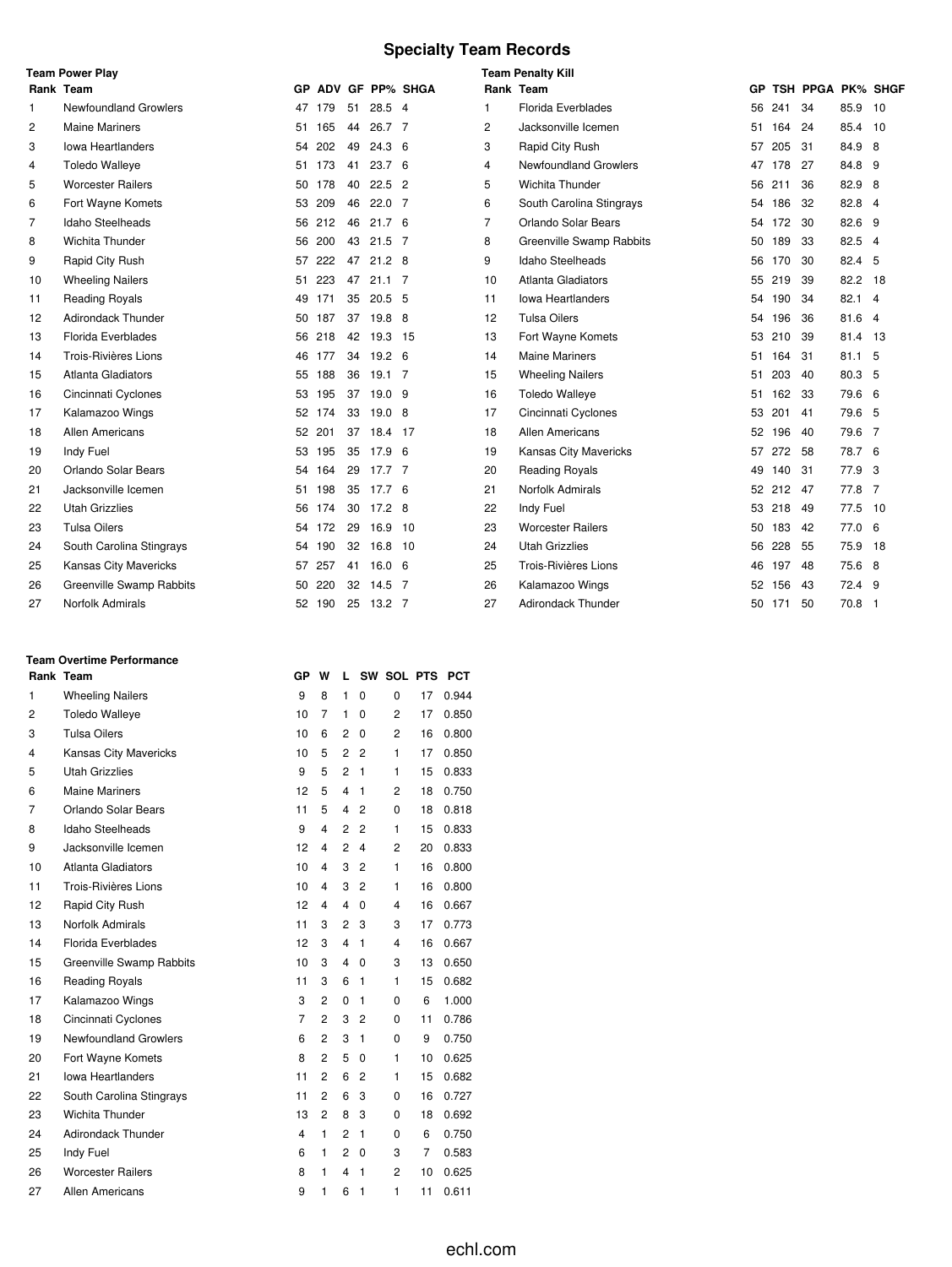## **Specialty Team Records**

| <b>Team Power Play</b> |                              |     |        |    |                   |                 |                | <b>Team Penalty Kill</b>     |     |           |                      |          |                |  |
|------------------------|------------------------------|-----|--------|----|-------------------|-----------------|----------------|------------------------------|-----|-----------|----------------------|----------|----------------|--|
|                        | Rank Team                    | GP. |        |    |                   | ADV GF PP% SHGA |                | Rank Team                    |     |           | GP TSH PPGA PK% SHGF |          |                |  |
| 1                      | <b>Newfoundland Growlers</b> | 47  | 179    | 51 | 28.5 4            |                 | 1              | Florida Everblades           | 56  | 241       | 34                   | 85.9 10  |                |  |
| 2                      | <b>Maine Mariners</b>        | 51  | 165    | 44 | 26.7              | 7               | $\overline{c}$ | Jacksonville Icemen          | 51  | 164       | 24                   | 85.4     | 10             |  |
| 3                      | <b>Iowa Heartlanders</b>     | 54  | 202    | 49 | $24.3\quad6$      |                 | 3              | Rapid City Rush              | 57  | 205       | 31                   | 84.9 8   |                |  |
| 4                      | <b>Toledo Walleye</b>        | 51  | 173    | 41 | 23.76             |                 | 4              | <b>Newfoundland Growlers</b> | 47  | 178       | 27                   | 84.8 9   |                |  |
| 5                      | <b>Worcester Railers</b>     |     | 50 178 | 40 | $22.5$ 2          |                 | 5              | <b>Wichita Thunder</b>       |     | 56 211    | 36                   | 82.9 8   |                |  |
| 6                      | Fort Wayne Komets            | 53  | 209    | 46 | $22.0$ 7          |                 | 6              | South Carolina Stingrays     | 54  | 186       | 32                   | 82.8 4   |                |  |
| 7                      | <b>Idaho Steelheads</b>      | 56  | 212    | 46 | 21.7 <sub>6</sub> |                 | $\overline{7}$ | Orlando Solar Bears          | 54  | 172       | 30                   | 82.6 9   |                |  |
| 8                      | Wichita Thunder              | 56  | 200    | 43 | $21.5$ 7          |                 | 8              | Greenville Swamp Rabbits     | 50  | 189       | 33                   | 82.5     | $\overline{4}$ |  |
| 9                      | Rapid City Rush              | 57  | 222    | 47 | $21.2$ 8          |                 | 9              | Idaho Steelheads             | 56  | 170       | -30                  | 82.4 5   |                |  |
| 10                     | <b>Wheeling Nailers</b>      | 51  | 223    | 47 | $21.1 \quad 7$    |                 | 10             | Atlanta Gladiators           |     | 55 219    | 39                   | 82.2 18  |                |  |
| 11                     | <b>Reading Royals</b>        | 49  | 171    | 35 | $20.5$ 5          |                 | 11             | <b>Iowa Heartlanders</b>     | 54  | 190       | 34                   | 82.1     | $\overline{4}$ |  |
| 12                     | <b>Adirondack Thunder</b>    | 50  | 187    | 37 | 19.8 8            |                 | 12             | <b>Tulsa Oilers</b>          | 54  | 196       | 36                   | 81.6 4   |                |  |
| 13                     | Florida Everblades           | 56  | 218    | 42 | 19.3 15           |                 | 13             | Fort Wayne Komets            | 53  | 210       | 39                   | 81.4 13  |                |  |
| 14                     | Trois-Rivières Lions         | 46  | 177    | 34 | 19.2 <sub>6</sub> |                 | 14             | <b>Maine Mariners</b>        | 51  | 164       | 31                   | 81.1     | -5             |  |
| 15                     | <b>Atlanta Gladiators</b>    | 55  | 188    | 36 | $19.1 \t 7$       |                 | 15             | <b>Wheeling Nailers</b>      | 51  | 203       | 40                   | 80.3     | -5             |  |
| 16                     | Cincinnati Cyclones          | 53  | 195    | 37 | 19.0 9            |                 | 16             | <b>Toledo Walleye</b>        | 51. | 162 33    |                      | 79.6 6   |                |  |
| 17                     | Kalamazoo Wings              | 52  | 174    | 33 | 19.0 <sub>8</sub> |                 | 17             | Cincinnati Cyclones          | 53  | 201       | 41                   | 79.6 5   |                |  |
| 18                     | <b>Allen Americans</b>       | 52  | 201    | 37 | 18.4 17           |                 | 18             | <b>Allen Americans</b>       |     | 52 196    | 40                   | 79.6 7   |                |  |
| 19                     | Indy Fuel                    | 53  | 195    | 35 | 17.9 6            |                 | 19             | <b>Kansas City Mavericks</b> | 57  | 272       | 58                   | 78.7 6   |                |  |
| 20                     | Orlando Solar Bears          | 54  | 164    | 29 | 17.7 <sub>7</sub> |                 | 20             | <b>Reading Royals</b>        | 49  | 140       | 31                   | 77.9 3   |                |  |
| 21                     | Jacksonville Icemen          | 51  | 198    | 35 | 17.7 <sub>6</sub> |                 | 21             | Norfolk Admirals             |     | 52 212 47 |                      | 77.8 7   |                |  |
| 22                     | <b>Utah Grizzlies</b>        | 56  | 174    | 30 | 17.2 <sub>8</sub> |                 | 22             | Indy Fuel                    |     | 53 218    | 49                   | 77.5 10  |                |  |
| 23                     | <b>Tulsa Oilers</b>          | 54  | 172    | 29 | 16.9              | 10              | 23             | <b>Worcester Railers</b>     | 50  | 183       | 42                   | 77.0 6   |                |  |
| 24                     | South Carolina Stingrays     | 54  | 190    | 32 | 16.8 10           |                 | 24             | <b>Utah Grizzlies</b>        | 56  | 228       | 55                   | 75.9 18  |                |  |
| 25                     | <b>Kansas City Mavericks</b> | 57  | 257    | 41 | 16.0 <sub>6</sub> |                 | 25             | Trois-Rivières Lions         | 46. | 197       | 48                   | 75.6 8   |                |  |
| 26                     | Greenville Swamp Rabbits     | 50  | 220    | 32 | $14.5$ 7          |                 | 26             | Kalamazoo Wings              | 52  | 156       | 43                   | 72.4 9   |                |  |
| 27                     | Norfolk Admirals             | 52  | 190    | 25 | 13.2 7            |                 | 27             | <b>Adirondack Thunder</b>    |     | 50 171    | 50                   | $70.8$ 1 |                |  |

|                | Rank Team                 | GР | w                       | L              |                | SW SOL PTS     |    | <b>PCT</b> |
|----------------|---------------------------|----|-------------------------|----------------|----------------|----------------|----|------------|
| 1              | <b>Wheeling Nailers</b>   | 9  | 8                       | 1              | 0              | 0              | 17 | 0.944      |
| 2              | <b>Toledo Walleye</b>     | 10 | $\overline{7}$          | 1              | 0              | $\overline{2}$ | 17 | 0.850      |
| 3              | <b>Tulsa Oilers</b>       | 10 | 6                       | $\overline{2}$ | 0              | 2              | 16 | 0.800      |
| $\overline{4}$ | Kansas City Mavericks     | 10 | 5                       | $\overline{c}$ | $\overline{2}$ | 1              | 17 | 0.850      |
| 5              | <b>Utah Grizzlies</b>     | 9  | 5                       | $\overline{2}$ | 1              | 1              | 15 | 0.833      |
| 6              | <b>Maine Mariners</b>     | 12 | 5                       | 4              | 1              | 2              | 18 | 0.750      |
| 7              | Orlando Solar Bears       | 11 | 5                       | 4              | $\overline{2}$ | 0              | 18 | 0.818      |
| 8              | <b>Idaho Steelheads</b>   | 9  | 4                       | 2              | $\overline{c}$ | 1              | 15 | 0.833      |
| 9              | Jacksonville Icemen       | 12 | 4                       | $\overline{2}$ | 4              | 2              | 20 | 0.833      |
| 10             | <b>Atlanta Gladiators</b> | 10 | $\overline{\mathbf{4}}$ | 3              | $\overline{2}$ | 1              | 16 | 0.800      |
| 11             | Trois-Rivières Lions      | 10 | 4                       | 3              | $\overline{2}$ | 1              | 16 | 0.800      |
| 12             | Rapid City Rush           | 12 | 4                       | 4              | 0              | 4              | 16 | 0.667      |
| 13             | Norfolk Admirals          | 11 | 3                       | $\overline{2}$ | 3              | 3              | 17 | 0.773      |
| 14             | Florida Everblades        | 12 | 3                       | 4              | 1              | 4              | 16 | 0.667      |
| 15             | Greenville Swamp Rabbits  | 10 | 3                       | 4              | 0              | 3              | 13 | 0.650      |
| 16             | <b>Reading Royals</b>     | 11 | 3                       | 6              | 1              | 1              | 15 | 0.682      |
| 17             | Kalamazoo Wings           | 3  | 2                       | $\mathbf 0$    | $\mathbf{1}$   | 0              | 6  | 1.000      |
| 18             | Cincinnati Cyclones       | 7  | $\overline{2}$          | 3              | 2              | 0              | 11 | 0.786      |
| 19             | Newfoundland Growlers     | 6  | 2                       | 3              | $\mathbf{1}$   | 0              | 9  | 0.750      |
| 20             | Fort Wayne Komets         | 8  | 2                       | 5              | 0              | 1              | 10 | 0.625      |
| 21             | <b>Iowa Heartlanders</b>  | 11 | $\overline{2}$          | 6              | $\overline{2}$ | 1              | 15 | 0.682      |
| 22             | South Carolina Stingrays  | 11 | $\overline{2}$          | 6              | 3              | 0              | 16 | 0.727      |
| 23             | Wichita Thunder           | 13 | 2                       | 8              | 3              | 0              | 18 | 0.692      |
| 24             | Adirondack Thunder        | 4  | $\mathbf{1}$            | $\overline{2}$ | 1              | 0              | 6  | 0.750      |
| 25             | Indy Fuel                 | 6  | $\mathbf{1}$            | $\overline{2}$ | 0              | 3              | 7  | 0.583      |
| 26             | <b>Worcester Railers</b>  | 8  | $\mathbf{1}$            | 4              | $\mathbf{1}$   | 2              | 10 | 0.625      |
| 27             | <b>Allen Americans</b>    | 9  | 1                       | 6              | 1              | 1              | 11 | 0.611      |

**Team Overtime Performance**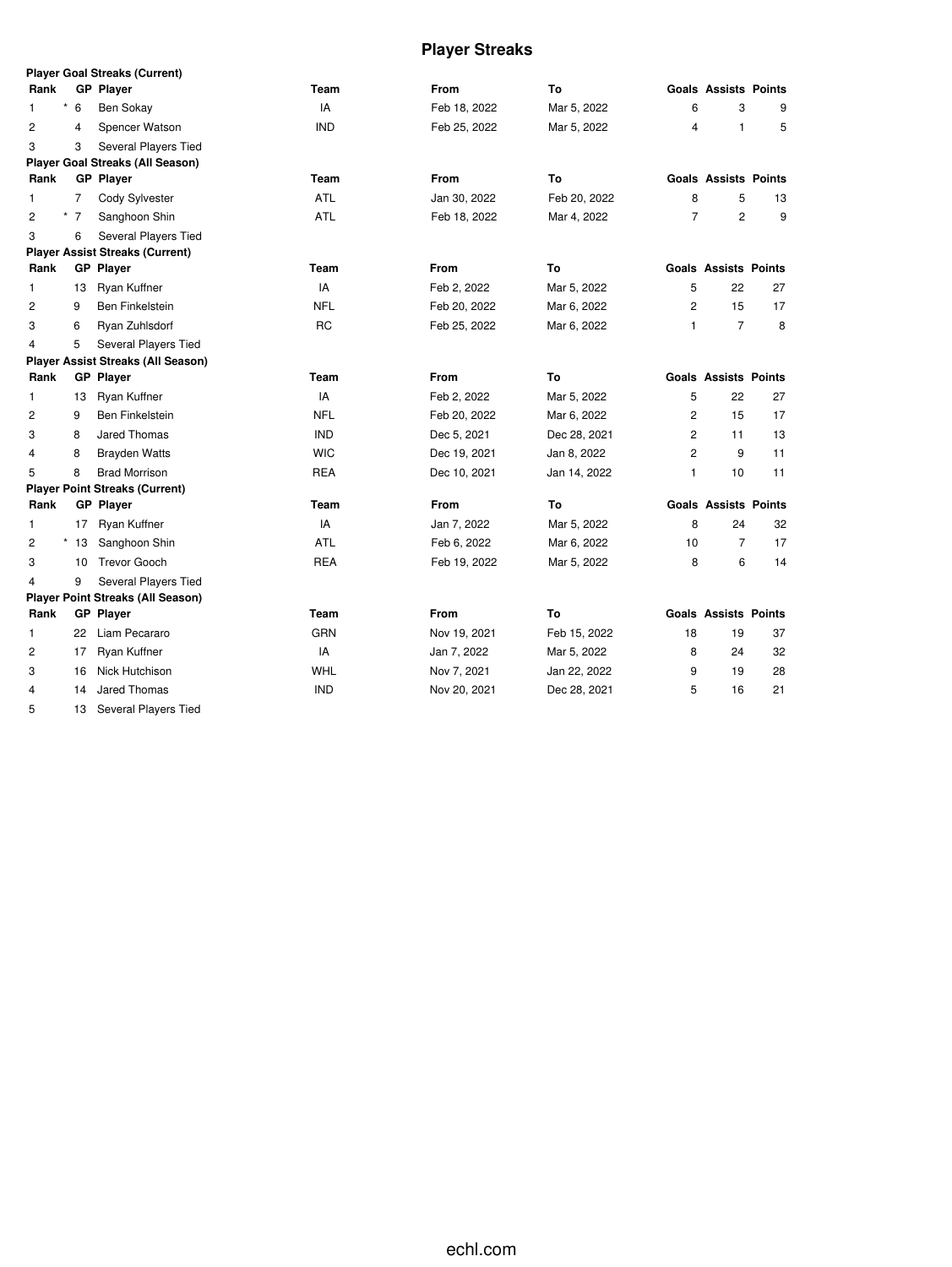## **Player Streaks**

|                |                | <b>Player Goal Streaks (Current)</b>     |            |              |              |                |                             |    |
|----------------|----------------|------------------------------------------|------------|--------------|--------------|----------------|-----------------------------|----|
| Rank           |                | <b>GP Player</b>                         | Team       | <b>From</b>  | To           |                | <b>Goals Assists Points</b> |    |
| 1              | $*$ 6          | <b>Ben Sokay</b>                         | IA         | Feb 18, 2022 | Mar 5, 2022  | 6              | 3                           | 9  |
| $\overline{2}$ | $\overline{4}$ | Spencer Watson                           | <b>IND</b> | Feb 25, 2022 | Mar 5, 2022  | 4              | $\mathbf{1}$                | 5  |
| 3              | 3              | Several Players Tied                     |            |              |              |                |                             |    |
|                |                | <b>Player Goal Streaks (All Season)</b>  |            |              |              |                |                             |    |
| Rank           |                | <b>GP Player</b>                         | Team       | From         | To           |                | <b>Goals Assists Points</b> |    |
| 1              | 7              | Cody Sylvester                           | <b>ATL</b> | Jan 30, 2022 | Feb 20, 2022 | 8              | 5                           | 13 |
| $\overline{2}$ | $*$ 7          | Sanghoon Shin                            | <b>ATL</b> | Feb 18, 2022 | Mar 4, 2022  | $\overline{7}$ | $\overline{c}$              | 9  |
| 3              | 6              | Several Players Tied                     |            |              |              |                |                             |    |
|                |                | <b>Player Assist Streaks (Current)</b>   |            |              |              |                |                             |    |
| Rank           |                | <b>GP Player</b>                         | Team       | <b>From</b>  | To           |                | <b>Goals Assists Points</b> |    |
| 1              | 13             | Ryan Kuffner                             | IA         | Feb 2, 2022  | Mar 5, 2022  | 5              | 22                          | 27 |
| $\overline{2}$ | 9              | <b>Ben Finkelstein</b>                   | <b>NFL</b> | Feb 20, 2022 | Mar 6, 2022  | 2              | 15                          | 17 |
| 3              | 6              | Ryan Zuhlsdorf                           | <b>RC</b>  | Feb 25, 2022 | Mar 6, 2022  | 1              | $\overline{7}$              | 8  |
| $\overline{4}$ | 5              | Several Players Tied                     |            |              |              |                |                             |    |
|                |                | Player Assist Streaks (All Season)       |            |              |              |                |                             |    |
| Rank           |                | <b>GP</b> Player                         | Team       | <b>From</b>  | To           |                | <b>Goals Assists Points</b> |    |
| 1              | 13             | Ryan Kuffner                             | IA         | Feb 2, 2022  | Mar 5, 2022  | 5              | 22                          | 27 |
| 2              | 9              | Ben Finkelstein                          | <b>NFL</b> | Feb 20, 2022 | Mar 6, 2022  | 2              | 15                          | 17 |
| 3              | 8              | Jared Thomas                             | <b>IND</b> | Dec 5, 2021  | Dec 28, 2021 | 2              | 11                          | 13 |
| $\overline{4}$ | 8              | <b>Brayden Watts</b>                     | <b>WIC</b> | Dec 19, 2021 | Jan 8, 2022  | 2              | 9                           | 11 |
| 5              | 8              | <b>Brad Morrison</b>                     | <b>REA</b> | Dec 10, 2021 | Jan 14, 2022 | 1              | 10                          | 11 |
|                |                | <b>Player Point Streaks (Current)</b>    |            |              |              |                |                             |    |
| Rank           |                | <b>GP</b> Player                         | Team       | From         | To           |                | <b>Goals Assists Points</b> |    |
| 1              | 17             | Ryan Kuffner                             | IA         | Jan 7, 2022  | Mar 5, 2022  | 8              | 24                          | 32 |
| 2              | $*13$          | Sanghoon Shin                            | <b>ATL</b> | Feb 6, 2022  | Mar 6, 2022  | 10             | $\overline{7}$              | 17 |
| 3              | 10             | <b>Trevor Gooch</b>                      | <b>REA</b> | Feb 19, 2022 | Mar 5, 2022  | 8              | 6                           | 14 |
| $\overline{4}$ | 9              | Several Players Tied                     |            |              |              |                |                             |    |
|                |                | <b>Player Point Streaks (All Season)</b> |            |              |              |                |                             |    |
| Rank           |                | GP Player                                | Team       | From         | To           |                | <b>Goals Assists Points</b> |    |
| 1              | 22             | Liam Pecararo                            | <b>GRN</b> | Nov 19, 2021 | Feb 15, 2022 | 18             | 19                          | 37 |
| $\overline{c}$ | 17             | Ryan Kuffner                             | IA         | Jan 7, 2022  | Mar 5, 2022  | 8              | 24                          | 32 |
| 3              | 16             | Nick Hutchison                           | WHL        | Nov 7, 2021  | Jan 22, 2022 | 9              | 19                          | 28 |
| $\overline{4}$ | 14             | Jared Thomas                             | <b>IND</b> | Nov 20, 2021 | Dec 28, 2021 | 5              | 16                          | 21 |

13 Several Players Tied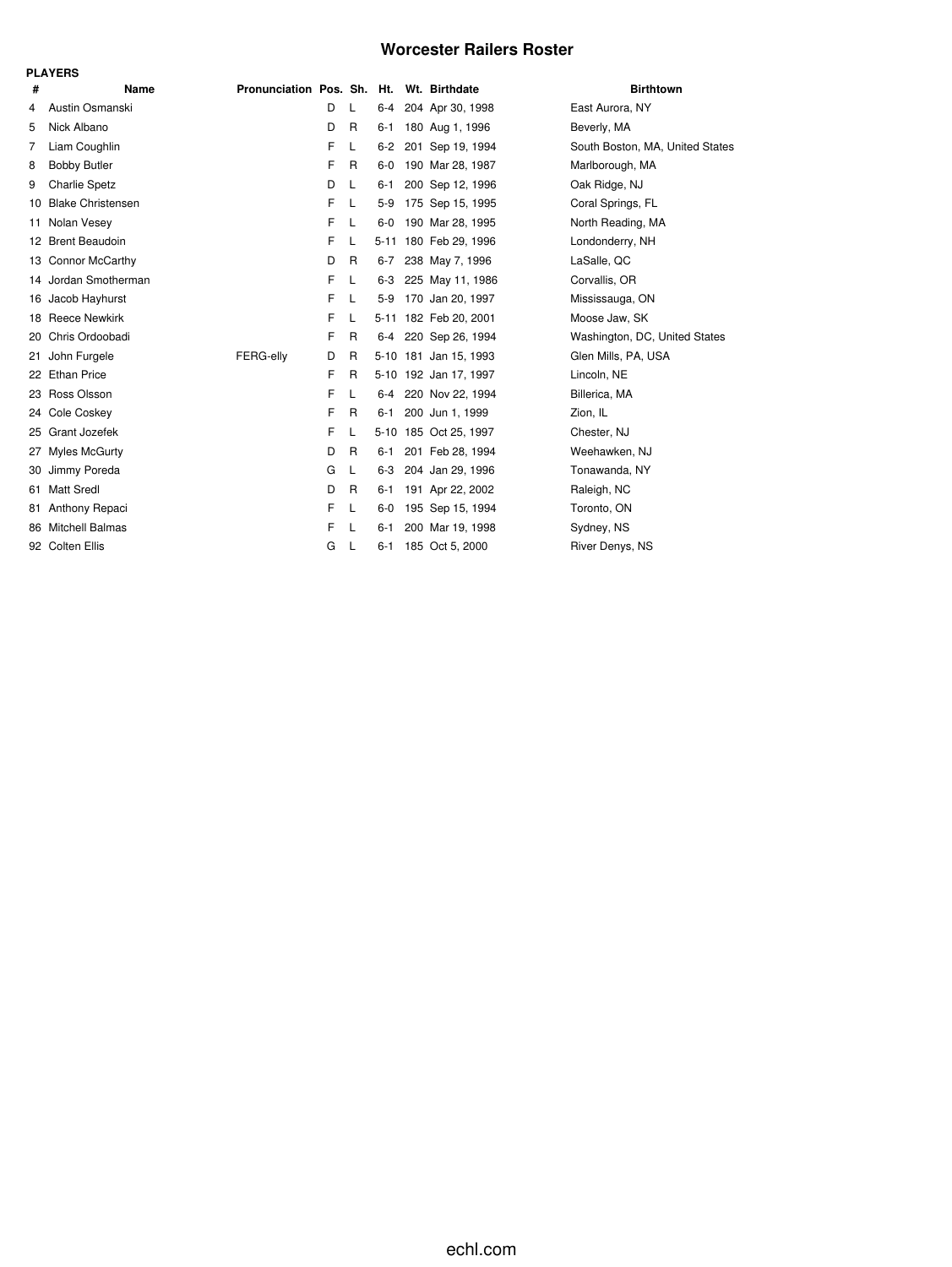# **Worcester Railers Roster**

|    |                          |                            |    |              |         | Worcester Railers Roster |                                 |
|----|--------------------------|----------------------------|----|--------------|---------|--------------------------|---------------------------------|
|    | <b>PLAYERS</b>           |                            |    |              |         |                          |                                 |
| #  | Name                     | Pronunciation Pos. Sh. Ht. |    |              |         | Wt. Birthdate            | <b>Birthtown</b>                |
| 4  | Austin Osmanski          |                            | D  | L            | $6-4$   | 204 Apr 30, 1998         | East Aurora, NY                 |
| 5  | Nick Albano              |                            | D  | $\mathsf{R}$ | $6 - 1$ | 180 Aug 1, 1996          | Beverly, MA                     |
| 7  | Liam Coughlin            |                            | F  | L            | $6 - 2$ | 201 Sep 19, 1994         | South Boston, MA, United States |
| 8  | <b>Bobby Butler</b>      |                            | F  | $\mathsf{R}$ | $6-0$   | 190 Mar 28, 1987         | Marlborough, MA                 |
| 9  | <b>Charlie Spetz</b>     |                            | D  | L            | 6-1     | 200 Sep 12, 1996         | Oak Ridge, NJ                   |
| 10 | <b>Blake Christensen</b> |                            | F  | L            | $5-9$   | 175 Sep 15, 1995         | Coral Springs, FL               |
|    | 11 Nolan Vesey           |                            | F. | $\mathsf{L}$ | $6-0$   | 190 Mar 28, 1995         | North Reading, MA               |
|    | 12 Brent Beaudoin        |                            | F  | L            |         | 5-11 180 Feb 29, 1996    | Londonderry, NH                 |
|    | 13 Connor McCarthy       |                            | D  | $\mathsf{R}$ | $6 - 7$ | 238 May 7, 1996          | LaSalle, QC                     |
|    | 14 Jordan Smotherman     |                            | F  | L            | $6-3$   | 225 May 11, 1986         | Corvallis, OR                   |
| 16 | Jacob Hayhurst           |                            | F. | L            |         | 5-9 170 Jan 20, 1997     | Mississauga, ON                 |
| 18 | <b>Reece Newkirk</b>     |                            | F  |              |         | 5-11 182 Feb 20, 2001    | Moose Jaw, SK                   |
| 20 | Chris Ordoobadi          |                            | F  | R            |         | 6-4 220 Sep 26, 1994     | Washington, DC, United States   |
| 21 | John Furgele             | FERG-elly                  | D  | $\mathsf{R}$ |         | 5-10 181 Jan 15, 1993    | Glen Mills, PA, USA             |
| 22 | <b>Ethan Price</b>       |                            | F  | $\mathsf{R}$ |         | 5-10 192 Jan 17, 1997    | Lincoln, NE                     |
| 23 | Ross Olsson              |                            | F  | L            |         | 6-4 220 Nov 22, 1994     | Billerica, MA                   |
|    | 24 Cole Coskey           |                            | F  | $\mathsf{R}$ | $6 - 1$ | 200 Jun 1, 1999          | Zion, IL                        |
| 25 | Grant Jozefek            |                            | F  | L            |         | 5-10 185 Oct 25, 1997    | Chester, NJ                     |
| 27 | <b>Myles McGurty</b>     |                            | D  | $\mathsf{R}$ | $6 - 1$ | 201 Feb 28, 1994         | Weehawken, NJ                   |
| 30 | Jimmy Poreda             |                            | G  | L            | $6 - 3$ | 204 Jan 29, 1996         | Tonawanda, NY                   |
| 61 | <b>Matt Sredl</b>        |                            | D  | $\mathsf{R}$ | $6 - 1$ | 191 Apr 22, 2002         | Raleigh, NC                     |
| 81 | Anthony Repaci           |                            | F  | L            | $6-0$   | 195 Sep 15, 1994         | Toronto, ON                     |
| 86 | <b>Mitchell Balmas</b>   |                            | F  |              | $6 - 1$ | 200 Mar 19, 1998         | Sydney, NS                      |

92 Colten Ellis **G** L 6-1 185 Oct 5, 2000 River Denys, NS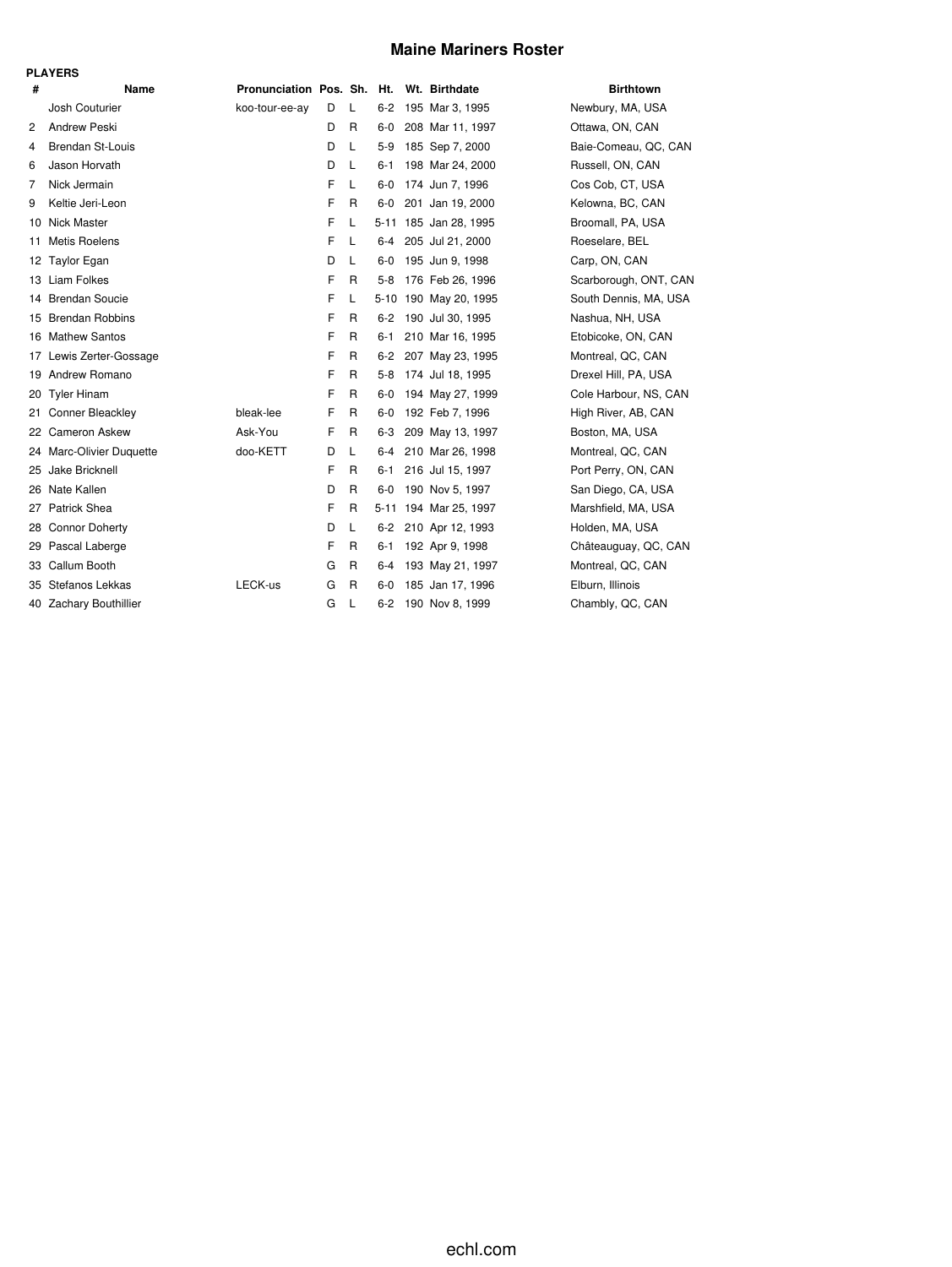## **Maine Mariners Roster**

| ⊶ AYE⊷ | د. |
|--------|----|
|--------|----|

|    | PLAYERS                 |                                          |   |              |         |                       |                       |
|----|-------------------------|------------------------------------------|---|--------------|---------|-----------------------|-----------------------|
| #  | Name                    | Pronunciation Pos. Sh. Ht. Wt. Birthdate |   |              |         |                       | <b>Birthtown</b>      |
|    | Josh Couturier          | koo-tour-ee-ay                           | D | L            | $6 - 2$ | 195 Mar 3, 1995       | Newbury, MA, USA      |
| 2  | <b>Andrew Peski</b>     |                                          | D | R            | $6-0$   | 208 Mar 11, 1997      | Ottawa, ON, CAN       |
| 4  | <b>Brendan St-Louis</b> |                                          | D | L            | $5-9$   | 185 Sep 7, 2000       | Baie-Comeau, QC, CAN  |
| 6  | Jason Horvath           |                                          | D | L            | 6-1     | 198 Mar 24, 2000      | Russell, ON, CAN      |
| 7  | Nick Jermain            |                                          | F | L            | $6-0$   | 174 Jun 7, 1996       | Cos Cob, CT, USA      |
| 9  | Keltie Jeri-Leon        |                                          | F | R            | 6-0     | 201 Jan 19, 2000      | Kelowna, BC, CAN      |
| 10 | <b>Nick Master</b>      |                                          | F | L            |         | 5-11 185 Jan 28, 1995 | Broomall, PA, USA     |
| 11 | Metis Roelens           |                                          | F | L            | 6-4     | 205 Jul 21, 2000      | Roeselare, BEL        |
| 12 | <b>Taylor Egan</b>      |                                          | D | L            | $6-0$   | 195 Jun 9, 1998       | Carp, ON, CAN         |
| 13 | Liam Folkes             |                                          | F | R            | $5 - 8$ | 176 Feb 26, 1996      | Scarborough, ONT, CAN |
| 14 | <b>Brendan Soucie</b>   |                                          | F | L            |         | 5-10 190 May 20, 1995 | South Dennis, MA, USA |
| 15 | <b>Brendan Robbins</b>  |                                          | F | R            | $6 - 2$ | 190 Jul 30, 1995      | Nashua, NH, USA       |
| 16 | <b>Mathew Santos</b>    |                                          | F | R            | 6-1     | 210 Mar 16, 1995      | Etobicoke, ON, CAN    |
|    | 17 Lewis Zerter-Gossage |                                          | F | R            | $6-2$   | 207 May 23, 1995      | Montreal, QC, CAN     |
| 19 | Andrew Romano           |                                          | F | R            | $5 - 8$ | 174 Jul 18, 1995      | Drexel Hill, PA, USA  |
| 20 | <b>Tyler Hinam</b>      |                                          | F | R            | $6-0$   | 194 May 27, 1999      | Cole Harbour, NS, CAN |
| 21 | Conner Bleackley        | bleak-lee                                | F | R            | $6-0$   | 192 Feb 7, 1996       | High River, AB, CAN   |
| 22 | <b>Cameron Askew</b>    | Ask-You                                  | F | R            | $6 - 3$ | 209 May 13, 1997      | Boston, MA, USA       |
| 24 | Marc-Olivier Duquette   | doo-KETT                                 | D | L            | 6-4     | 210 Mar 26, 1998      | Montreal, QC, CAN     |
| 25 | Jake Bricknell          |                                          | F | $\mathsf{R}$ | 6-1     | 216 Jul 15, 1997      | Port Perry, ON, CAN   |
| 26 | Nate Kallen             |                                          | D | R            | $6-0$   | 190 Nov 5, 1997       | San Diego, CA, USA    |
| 27 | Patrick Shea            |                                          | F | R            |         | 5-11 194 Mar 25, 1997 | Marshfield, MA, USA   |
| 28 | <b>Connor Doherty</b>   |                                          | D | L            | $6 - 2$ | 210 Apr 12, 1993      | Holden, MA, USA       |
| 29 | Pascal Laberge          |                                          | F | R            | $6 - 1$ | 192 Apr 9, 1998       | Châteauguay, QC, CAN  |
| 33 | Callum Booth            |                                          | G | R            | $6 - 4$ | 193 May 21, 1997      | Montreal, QC, CAN     |
| 35 | Stefanos Lekkas         | LECK-us                                  | G | R            | $6-0$   | 185 Jan 17, 1996      | Elburn, Illinois      |
|    | 40 Zachary Bouthillier  |                                          | G | L            | $6 - 2$ | 190 Nov 8, 1999       | Chambly, QC, CAN      |
|    |                         |                                          |   |              |         |                       |                       |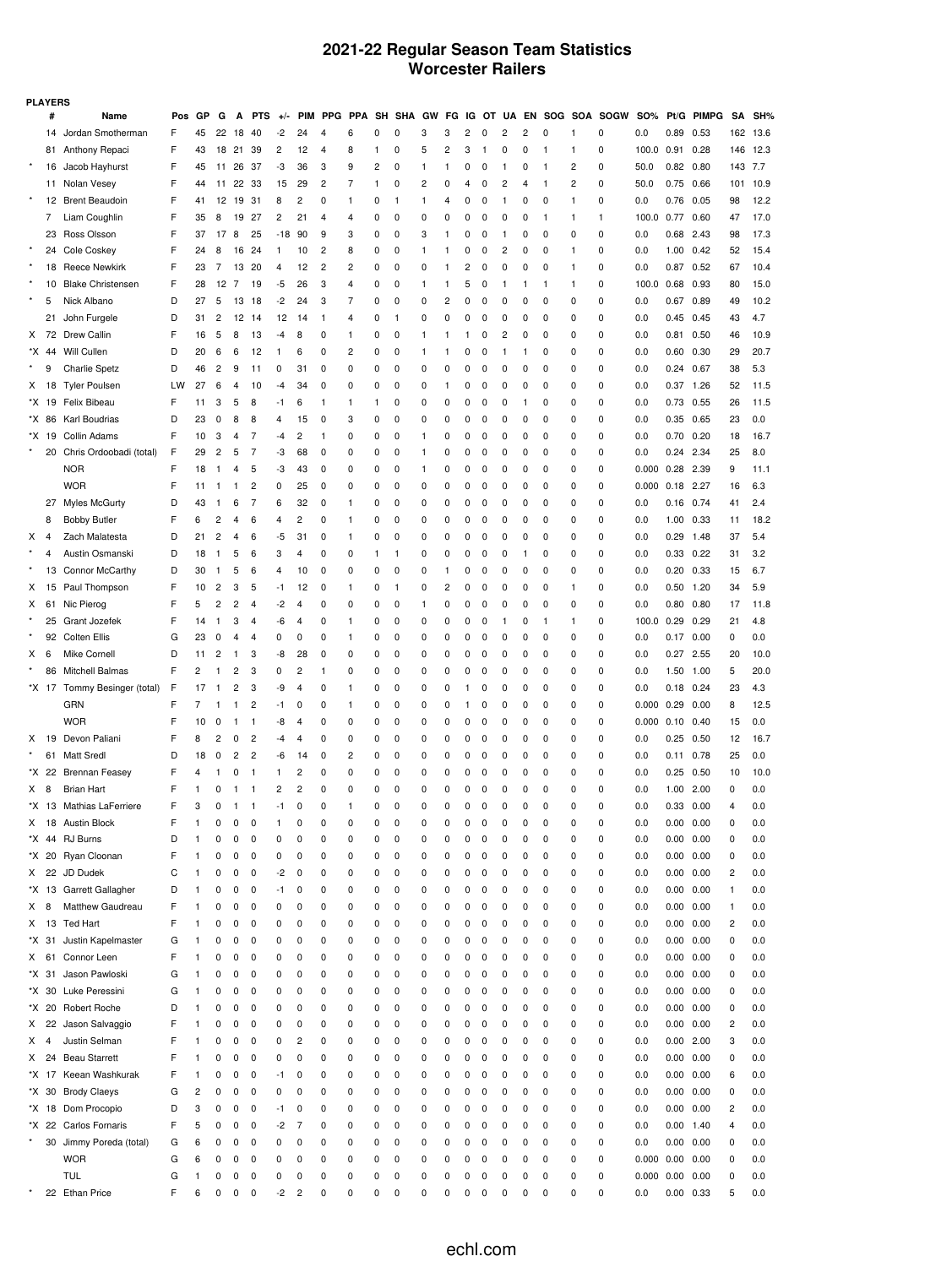#### **2021-22 Regular Season Team Statistics Worcester Railers**

|         | <b>PLAYERS</b> |                              |     |              |                |              |                |      |                |              |                |              |            |    |    |    |              |                |                |     |            |             |                       |                   |              |                |      |
|---------|----------------|------------------------------|-----|--------------|----------------|--------------|----------------|------|----------------|--------------|----------------|--------------|------------|----|----|----|--------------|----------------|----------------|-----|------------|-------------|-----------------------|-------------------|--------------|----------------|------|
|         | #              | Name                         | Pos | GP           | G              | Α            | <b>PTS</b>     | $+1$ | PIM            | <b>PPG</b>   | <b>PP</b><br>Α | SH           | <b>SHA</b> | GW | FG | ΙG | от           | UΑ             | <b>EN</b>      | SOG | <b>SOA</b> | <b>SOGW</b> | <b>SO%</b>            | Pt/G              | <b>PIMPG</b> | SA             | SH%  |
|         | 14             | Jordan Smotherman            | F   | 45           | 22             | 18           | 40             | -2   | 24             | 4            | 6              | 0            | 0          | 3  | 3  | 2  | 0            | 2              | $\overline{c}$ | 0   | 1          | 0           | 0.0                   | 0.89              | 0.53         | 162            | 13.6 |
|         | 81             | Anthony Repaci               | F   | 43           | 18             | 21           | 39             | 2    | 12             | 4            | 8              | 1            | 0          | 5  | 2  | 3  | $\mathbf{1}$ | 0              | 0              | 1   | 1          | 0           | 100.0                 | 0.91              | 0.28         | 146            | 12.3 |
|         | 16             | Jacob Hayhurst               | F   | 45           | 11             | 26           | 37             | -3   | 36             | 3            | 9              | 2            | 0          | 1  | 1  | 0  | 0            | 1              | 0              | 1   | 2          | 0           | 50.0                  | 0.82              | 0.80         | 143            | 7.7  |
|         | 11             | Nolan Vesey                  | F   | 44           | 11             | 22           | 33             | 15   | 29             | 2            | 7              | $\mathbf{1}$ | 0          | 2  | 0  | 4  | 0            | 2              | 4              | 1   | 2          | 0           | 50.0                  | 0.75              | 0.66         | 101            | 10.9 |
| $\star$ | 12             | <b>Brent Beaudoin</b>        | F   | 41           | 12             | 19           | 31             | 8    | 2              | 0            | -1             | 0            | 1          | 1  | 4  | 0  | 0            | 1              | 0              | 0   | 1          | 0           | 0.0                   | 0.76              | 0.05         | 98             | 12.2 |
|         | 7              | Liam Coughlin                | F   | 35           | 8              | 19           | 27             | 2    | 21             | 4            | 4              | 0            | 0          | 0  | 0  | 0  | 0            | 0              | 0              | 1   | 1          | 1           | 100.0                 | 0.77              | 0.60         | 47             | 17.0 |
|         | 23             | Ross Olsson                  | F   | 37           | 17             | 8            | 25             | -18  | 90             | 9            | 3              | 0            | 0          | 3  | 1  | 0  | 0            | 1              | 0              | 0   | 0          | 0           | 0.0                   | 0.68              | 2.43         | 98             | 17.3 |
|         | 24             | Cole Coskey                  | F   | 24           | 8              | 16           | 24             | 1    | 10             | 2            | 8              | 0            | 0          | 1  | 1  | 0  | 0            | $\overline{c}$ | 0              | 0   | 1          | 0           | 0.0                   | 1.00              | 0.42         | 52             | 15.4 |
|         | 18             | Reece Newkirk                | F   | 23           | 7              | 13           | 20             | 4    | 12             | 2            | $\overline{c}$ | 0            | 0          | 0  | 1  | 2  | 0            | 0              | 0              | 0   | 1          | 0           | 0.0                   | 0.87              | 0.52         | 67             | 10.4 |
|         | 10             | <b>Blake Christensen</b>     | F   | 28           | 12             | -7           | 19             | -5   | 26             | 3            | 4              | 0            | 0          | 1  | 1  | 5  | 0            | 1              | 1              | 1   | 1          | 0           | 100.0                 | 0.68              | 0.93         | 80             | 15.0 |
|         | 5              | Nick Albano                  | D   | 27           | 5              | 13           | 18             | -2   | 24             | 3            | 7              | 0            | 0          | 0  | 2  | 0  | 0            | 0              | 0              | 0   | 0          | 0           | 0.0                   | 0.67              | 0.89         | 49             | 10.2 |
|         | 21             | John Furgele                 | D   | 31           | 2              | 12           | 14             | 12   | 14             | $\mathbf{1}$ | 4              | 0            | 1          | 0  | 0  | 0  | 0            | 0              | 0              | 0   | 0          | 0           | 0.0                   | 0.45              | 0.45         | 43             | 4.7  |
| X       | 72             | <b>Drew Callin</b>           | F   | 16           | 5              | 8            | 13             | -4   | 8              | 0            | 1              | 0            | 0          | 1  | 1  | 1  | 0            | 2              | 0              | 0   | 0          | 0           | 0.0                   | 0.81              | 0.50         | 46             | 10.9 |
|         | *X 44          | Will Cullen                  | D   | 20           | 6              | 6            | 12             | 1    | 6              | 0            | $\overline{c}$ | 0            | 0          | 1  | 1  | 0  | 0            | 1              | 1              | 0   | 0          | 0           | 0.0                   | 0.60              | 0.30         | 29             | 20.7 |
|         | 9              | <b>Charlie Spetz</b>         | D   | 46           | $\overline{c}$ | 9            | 11             | 0    | 31             | 0            | 0              | 0            | 0          | 0  | 0  | 0  | 0            | 0              | 0              | 0   | 0          | 0           | 0.0                   | 0.24              | 0.67         | 38             | 5.3  |
| X       | 18             | <b>Tyler Poulsen</b>         | LW  | 27           | 6              | 4            | 10             | -4   | 34             | 0            | 0              | 0            | 0          | 0  | 1  | 0  | 0            | 0              | 0              | 0   | 0          | 0           | 0.0                   | 0.37              | 1.26         | 52             | 11.5 |
|         | *X 19          | Felix Bibeau                 | F   | 11           | 3              | 5            | 8              | -1   | 6              | 1            | 1              | 1            | 0          | 0  | 0  | 0  | 0            | 0              | 1              | 0   | 0          | 0           | 0.0                   | 0.73              | 0.55         | 26             | 11.5 |
|         | *X 86          | Karl Boudrias                | D   | 23           | 0              | 8            | 8              | 4    | 15             | 0            | 3              | 0            | 0          | 0  | 0  | 0  | 0            | 0              | 0              | 0   | 0          | 0           | 0.0                   | 0.35              | 0.65         | 23             | 0.0  |
|         | *X 19          | Collin Adams                 | F   | 10           | 3              | 4            | 7              | -4   | 2              | 1            | 0              | 0            | 0          | 1  | 0  | 0  | 0            | 0              | 0              | 0   | 0          | 0           | 0.0                   | 0.70              | 0.20         | 18             | 16.7 |
|         | 20             | Chris Ordoobadi (total)      | F   | 29           | 2              | 5            | 7              | -3   | 68             | 0            | 0              | 0            | 0          | 1  | 0  | 0  | 0            | 0              | 0              | 0   | 0          | 0           | 0.0                   | 0.24              | 2.34         | 25             | 8.0  |
|         |                | <b>NOR</b>                   | F   | 18           | 1              | 4            | 5              | -3   | 43             | 0            | 0              | 0            | 0          | 1  | 0  | 0  | 0            | 0              | 0              | 0   | 0          | 0           | 0.000                 | 0.28              | 2.39         | 9              | 11.1 |
|         |                | <b>WOR</b>                   | F   | 11           | 1              | 1            | 2              | 0    | 25             | 0            | 0              | 0            | 0          | 0  | 0  | 0  | 0            | 0              | 0              | 0   | 0          | 0           | 0.000                 | 0.18              | 2.27         | 16             | 6.3  |
|         | 27             | <b>Myles McGurty</b>         | D   | 43           | 1              | 6            | 7              | 6    | 32             | 0            | 1              | 0            | 0          | 0  | 0  | 0  | 0            | 0              | 0              | 0   | 0          | 0           | 0.0                   | 0.16              | 0.74         | 41             | 2.4  |
|         | 8              | <b>Bobby Butler</b>          | F   | 6            | 2              | 4            | 6              | 4    | 2              | 0            | 1              | 0            | 0          | 0  | 0  | 0  | 0            | 0              | 0              | 0   | 0          | 0           | 0.0                   | 1.00              | 0.33         | 11             | 18.2 |
| х       | 4              | Zach Malatesta               | D   | 21           | 2              | 4            | 6              | -5   | 31             | 0            | 1              | 0            | 0          | 0  | 0  | 0  | 0            | 0              | 0              | 0   | 0          | 0           | 0.0                   | 0.29              | 1.48         | 37             | 5.4  |
|         | 4              | Austin Osmanski              | D   | 18           | 1              | 5            | 6              | 3    | 4              | 0            | 0              | 1            | 1          | 0  | 0  | 0  | 0            | 0              | 1              | 0   | 0          | 0           | 0.0                   | 0.33              | 0.22         | 31             | 3.2  |
|         | 13             | Connor McCarthy              | D   | 30           | 1              | 5            | 6              | 4    | 10             | 0            | 0              | 0            | 0          | 0  | 1  | Ω  | 0            | 0              | 0              | 0   | O          | 0           | 0.0                   | 0.20              | 0.33         | 15             | 6.7  |
| X       | 15             | Paul Thompson                | F   | 10           | 2              | 3            | 5              | -1   | 12             | 0            | 1              | 0            | 1          | 0  | 2  | Ω  | 0            | 0              | 0              | 0   | 1          | 0           | 0.0                   | 0.50              | 1.20         | 34             | 5.9  |
| X       | 61             | Nic Pierog                   | F   | 5            | 2              | 2            | 4              | -2   | 4              | 0            | 0              | 0            | 0          | 1  | 0  | 0  | 0            | 0              | 0              | 0   | 0          | 0           | 0.0                   | 0.80              | 0.80         | 17             | 11.8 |
|         | 25             | Grant Jozefek                | F   | 14           | 1              | 3            | 4              | -6   | 4              | 0            | -1             | 0            | 0          | 0  | 0  | 0  | 0            | 1              | 0              | 1   |            | 0           | 100.0                 | 0.29              | 0.29         | 21             | 4.8  |
|         | 92             | <b>Colten Ellis</b>          | G   | 23           | 0              | 4            | 4              | 0    | 0              | 0            | 1              | 0            | 0          | 0  | 0  | 0  | 0            | 0              | 0              | 0   | O          | 0           | 0.0                   | 0.17              | 0.00         | 0              | 0.0  |
| x       | 6              | Mike Cornell                 | D   | 11           | 2              | 1            | 3              | -8   | 28             | 0            | 0              | 0            | 0          | 0  | 0  | 0  | 0            | 0              | 0              | 0   | 0          | 0           | 0.0                   | 0.27              | 2.55         | 20             | 10.0 |
|         | 86             | Mitchell Balmas              | F   | 2            | 1              | 2            | 3              | 0    | 2              | 1            | 0              | 0            | 0          | 0  | 0  | Ω  | 0            | 0              | 0              | 0   | 0          | 0           | 0.0                   | 1.50              | 1.00         | 5              | 20.0 |
|         |                | *X 17 Tommy Besinger (total) | F   | 17           | -1             | 2            | 3              | -9   | 4              | 0            | -1             | 0            | 0          | 0  | 0  |    | 0            | 0              | 0              | 0   | 0          | 0           | 0.0                   | 0.18              | 0.24         | 23             | 4.3  |
|         |                | GRN                          | F   | 7            | 1              | 1            | 2              | -1   | 0              | 0            | 1              | 0            | 0          | 0  | 0  |    | 0            | 0              | 0              | 0   | O          | 0           | 0.000                 | 0.29              | 0.00         | 8              | 12.5 |
|         |                | <b>WOR</b>                   | F   | 10           | 0              | 1            | 1              | -8   | 4              | 0            | 0              | 0            | 0          | 0  | 0  | 0  | 0            | 0              | 0              | 0   | 0          | 0           | 0.000                 | 0.10              | 0.40         | 15             | 0.0  |
| X       | 19             | Devon Paliani                | F   | 8            | 2              | 0            | $\overline{c}$ | -4   | 4              | 0            | 0              | 0            | 0          | 0  | 0  | 0  | 0            | 0              | 0              | 0   | 0          | 0           | 0.0                   | 0.25              | 0.50         | 12             | 16.7 |
|         | 61             | <b>Matt Sredl</b>            | D   | 18           | 0              | 2            | 2              | -6   | 14             | 0            | $\overline{c}$ | 0            | 0          | 0  | 0  | 0  | 0            | 0              | 0              | 0   | 0          | 0           | 0.0                   | 0.11              | 0.78         | 25             | 0.0  |
|         | *X 22          | <b>Brennan Feasey</b>        | F   | 4            |                | 0            | 1              | 1    | 2              | 0            | 0              | 0            | 0          | 0  | 0  | Ω  | 0            | 0              | 0              | 0   | O          | 0           | 0.0                   | 0.25              | 0.50         | 10             | 10.0 |
| X 8     |                | <b>Brian Hart</b>            | F   | 1            | 0              | 1            | $\mathbf{1}$   | 2    | $\overline{c}$ | 0            | 0              | 0            | 0          | 0  | 0  | 0  | 0            | 0              | 0              | 0   | 0          | 0           | 0.0                   | 1.00 2.00         |              | 0              | 0.0  |
|         |                | *X 13 Mathias LaFerriere     | F   | 3            | 0              | $\mathbf{1}$ | $\mathbf{1}$   | -1   | 0              | 0            |                | 0            | 0          | 0  | 0  | 0  | $\mathbf 0$  | 0              | 0              | 0   | 0          | 0           | 0.0                   | $0.33$ $0.00$     |              | 4              | 0.0  |
| X.      |                | 18 Austin Block              | F   | 1            | 0              | 0            | 0              | 1    | 0              | 0            | 0              | 0            | 0          | 0  | 0  | 0  | 0            | 0              | 0              | 0   | 0          | 0           | 0.0                   | $0.00 \quad 0.00$ |              | 0              | 0.0  |
|         | *X 44          | <b>RJ Burns</b>              | D   | 1            | 0              | 0            | 0              | 0    | 0              | 0            | 0              | 0            | 0          | 0  | 0  | 0  | 0            | 0              | 0              | 0   | 0          | 0           | 0.0                   | 0.00              | 0.00         | 0              | 0.0  |
|         | *X 20          | Ryan Cloonan                 | F   | 1            | 0              | 0            | 0              | 0    | 0              | 0            | 0              | 0            | 0          | 0  | 0  | 0  | 0            | 0              | 0              | 0   | 0          | 0           | 0.0                   | 0.00              | 0.00         | 0              | 0.0  |
| X.      | 22             | JD Dudek                     | С   | 1            | 0              | 0            | 0              | -2   | 0              | 0            | 0              | 0            | 0          | 0  | 0  | 0  | 0            | 0              | 0              | 0   | 0          | 0           | 0.0                   | 0.00              | 0.00         | 2              | 0.0  |
|         |                | *X 13 Garrett Gallagher      | D   | 1            | 0              | 0            | 0              | -1   | 0              | 0            | 0              | 0            | 0          | 0  | 0  | 0  | 0            | 0              | 0              | 0   | 0          | 0           | 0.0                   | $0.00 \quad 0.00$ |              | 1              | 0.0  |
| X       | 8              | Matthew Gaudreau             | F   | 1            | 0              | 0            | 0              | 0    | 0              | 0            | 0              | 0            | 0          | 0  | 0  | 0  | 0            | 0              | 0              | 0   | 0          | 0           | 0.0                   | 0.00              | 0.00         | 1              | 0.0  |
| X       | 13             | Ted Hart                     | F   | 1            | 0              | 0            | 0              | 0    | 0              | 0            | 0              | 0            | 0          | 0  | 0  | 0  | 0            | 0              | 0              | 0   | 0          | 0           | 0.0                   | 0.00              | 0.00         | 2              | 0.0  |
|         | *X 31          | Justin Kapelmaster           | G   | 1            | 0              | 0            | 0              | 0    | 0              | 0            | 0              | 0            | 0          | 0  | 0  | 0  | 0            | 0              | 0              | 0   | 0          | 0           | 0.0                   | 0.00              | 0.00         | 0              | 0.0  |
| X.      | 61             | Connor Leen                  | F   | 1            | 0              | 0            | 0              | 0    | 0              | 0            | 0              | 0            | 0          | 0  | 0  | 0  | 0            | 0              | 0              | 0   | 0          | 0           | 0.0                   | $0.00 \quad 0.00$ |              | 0              | 0.0  |
|         | *X 31          | Jason Pawloski               | G   | 1            | 0              | 0            | 0              | 0    | 0              | 0            | 0              | 0            | 0          | 0  | 0  | 0  | 0            | 0              | 0              | 0   | 0          | 0           | 0.0                   | 0.00              | 0.00         | 0              | 0.0  |
|         | *X 30          | Luke Peressini               | G   | 1            | 0              | 0            | 0              | 0    | 0              | 0            | 0              | 0            | 0          | 0  | 0  | 0  | 0            | 0              | 0              | 0   | 0          | 0           | 0.0                   | 0.00              | 0.00         | 0              | 0.0  |
|         | *X 20          | Robert Roche                 | D   | 1            | 0              | 0            | 0              | 0    | 0              | 0            | 0              | 0            | 0          | 0  | 0  | 0  | 0            | 0              | 0              | 0   | 0          | 0           | 0.0                   | 0.00              | 0.00         | 0              | 0.0  |
| X.      | 22             | Jason Salvaggio              | F   | 1            | 0              | 0            | 0              | 0    | 0              | 0            | 0              | 0            | 0          | 0  | 0  | 0  | 0            | 0              | 0              | 0   | 0          | 0           | 0.0                   | 0.00 0.00         |              | 2              | 0.0  |
| X       | 4              | Justin Selman                | F   | 1            | 0              | 0            | 0              | 0    | $\overline{c}$ | 0            | 0              | 0            | 0          | 0  | 0  | 0  | 0            | 0              | 0              | 0   | 0          | 0           | 0.0                   | $0.00$ 2.00       |              | 3              | 0.0  |
| X       | 24             | <b>Beau Starrett</b>         | F   | 1            | 0              | 0            | 0              | 0    | 0              | 0            | 0              | 0            | 0          | 0  | 0  | 0  | 0            | 0              | 0              | 0   | 0          | 0           | 0.0                   | 0.00              | 0.00         | 0              | 0.0  |
|         | *X 17          | Keean Washkurak              | F   | 1            | 0              | 0            | 0              | -1   | 0              | 0            | 0              | 0            | 0          | 0  | 0  | 0  | 0            | 0              | 0              | 0   | 0          | 0           | 0.0                   | 0.00              | 0.00         | 6              | 0.0  |
|         | *X 30          | <b>Brody Claeys</b>          | G   | 2            | 0              | 0            | 0              | 0    | 0              | 0            | 0              | 0            | 0          | 0  | 0  | 0  | 0            | 0              | 0              | 0   | 0          | 0           | 0.0                   | $0.00 \quad 0.00$ |              | 0              | 0.0  |
|         | *X 18          | Dom Procopio                 | D   | 3            | 0              | 0            | 0              | -1   | 0              | 0            | 0              | 0            | 0          | 0  | 0  | 0  | 0            | 0              | 0              | 0   | 0          | 0           | 0.0                   | 0.00              | 0.00         | 2              | 0.0  |
|         |                | *X 22 Carlos Fornaris        | F   | 5            | 0              | 0            | 0              | -2   | 7              | 0            | 0              | 0            | 0          | 0  | 0  | 0  | 0            | 0              | 0              | 0   | 0          | 0           | 0.0                   | 0.00              | 1.40         | $\overline{4}$ | 0.0  |
|         |                | 30 Jimmy Poreda (total)      | G   | 6            | 0              | 0            | 0              | 0    | 0              | 0            | 0              | 0            | 0          | 0  | 0  | 0  | 0            | 0              | 0              | 0   | 0          | 0           | 0.0                   | 0.00              | 0.00         | 0              | 0.0  |
|         |                | <b>WOR</b>                   | G   | 6            | 0              | 0            | 0              | 0    | 0              | 0            | 0              | 0            | 0          | 0  | 0  | 0  | 0            | 0              | 0              | 0   | 0          | 0           | $0.000$ $0.00$ $0.00$ |                   |              | 0              | 0.0  |
|         |                | <b>TUL</b>                   | G   | $\mathbf{1}$ | 0              | 0            | 0              | 0    | 0              | 0            | 0              | 0            | 0          | 0  | 0  | 0  | 0            | 0              | 0              | 0   | 0          | 0           | $0.000$ $0.00$        |                   | 0.00         | 0              | 0.0  |
|         |                | 22 Ethan Price               | F   | 6            | 0              | 0            | 0              | -2   | 2              | 0            | 0              | 0            | 0          | 0  | 0  | 0  | 0            | 0              | 0              | 0   | 0          | 0           | 0.0                   | $0.00$ $0.33$     |              | 5              | 0.0  |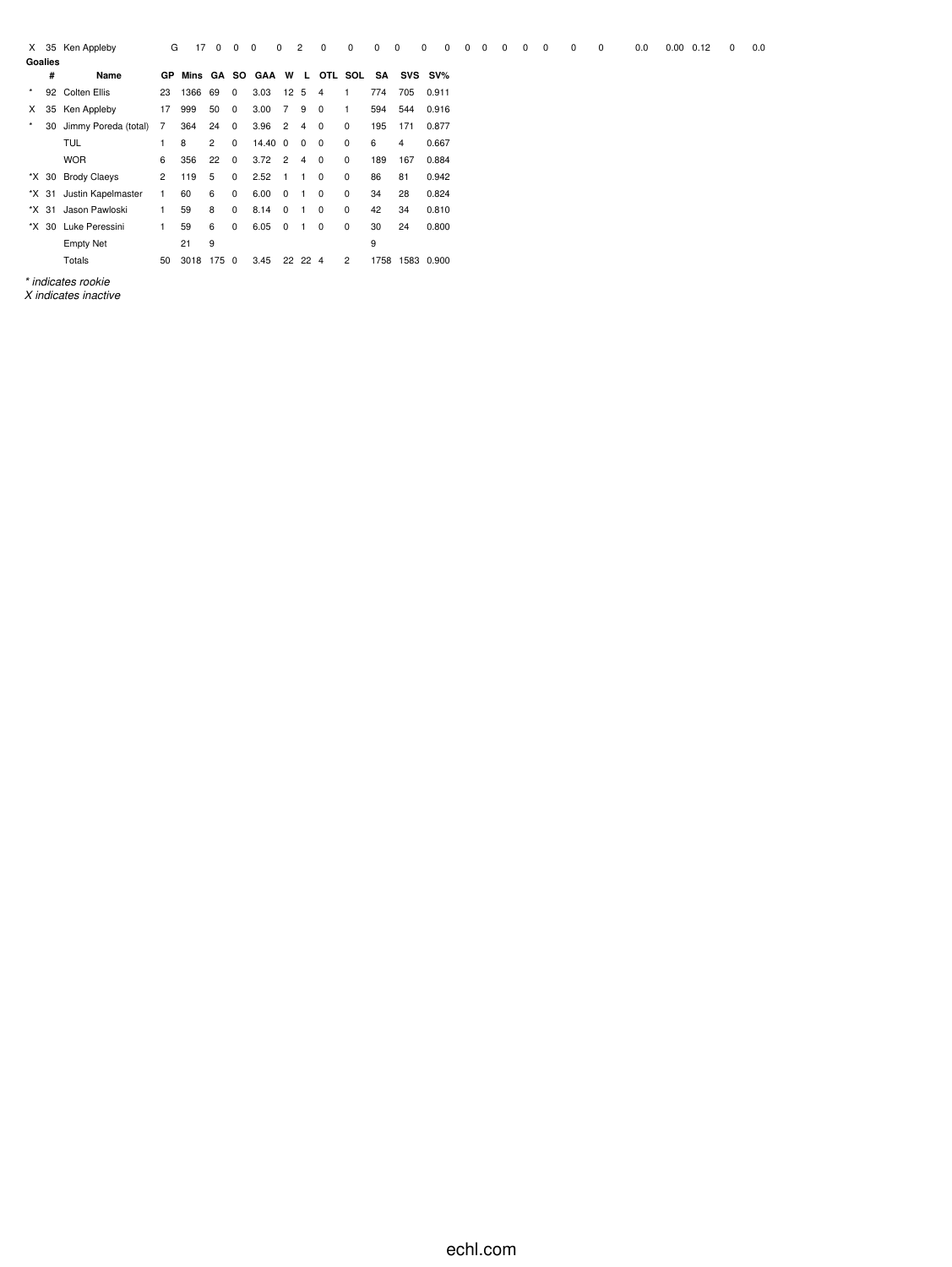|          |   | X 35 Ken Appleby         | G              | 17         | $^{\circ}$     | 0           | $^{\circ}$         | 0               | 2                   | 0              | 0              |      |     | 0          | 0<br>0 | 0 | 0 | 0 | 0 | 0 | 0 | 0.0 | $0.00$ $0.12$ | 0 | 0.0 |
|----------|---|--------------------------|----------------|------------|----------------|-------------|--------------------|-----------------|---------------------|----------------|----------------|------|-----|------------|--------|---|---|---|---|---|---|-----|---------------|---|-----|
| Goalies  |   |                          |                |            |                |             |                    |                 |                     |                |                |      |     |            |        |   |   |   |   |   |   |     |               |   |     |
|          | # | Name                     | GP.            |            |                |             | Mins GA SO GAA W L |                 |                     |                | OTL SOL        | SA   |     | SVS SV%    |        |   |   |   |   |   |   |     |               |   |     |
| $^\star$ |   | 92 Colten Ellis          | 23             | 1366 69 0  |                |             | 3.03               | 12 <sub>5</sub> |                     | $\overline{4}$ | 1              | 774  | 705 | 0.911      |        |   |   |   |   |   |   |     |               |   |     |
|          |   | X 35 Ken Appleby         | 17             | 999        | 50             | $^{\circ}$  | 3.00               | $\overline{7}$  | -9                  | $^{\circ}$     | 1              | 594  | 544 | 0.916      |        |   |   |   |   |   |   |     |               |   |     |
| $\star$  |   | 30 Jimmy Poreda (total)  | $\overline{7}$ | 364        | $24 \quad 0$   |             | 3.96               | $2 \quad 4$     |                     | $\overline{0}$ | $^{\circ}$     | 195  | 171 | 0.877      |        |   |   |   |   |   |   |     |               |   |     |
|          |   | <b>TUL</b>               |                | 8          | $\overline{2}$ | 0           | $14.40 \t 0 \t 0$  |                 |                     | $\mathbf{0}$   | 0              | 6    | 4   | 0.667      |        |   |   |   |   |   |   |     |               |   |     |
|          |   | <b>WOR</b>               | 6              | 356        | 22             | $^{\circ}$  | 3.72               | $2 \quad 4$     |                     | $\mathbf{0}$   | $^{\circ}$     | 189  | 167 | 0.884      |        |   |   |   |   |   |   |     |               |   |     |
|          |   | *X 30 Brody Claeys       | $\overline{2}$ | 119 5      |                | $\mathbf 0$ | 2.52               |                 | $1 \quad 1 \quad 0$ |                | $^{\circ}$     | 86   | 81  | 0.942      |        |   |   |   |   |   |   |     |               |   |     |
|          |   | *X 31 Justin Kapelmaster |                | 60         | 6              | 0           | 6.00               | $\overline{0}$  |                     | $\overline{0}$ | $\mathbf 0$    | 34   | 28  | 0.824      |        |   |   |   |   |   |   |     |               |   |     |
|          |   | *X 31 Jason Pawloski     |                | 59         | 8              | $\mathbf 0$ | 8.14               | $\overline{0}$  | $\mathbf{1}$        | $\overline{0}$ | $^{\circ}$     | 42   | 34  | 0.810      |        |   |   |   |   |   |   |     |               |   |     |
|          |   | *X 30 Luke Peressini     |                | 59         | 6              | 0           | $6.05 \t 0$        |                 |                     | $^{\circ}$     | $^{\circ}$     | 30   | 24  | 0.800      |        |   |   |   |   |   |   |     |               |   |     |
|          |   | <b>Empty Net</b>         |                | 21         | 9              |             |                    |                 |                     |                |                | 9    |     |            |        |   |   |   |   |   |   |     |               |   |     |
|          |   | Totals                   | 50             | 3018 175 0 |                |             | 3.45               |                 | 22 22 4             |                | $\overline{2}$ | 1758 |     | 1583 0.900 |        |   |   |   |   |   |   |     |               |   |     |
|          |   |                          |                |            |                |             |                    |                 |                     |                |                |      |     |            |        |   |   |   |   |   |   |     |               |   |     |

*\* indicates rookie*

*X indicates inactive*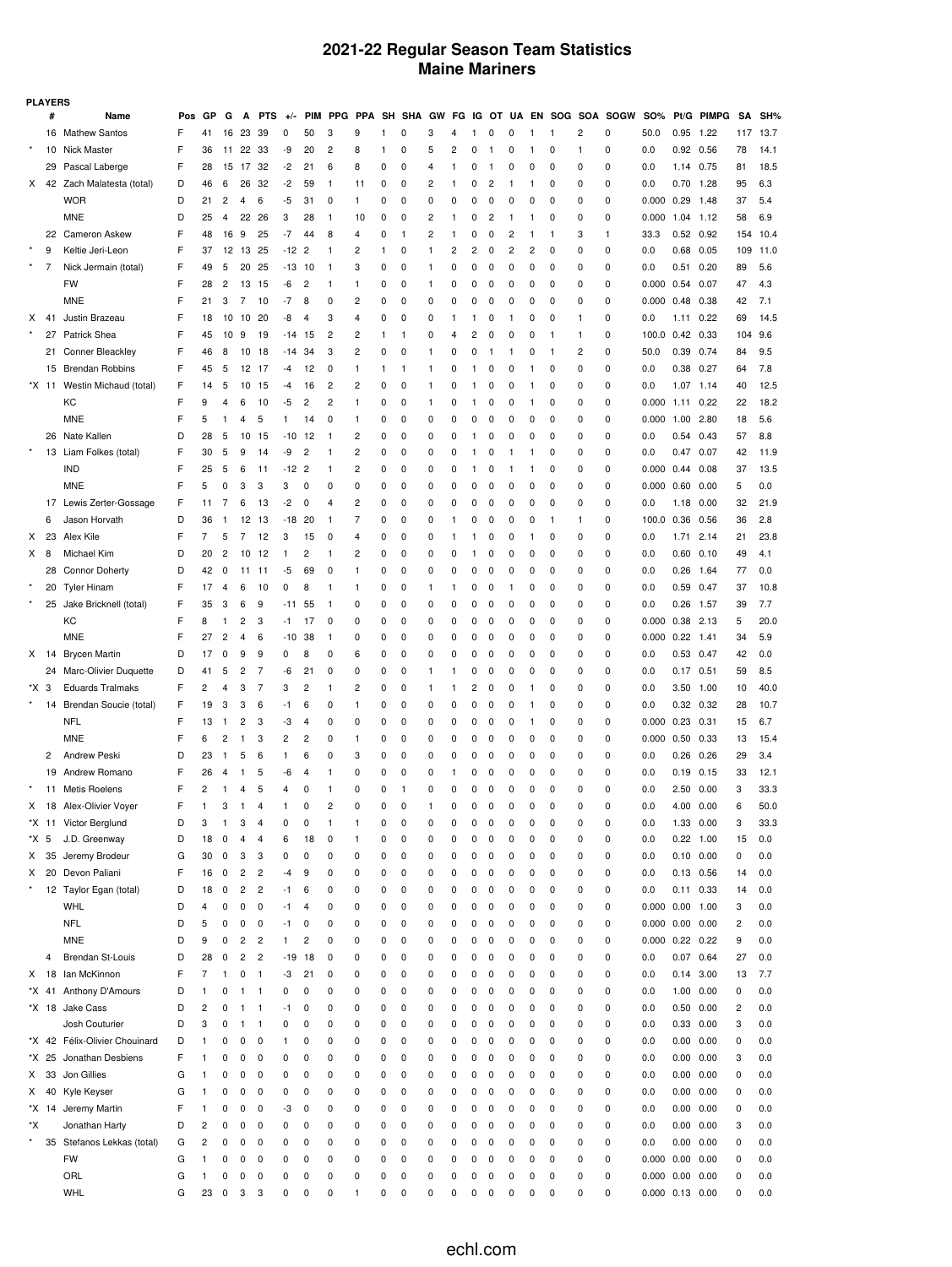#### **2021-22 Regular Season Team Statistics Maine Mariners**

|                | <b>PLAYERS</b> |                               |     |                |                         |                         |                         |       |                |                         |          |          |              |   |          |          |              |              |   |              |          |                    |                       |                   |            |     |      |
|----------------|----------------|-------------------------------|-----|----------------|-------------------------|-------------------------|-------------------------|-------|----------------|-------------------------|----------|----------|--------------|---|----------|----------|--------------|--------------|---|--------------|----------|--------------------|-----------------------|-------------------|------------|-----|------|
|                | #              | Name                          | Pos | GP             | G                       | А                       | <b>PTS</b>              | $+/-$ | PIM            |                         | PPG PPA  |          | SH SHA GW    |   | FG       | IG       | от           |              |   |              |          | UA EN SOG SOA SOGW | <b>SO%</b>            |                   | Pt/G PIMPG | SΑ  | SH%  |
|                |                | 16 Mathew Santos              | F   | 41             | 16                      | 23                      | 39                      | 0     | 50             | 3                       | 9        | 1        | 0            | 3 | 4        | 1        | 0            | 0            | 1 | 1            | 2        | 0                  | 50.0                  | 0.95              | 1.22       | 117 | 13.7 |
| $\star$        | 10             | Nick Master                   | F   | 36             | 11                      | 22                      | 33                      | -9    | 20             | 2                       | 8        | 1        | 0            | 5 | 2        | 0        | 1            | 0            | 1 | 0            | 1        | 0                  | 0.0                   | 0.92 0.56         |            | 78  | 14.1 |
|                |                | 29 Pascal Laberge             | F   | 28             | 15                      | 17                      | 32                      | -2    | 21             | 6                       | 8        | 0        | 0            | 4 | 1        | 0        | $\mathbf{1}$ | 0            | 0 | 0            | 0        | 0                  | 0.0                   | 1.14              | 0.75       | 81  | 18.5 |
|                |                | X 42 Zach Malatesta (total)   | D   | 46             | 6                       | 26                      | -32                     | -2    | 59             | 1                       | 11       | 0        | 0            | 2 | 1        | 0        | 2            | -1           | 1 | 0            | 0        | 0                  | 0.0                   | 0.70              | 1.28       | 95  | 6.3  |
|                |                | <b>WOR</b>                    | D   | 21             | $\overline{c}$          | 4                       | 6                       | -5    | 31             | 0                       | 1        | 0        | 0            | 0 | 0        | 0        | 0            | 0            | 0 | 0            | 0        | 0                  | 0.000                 | 0.29              | 1.48       | 37  | 5.4  |
|                |                | <b>MNE</b>                    | D   | 25             | 4                       | 22                      | 26                      | 3     | 28             | 1                       | 10       | 0        | 0            | 2 | 1        | 0        | 2            | 1            | 1 | 0            | $\Omega$ | 0                  | 0.000                 | 1.04              | 1.12       | 58  | 6.9  |
|                | 22             | <b>Cameron Askew</b>          | F   | 48             | 16                      | 9                       | 25                      | -7    | 44             | 8                       | 4        | 0        | $\mathbf{1}$ | 2 | 1        | 0        | 0            | 2            | 1 | $\mathbf{1}$ | 3        | $\mathbf{1}$       | 33.3                  | 0.52              | 0.92       | 154 | 10.4 |
|                | 9              | Keltie Jeri-Leon              | F   | 37             |                         | 12 13                   | 25                      | -12   | $\overline{2}$ | 1                       | 2        | 1        | 0            | 1 | 2        | 2        | 0            | 2            | 2 | 0            | $\Omega$ | 0                  | 0.0                   | 0.68 0.05         |            | 109 | 11.0 |
|                | 7              | Nick Jermain (total)          | F   | 49             | 5                       | 20                      | 25                      | -13   | 10             | $\mathbf{1}$            | 3        | 0        | 0            | 1 | 0        | 0        | 0            | 0            | 0 | 0            | 0        | 0                  | 0.0                   | 0.51              | 0.20       | 89  | 5.6  |
|                |                |                               | F   |                |                         |                         |                         |       |                |                         |          |          |              |   |          |          |              |              |   |              | $\Omega$ |                    |                       |                   |            |     |      |
|                |                | FW                            |     | 28             | $\overline{c}$          | 13                      | 15                      | -6    | 2              | 1                       | 1        | 0        | 0            | 1 | 0        | 0        | 0            | 0            | 0 | 0            |          | 0                  | $0.000$ $0.54$        |                   | 0.07       | 47  | 4.3  |
|                |                | <b>MNE</b>                    | F   | 21             | 3                       | 7                       | 10                      | -7    | 8              | 0                       | 2        | 0        | 0            | 0 | 0        | 0        | 0            | 0            | 0 | 0            | 0        | 0                  | 0.000                 | 0.48              | 0.38       | 42  | 7.1  |
| X.             | 41             | Justin Brazeau                | F   | 18             |                         | 10 10                   | 20                      | -8    | 4              | 3                       | 4        | 0        | 0            | 0 | -1       | 1        | 0            | -1           | 0 | 0            | 1        | 0                  | 0.0                   | 1.11 0.22         |            | 69  | 14.5 |
|                | 27             | <b>Patrick Shea</b>           | F   | 45             | 10                      | 9                       | 19                      | -14   | 15             | $\overline{2}$          | 2        | 1        | $\mathbf{1}$ | 0 | 4        | 2        | 0            | 0            | 0 | $\mathbf{1}$ | 1        | 0                  | 100.0                 | 0.42              | 0.33       | 104 | 9.6  |
|                | 21             | Conner Bleackley              | F   | 46             | 8                       | 10                      | 18                      | $-14$ | 34             | 3                       | 2        | 0        | 0            | 1 | 0        | 0        | 1            | 1            | 0 | $\mathbf{1}$ | 2        | 0                  | 50.0                  | 0.39              | 0.74       | 84  | 9.5  |
|                | 15             | <b>Brendan Robbins</b>        | F   | 45             | 5                       | 12                      | -17                     | -4    | 12             | 0                       | 1        | 1        | $\mathbf{1}$ | 1 | 0        | 1        | 0            | 0            | 1 | 0            | 0        | 0                  | 0.0                   | 0.38              | 0.27       | 64  | 7.8  |
|                | *X 11          | Westin Michaud (total)        | F   | 14             | 5                       | 10                      | 15                      | -4    | 16             | $\overline{\mathbf{c}}$ | 2        | 0        | 0            | 1 | 0        | 1        | 0            | 0            | 1 | 0            | $\Omega$ | 0                  | 0.0                   | $1.07$ 1.14       |            | 40  | 12.5 |
|                |                | КC                            | F   | 9              | 4                       | 6                       | 10                      | -5    | 2              | $\overline{2}$          | 1        | 0        | 0            | 1 | 0        | 1        | 0            | 0            | 1 | 0            | 0        | 0                  | 0.000                 | 1.11              | 0.22       | 22  | 18.2 |
|                |                | <b>MNE</b>                    | F   | 5              | 1                       | 4                       | 5                       | 1     | 14             | 0                       | 1        | 0        | 0            | 0 | 0        | 0        | 0            | 0            | 0 | 0            | $\Omega$ | 0                  | 0.000                 | 1.00              | 2.80       | 18  | 5.6  |
|                | 26             | Nate Kallen                   | D   | 28             | 5                       | 10                      | 15                      | -10   | 12             | 1                       | 2        | 0        | 0            | 0 | 0        | 1        | 0            | 0            | 0 | 0            | 0        | 0                  | 0.0                   | 0.54              | 0.43       | 57  | 8.8  |
| $\star$        |                | 13 Liam Folkes (total)        | F   | 30             | 5                       | 9                       | 14                      | -9    | 2              | 1                       | 2        | 0        | 0            | 0 | 0        | 1        | 0            | -1           | 1 | 0            | $\Omega$ | 0                  | 0.0                   | 0.47 0.07         |            | 42  | 11.9 |
|                |                | <b>IND</b>                    | F   | 25             | 5                       | 6                       | 11                      | -12   | $\overline{2}$ | 1                       | 2        | 0        | 0            | 0 | 0        | 1        | 0            | $\mathbf{1}$ | 1 | 0            | 0        | 0                  | 0.000                 | 0.44              | 0.08       | 37  | 13.5 |
|                |                | <b>MNE</b>                    | F   | 5              | 0                       | 3                       | 3                       | 3     | 0              | 0                       | $\Omega$ | 0        | 0            | 0 | 0        | 0        | 0            | 0            | 0 | 0            | $\Omega$ | $\mathbf 0$        | $0.000$ $0.60$        |                   | 0.00       | 5   | 0.0  |
|                | 17             | Lewis Zerter-Gossage          | F   | 11             | 7                       | 6                       | 13                      | -2    | 0              | 4                       | 2        | 0        | 0            | 0 | 0        | 0        | 0            | 0            | 0 | 0            | 0        | 0                  | 0.0                   | 1.18              | 0.00       | 32  | 21.9 |
|                |                | Jason Horvath                 | D   | 36             | -1                      |                         | 13                      | -18   | 20             | 1                       | 7        | 0        | 0            | 0 | 1        | 0        |              | 0            | 0 | $\mathbf{1}$ | 1        | 0                  | 100.0                 | 0.36 0.56         |            | 36  | 2.8  |
|                | 6              |                               |     |                |                         | 12                      |                         |       |                |                         |          |          |              |   |          |          | 0            |              |   |              |          |                    |                       |                   |            |     |      |
| X              | 23             | Alex Kile                     | F   | 7              | 5                       | 7                       | 12                      | 3     | 15             | 0                       | 4        | 0        | 0            | 0 | 1        | 1        | 0            | 0            | 1 | 0            | 0        | 0                  | 0.0                   | 1.71              | 2.14       | 21  | 23.8 |
| X <sub>8</sub> |                | Michael Kim                   | D   | 20             | $\overline{c}$          | 10                      | 12                      | 1     | 2              | 1                       | 2        | 0        | 0            | 0 | 0        | 1        | 0            | 0            | 0 | 0            | $\Omega$ | 0                  | 0.0                   | 0.60              | 0.10       | 49  | 4.1  |
|                | 28             | <b>Connor Doherty</b>         | D   | 42             | 0                       | 11                      | 11                      | -5    | 69             | 0                       | 1        | 0        | 0            | 0 | 0        | 0        | 0            | 0            | 0 | 0            | 0        | 0                  | 0.0                   | 0.26              | 1.64       | 77  | 0.0  |
| $\star$        | 20             | <b>Tyler Hinam</b>            | F   | 17             | 4                       | 6                       | 10                      | 0     | 8              | 1                       | 1        | 0        | 0            | 1 | 1        | 0        | 0            | 1            | 0 | 0            | 0        | 0                  | 0.0                   | 0.59              | 0.47       | 37  | 10.8 |
| $\star$        | 25             | Jake Bricknell (total)        | F   | 35             | 3                       | 6                       | 9                       | -11   | 55             | 1                       | 0        | 0        | 0            | 0 | 0        | 0        | 0            | 0            | 0 | 0            | 0        | 0                  | 0.0                   | 0.26              | 1.57       | 39  | 7.7  |
|                |                | КC                            | F   | 8              | 1                       | 2                       | 3                       | -1    | 17             | 0                       | 0        | 0        | 0            | 0 | 0        | 0        | 0            | 0            | 0 | 0            | 0        | 0                  | 0.000                 | 0.38              | 2.13       | 5   | 20.0 |
|                |                | <b>MNE</b>                    | F   | 27             | $\overline{\mathbf{c}}$ | 4                       | 6                       | -10   | 38             | 1                       | 0        | 0        | 0            | 0 | 0        | 0        | 0            | 0            | 0 | 0            | 0        | 0                  | 0.000                 | 0.22              | 1.41       | 34  | 5.9  |
|                |                | X 14 Brycen Martin            | D   | 17             | 0                       | 9                       | 9                       | 0     | 8              | 0                       | 6        | 0        | 0            | 0 | 0        | 0        | 0            | 0            | 0 | 0            | 0        | 0                  | 0.0                   | 0.53              | 0.47       | 42  | 0.0  |
|                |                | 24 Marc-Olivier Duquette      | D   | 41             | 5                       | 2                       | 7                       | -6    | 21             | 0                       | 0        | 0        | 0            | 1 | 1        | 0        | 0            | 0            | 0 | 0            | 0        | 0                  | 0.0                   | $0.17$ $0.51$     |            | 59  | 8.5  |
| *X 3           |                | <b>Eduards Tralmaks</b>       | F   | 2              | 4                       | 3                       | 7                       | 3     | 2              | 1                       | 2        | 0        | 0            | 1 | 1        | 2        | 0            | 0            | 1 | 0            | 0        | 0                  | 0.0                   | 3.50              | 1.00       | 10  | 40.0 |
| $\star$        | 14             | Brendan Soucie (total)        | F   | 19             | 3                       | 3                       | 6                       | -1    | 6              | 0                       | 1        | 0        | 0            | 0 | 0        | 0        | 0            | 0            | 1 | 0            | 0        | 0                  | 0.0                   | 0.32              | 0.32       | 28  | 10.7 |
|                |                | <b>NFL</b>                    | F   | 13             | 1                       | 2                       | 3                       | -3    | 4              | 0                       | 0        | 0        | 0            | 0 | 0        | 0        | 0            | 0            | 1 | 0            | 0        | 0                  | 0.000                 | 0.23              | 0.31       | 15  | 6.7  |
|                |                | <b>MNE</b>                    | F   | 6              | 2                       | $\mathbf{1}$            | 3                       | 2     | 2              | 0                       | 1        | 0        | 0            | 0 | 0        | 0        | 0            | 0            | 0 | 0            | 0        | 0                  | 0.000                 | 0.50              | 0.33       | 13  | 15.4 |
|                | 2              | Andrew Peski                  | D   | 23             | -1                      | 5                       | 6                       | 1     | 6              | 0                       | 3        | 0        | 0            | 0 | 0        | 0        | 0            | 0            | 0 | 0            | 0        | 0                  | 0.0                   | 0.26              | 0.26       | 29  | 3.4  |
|                | 19             | Andrew Romano                 | F   | 26             | 4                       | $\mathbf{1}$            | 5                       | -6    | 4              | 1                       | 0        | 0        | 0            | 0 | 1        | 0        | 0            | 0            | 0 | 0            | 0        | 0                  | 0.0                   | 0.19              | 0.15       | 33  | 12.1 |
|                |                | 11 Metis Roelens              | F   | 2              | 1                       | 4                       | 5                       | 4     | 0              | 1                       | 0        | 0        | -1           | 0 | 0        | 0        | 0            | 0            | 0 | 0            | 0        | 0                  | 0.0                   | 2.50              | 0.00       | 3   | 33.3 |
| X.             |                | 18 Alex-Olivier Voyer         | F   | 1              | 3                       | $\mathbf{1}$            | 4                       | 1     | $\Omega$       | $\overline{2}$          | $\Omega$ | $\Omega$ | $\Omega$     | 1 | $\Omega$ | $\Omega$ | O            | $\Omega$     | O | $\Omega$     | $\Omega$ | $\Omega$           | 0.0                   | 4.00 0.00         |            | 6   | 50.0 |
|                |                | *X 11 Victor Berglund         | D   | 3              | 1                       | 3                       | 4                       | 0     | 0              | $\mathbf{1}$            | 1        | 0        | 0            | 0 | 0        | 0        | 0            | 0            | 0 | 0            | 0        | 0                  | 0.0                   | 1.33              | 0.00       | 3   | 33.3 |
| *X 5           |                | J.D. Greenway                 | D   | 18             | 0                       |                         | 4                       | 6     | 18             | 0                       | 1        | 0        | 0            | 0 | 0        | 0        | 0            | 0            | 0 | 0            | 0        | 0                  | 0.0                   | 0.22              | 1.00       | 15  | 0.0  |
|                |                | Jeremy Brodeur                |     | 30             |                         | 4                       |                         |       | 0              | 0                       | 0        |          | 0            |   | 0        |          |              |              |   | 0            | 0        | 0                  |                       |                   |            |     |      |
| X.             | 35             |                               | G   |                | 0                       | 3                       | 3                       | 0     |                |                         |          | 0        |              | 0 |          | 0        | 0            | 0            | 0 |              |          |                    | 0.0                   | $0.10 \quad 0.00$ |            | 0   | 0.0  |
| X              | 20             | Devon Paliani                 | F   | 16             | 0                       | 2                       | 2                       | -4    | 9              | 0                       | 0        | 0        | 0            | 0 | 0        | 0        | 0            | 0            | 0 | 0            | 0        | 0                  | 0.0                   | $0.13$ $0.56$     |            | 14  | 0.0  |
|                |                | 12 Taylor Egan (total)        | D   | 18             | 0                       | $\overline{\mathbf{c}}$ | 2                       | -1    | 6              | 0                       | 0        | 0        | 0            | 0 | 0        | 0        | 0            | 0            | 0 | 0            | 0        | 0                  | 0.0                   | 0.11              | 0.33       | 14  | 0.0  |
|                |                | WHL                           | D   | 4              | 0                       | 0                       | 0                       | -1    | 4              | 0                       | 0        | 0        | 0            | 0 | 0        | 0        | 0            | 0            | 0 | 0            | 0        | 0                  | $0.000$ $0.00$        |                   | 1.00       | 3   | 0.0  |
|                |                | <b>NFL</b>                    | D   | 5              | 0                       | 0                       | 0                       | -1    | 0              | 0                       | 0        | 0        | 0            | 0 | 0        | 0        | 0            | 0            | 0 | 0            | 0        | 0                  | $0.000$ $0.00$        |                   | 0.00       | 2   | 0.0  |
|                |                | <b>MNE</b>                    | D   | 9              | 0                       | 2                       | 2                       | 1     | 2              | 0                       | 0        | 0        | 0            | 0 | 0        | 0        | 0            | 0            | 0 | 0            | 0        | 0                  | $0.000$ $0.22$        |                   | 0.22       | 9   | 0.0  |
|                | 4              | Brendan St-Louis              | D   | 28             | 0                       | $\sqrt{2}$              | $\overline{\mathbf{c}}$ | $-19$ | 18             | 0                       | 0        | 0        | 0            | 0 | 0        | 0        | 0            | 0            | 0 | 0            | 0        | 0                  | 0.0                   | 0.07              | 0.64       | 27  | 0.0  |
|                | X 18           | lan McKinnon                  | F   | 7              | 1                       | 0                       | $\mathbf{1}$            | -3    | 21             | 0                       | 0        | 0        | 0            | 0 | 0        | 0        | 0            | 0            | 0 | 0            | 0        | 0                  | 0.0                   | 0.14              | 3.00       | 13  | 7.7  |
|                | *X 41          | Anthony D'Amours              | D   | 1              | 0                       | $\mathbf{1}$            | $\mathbf{1}$            | 0     | 0              | 0                       | 0        | 0        | 0            | 0 | 0        | 0        | 0            | 0            | 0 | 0            | 0        | 0                  | 0.0                   | $1.00 \quad 0.00$ |            | 0   | 0.0  |
|                |                | *X 18 Jake Cass               | D   | 2              | 0                       | 1                       | 1                       | -1    | 0              | 0                       | 0        | 0        | 0            | 0 | 0        | 0        | 0            | 0            | 0 | 0            | 0        | 0                  | 0.0                   | 0.50              | 0.00       | 2   | 0.0  |
|                |                | Josh Couturier                | D   | 3              | 0                       | $\overline{1}$          | $\mathbf{1}$            | 0     | 0              | 0                       | 0        | 0        | 0            | 0 | 0        | 0        | 0            | 0            | 0 | 0            | 0        | 0                  | 0.0                   | 0.33              | 0.00       | 3   | 0.0  |
|                |                | *X 42 Félix-Olivier Chouinard | D   | 1              | 0                       | 0                       | 0                       | 1     | 0              | 0                       | 0        | 0        | 0            | 0 | 0        | 0        | 0            | 0            | 0 | 0            | 0        | 0                  | 0.0                   | 0.00              | 0.00       | 0   | 0.0  |
|                | *X 25          | Jonathan Desbiens             | F   | 1              | 0                       | 0                       | 0                       | 0     | 0              | 0                       | 0        | 0        | 0            | 0 | 0        | 0        | 0            | 0            | 0 | 0            | 0        | 0                  | 0.0                   | 0.00              | 0.00       | 3   | 0.0  |
| X.             | 33             | Jon Gillies                   | G   | 1              | 0                       | 0                       | 0                       | 0     | 0              | 0                       | 0        | 0        | 0            | 0 | 0        | 0        | 0            | 0            | 0 | 0            | 0        | 0                  | 0.0                   | 0.00              | 0.00       | 0   | 0.0  |
| X              | 40             | Kyle Keyser                   | G   | 1              | 0                       | 0                       | 0                       | 0     | 0              | 0                       | 0        | 0        | 0            | 0 | 0        | 0        | 0            | 0            | 0 | 0            | 0        | 0                  | 0.0                   | 0.00              | 0.00       | 0   | 0.0  |
|                | *X 14          | Jeremy Martin                 | F   | 1              | 0                       | 0                       | 0                       | -3    | 0              | 0                       | 0        | 0        | 0            | 0 | 0        | 0        | 0            | 0            | 0 | 0            | 0        | 0                  | 0.0                   | 0.00              | 0.00       | 0   | 0.0  |
| *X             |                | Jonathan Harty                | D   | $\overline{c}$ | 0                       | 0                       | 0                       | 0     | 0              | 0                       | 0        |          | 0            | 0 | 0        | 0        | 0            | 0            | 0 | 0            | 0        | 0                  | 0.0                   | 0.00              | 0.00       | 3   | 0.0  |
|                |                |                               |     |                |                         |                         |                         |       |                |                         |          | 0        |              |   |          |          |              |              |   |              |          |                    |                       |                   |            |     |      |
|                |                | 35 Stefanos Lekkas (total)    | G   | $\overline{c}$ | 0                       | 0                       | 0                       | 0     | 0              | 0                       | 0        | 0        | 0            | 0 | 0        | 0        | 0            | 0            | 0 | 0            | 0        | 0                  | 0.0                   | 0.00              | 0.00       | 0   | 0.0  |
|                |                | FW                            | G   | 1              | 0                       | 0                       | 0                       | 0     | 0              | 0                       | 0        | 0        | 0            | 0 | 0        | 0        | 0            | 0            | 0 | 0            | 0        | 0                  | $0.000$ $0.00$        |                   | 0.00       | 0   | 0.0  |
|                |                | ORL                           | G   | 1              | 0                       | 0                       | 0                       | 0     | 0              | 0                       | 0        | 0        | 0            | 0 | 0        | 0        | 0            | 0            | 0 | 0            | 0        | 0                  | $0.000$ $0.00$        |                   | 0.00       | 0   | 0.0  |
|                |                | WHL                           | G   | 23             | 0                       | 3                       | 3                       | 0     | 0              | 0                       | 1        | 0        | 0            | 0 | 0        | 0        | 0            | 0            | 0 | 0            | 0        | 0                  | $0.000$ $0.13$ $0.00$ |                   |            | 0   | 0.0  |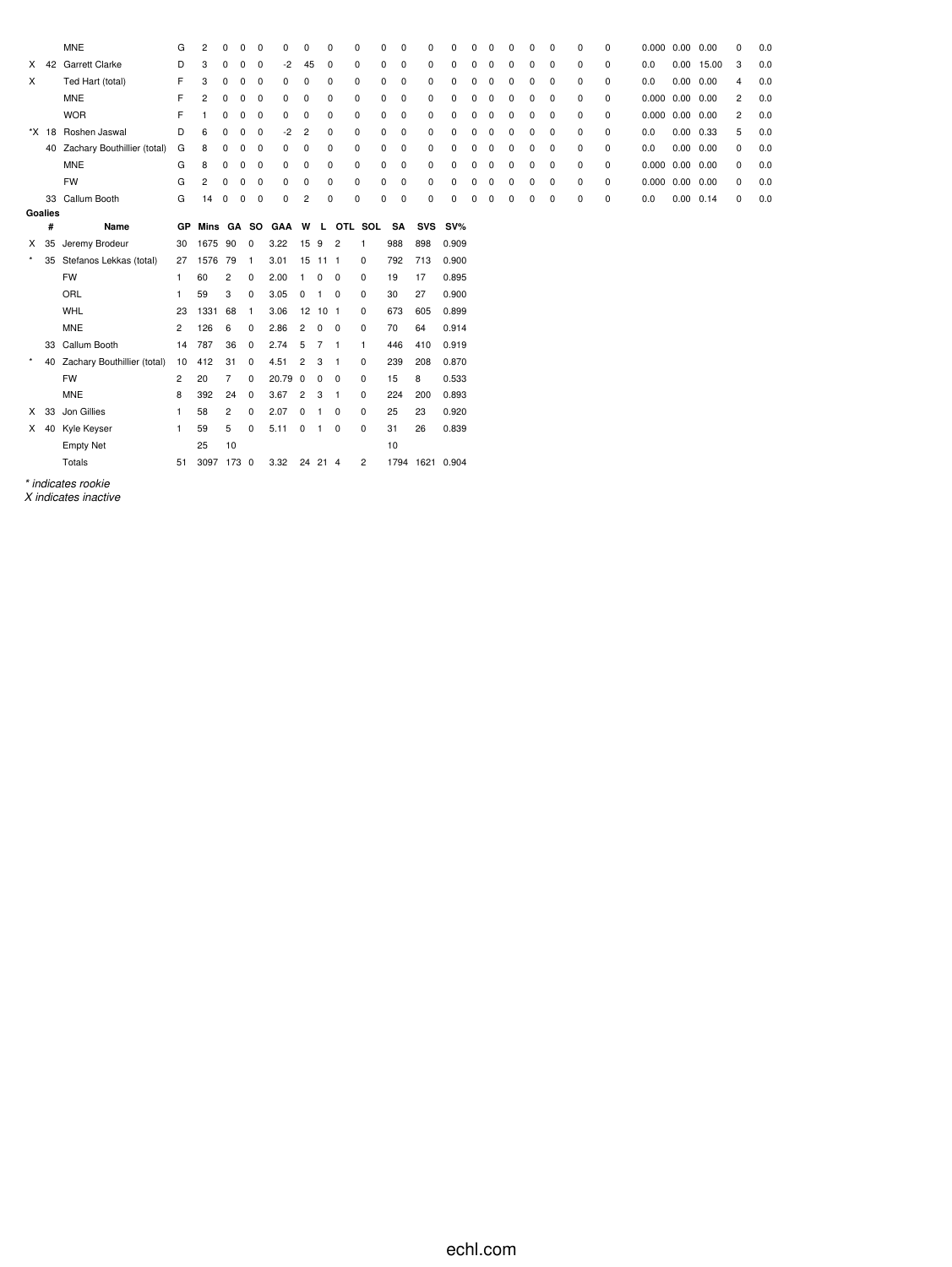|          |         | <b>MNE</b>                     | G              | 2          | $\Omega$       | $\Omega$ | $\Omega$<br>0  | 0              |                 | 0                        | 0              | 0<br>0 | 0               | 0        | 0 |   | 0 |          | 0           | 0 | 0 | $0.000$ $0.00$ $0.00$ |                   |              | 0 | 0.0 |
|----------|---------|--------------------------------|----------------|------------|----------------|----------|----------------|----------------|-----------------|--------------------------|----------------|--------|-----------------|----------|---|---|---|----------|-------------|---|---|-----------------------|-------------------|--------------|---|-----|
| X.       | 42      | <b>Garrett Clarke</b>          | D              | 3          | 0              | 0        | -2<br>0        | 45             |                 | 0                        | 0              | 0<br>0 | 0               | 0        | 0 |   | 0 | C        | 0           | 0 | 0 | 0.0                   |                   | $0.00$ 15.00 | 3 | 0.0 |
| X        |         | Ted Hart (total)               | F              | 3          | 0              | 0        | 0<br>0         | 0              |                 | 0                        | 0              | 0<br>0 | 0               | 0        | 0 |   | O | 0        | $\Omega$    | 0 | 0 | 0.0                   | 0.00              | 0.00         | 4 | 0.0 |
|          |         | <b>MNE</b>                     | F              | 2          | 0              | 0        | 0<br>0         | 0              |                 | 0                        | 0              | 0<br>0 | 0               | 0        | 0 | ŋ | 0 | $\Omega$ | $\mathbf 0$ | 0 | 0 | 0.000                 | $0.00 \quad 0.00$ |              | 2 | 0.0 |
|          |         | <b>WOR</b>                     | F              |            | 0              | 0        | 0<br>0         | $\Omega$       |                 | 0                        | 0              | 0<br>0 | 0               | 0        | 0 |   |   |          | $\mathbf 0$ | 0 | 0 | 0.000                 | $0.00 \quad 0.00$ |              | 2 | 0.0 |
|          | *X 18   | Roshen Jaswal                  | D              | 6          | 0              | 0        | -2<br>0        | $\overline{c}$ |                 | 0                        | 0              | 0<br>0 | 0               | 0        | 0 | ŋ | 0 | 0        | 0           | 0 | 0 | 0.0                   | $0.00$ $0.33$     |              | 5 | 0.0 |
|          |         | 40 Zachary Bouthillier (total) | G              | 8          |                | 0        | 0<br>0         | 0              |                 | 0                        | 0              | 0<br>0 | 0               | 0        | 0 |   |   |          | $\mathbf 0$ | 0 | 0 | 0.0                   | $0.00 \quad 0.00$ |              | 0 | 0.0 |
|          |         | <b>MNE</b>                     | G              | 8          | 0              | 0        | 0<br>0         | 0              |                 | 0                        | 0              | 0<br>0 | 0               | 0        | 0 |   |   |          | 0           | 0 | 0 | 0.000                 | $0.00 \quad 0.00$ |              | 0 | 0.0 |
|          |         | <b>FW</b>                      | G              | 2          | U              | $\Omega$ | $\Omega$       | $\Omega$       |                 | 0                        | 0              | 0<br>0 | 0               | $\Omega$ |   |   |   |          | $\Omega$    | 0 | 0 | $0.000$ $0.00$ $0.00$ |                   |              | 0 | 0.0 |
|          |         | 33 Callum Booth                | G              | 14         | 0              | 0        | $\Omega$<br>0  | 2              |                 | 0                        | 0              | 0<br>0 | 0               | 0        | 0 |   | ŋ | C        | $\Omega$    | 0 | 0 | 0.0                   | 0.00 0.14         |              | 0 | 0.0 |
|          | Goalies |                                |                |            |                |          |                |                |                 |                          |                |        |                 |          |   |   |   |          |             |   |   |                       |                   |              |   |     |
|          | #       | Name                           | GР             |            |                |          | Mins GA SO GAA | W              |                 |                          | L OTL SOL      | SA     | <b>SVS</b>      | $SV\%$   |   |   |   |          |             |   |   |                       |                   |              |   |     |
|          | X 35    | Jeremy Brodeur                 | 30             | 1675       | 90             | 0        | 3.22           | 15 9           |                 | $\overline{c}$           | 1              | 988    | 898             | 0.909    |   |   |   |          |             |   |   |                       |                   |              |   |     |
| $^\star$ |         | 35 Stefanos Lekkas (total)     | 27             | 1576       | 79             | -1       | 3.01           | 15 11 1        |                 |                          | 0              | 792    | 713             | 0.900    |   |   |   |          |             |   |   |                       |                   |              |   |     |
|          |         | <b>FW</b>                      | 1              | 60         | $\overline{2}$ | 0        | 2.00           | $\mathbf{1}$   | 0               | $\overline{\phantom{0}}$ | 0              | 19     | 17              | 0.895    |   |   |   |          |             |   |   |                       |                   |              |   |     |
|          |         | ORL                            | 1              | 59         | 3              | 0        | 3.05           | 0              | $\mathbf{1}$    | $^{\circ}$               | 0              | 30     | 27              | 0.900    |   |   |   |          |             |   |   |                       |                   |              |   |     |
|          |         | <b>WHL</b>                     | 23             | 1331       | 68             | -1       | 3.06           | 12             | 10 <sub>1</sub> |                          | 0              | 673    | 605             | 0.899    |   |   |   |          |             |   |   |                       |                   |              |   |     |
|          |         | <b>MNE</b>                     | $\overline{2}$ | 126        | 6              | 0        | 2.86           | $\overline{2}$ | 0               | $\mathbf 0$              | 0              | 70     | 64              | 0.914    |   |   |   |          |             |   |   |                       |                   |              |   |     |
|          |         | 33 Callum Booth                | 14             | 787        | 36             | 0        | 2.74           | 5              | 7               | $\overline{\phantom{0}}$ | 1              | 446    | 410             | 0.919    |   |   |   |          |             |   |   |                       |                   |              |   |     |
| $\star$  | 40      | Zachary Bouthillier (total)    | 10             | 412        | 31             | 0        | 4.51           | $\overline{2}$ | 3               | - 1                      | 0              | 239    | 208             | 0.870    |   |   |   |          |             |   |   |                       |                   |              |   |     |
|          |         | <b>FW</b>                      | 2              | 20         | 7              | 0        | 20.79          | $\mathbf 0$    | 0               | 0                        | 0              | 15     | 8               | 0.533    |   |   |   |          |             |   |   |                       |                   |              |   |     |
|          |         | <b>MNE</b>                     | 8              | 392        | 24             | $\Omega$ | 3.67           | 2              | 3               | $\mathbf{1}$             | 0              | 224    | 200             | 0.893    |   |   |   |          |             |   |   |                       |                   |              |   |     |
|          | $X$ 33  | Jon Gillies                    | 1              | 58         | 2              | 0        | 2.07           | $\mathbf 0$    |                 | 0                        | 0              | 25     | 23              | 0.920    |   |   |   |          |             |   |   |                       |                   |              |   |     |
|          | $X$ 40  | Kyle Keyser                    | 1              | 59         | 5              | 0        | 5.11           | 0              | $\mathbf{1}$    | 0                        | 0              | 31     | 26              | 0.839    |   |   |   |          |             |   |   |                       |                   |              |   |     |
|          |         | <b>Empty Net</b>               |                | 25         | 10             |          |                |                |                 |                          |                | 10     |                 |          |   |   |   |          |             |   |   |                       |                   |              |   |     |
|          |         | Totals                         | 51             | 3097 173 0 |                |          | 3.32           | 24 21 4        |                 |                          | $\overline{c}$ |        | 1794 1621 0.904 |          |   |   |   |          |             |   |   |                       |                   |              |   |     |

*\* indicates rookie X indicates inactive*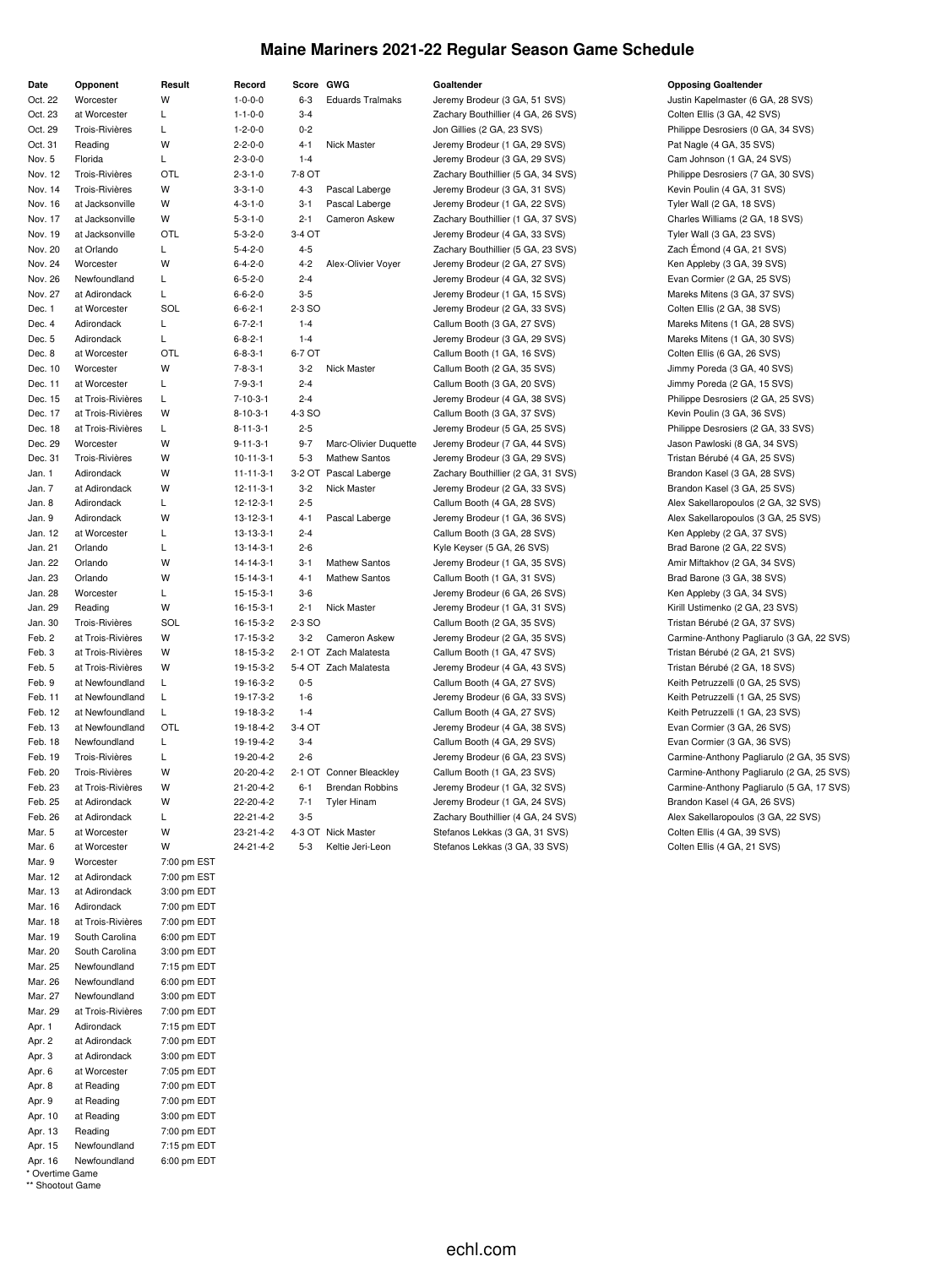## **Maine Mariners 2021-22 Regular Season Game Schedule**

| Date    | Opponent              | Result      | Record            | Score GWG |                         | Goaltender                         | <b>Opposing Goaltender</b>                |
|---------|-----------------------|-------------|-------------------|-----------|-------------------------|------------------------------------|-------------------------------------------|
| Oct. 22 | Worcester             | W           | $1 - 0 - 0 - 0$   | $6-3$     | <b>Eduards Tralmaks</b> | Jeremy Brodeur (3 GA, 51 SVS)      | Justin Kapelmaster (6 GA, 28 SVS)         |
| Oct. 23 | at Worcester          | Г           | $1 - 1 - 0 - 0$   | $3 - 4$   |                         |                                    |                                           |
|         |                       |             |                   |           |                         | Zachary Bouthillier (4 GA, 26 SVS) | Colten Ellis (3 GA, 42 SVS)               |
| Oct. 29 | Trois-Rivières        | L           | $1 - 2 - 0 - 0$   | $0 - 2$   |                         | Jon Gillies (2 GA, 23 SVS)         | Philippe Desrosiers (0 GA, 34 SVS)        |
| Oct. 31 | Reading               | W           | $2 - 2 - 0 - 0$   | $4 - 1$   | Nick Master             | Jeremy Brodeur (1 GA, 29 SVS)      | Pat Nagle (4 GA, 35 SVS)                  |
| Nov. 5  | Florida               | L           | $2 - 3 - 0 - 0$   | $1 - 4$   |                         | Jeremy Brodeur (3 GA, 29 SVS)      | Cam Johnson (1 GA, 24 SVS)                |
| Nov. 12 | Trois-Rivières        | OTL         | $2 - 3 - 1 - 0$   | 7-8 OT    |                         | Zachary Bouthillier (5 GA, 34 SVS) | Philippe Desrosiers (7 GA, 30 SVS)        |
| Nov. 14 | Trois-Rivières        | W           | $3 - 3 - 1 - 0$   | $4 - 3$   | Pascal Laberge          | Jeremy Brodeur (3 GA, 31 SVS)      | Kevin Poulin (4 GA, 31 SVS)               |
| Nov. 16 | at Jacksonville       | W           | $4 - 3 - 1 - 0$   | $3-1$     | Pascal Laberge          | Jeremy Brodeur (1 GA, 22 SVS)      | Tyler Wall (2 GA, 18 SVS)                 |
| Nov. 17 | at Jacksonville       | W           | $5 - 3 - 1 - 0$   | $2 - 1$   | Cameron Askew           | Zachary Bouthillier (1 GA, 37 SVS) | Charles Williams (2 GA, 18 SVS)           |
| Nov. 19 | at Jacksonville       | OTL         | $5 - 3 - 2 - 0$   | 3-4 OT    |                         | Jeremy Brodeur (4 GA, 33 SVS)      | Tyler Wall (3 GA, 23 SVS)                 |
| Nov. 20 | at Orlando            | L           | $5 - 4 - 2 - 0$   | $4 - 5$   |                         | Zachary Bouthillier (5 GA, 23 SVS) | Zach Emond (4 GA, 21 SVS)                 |
| Nov. 24 | Worcester             | W           | $6 - 4 - 2 - 0$   | $4 - 2$   | Alex-Olivier Voyer      | Jeremy Brodeur (2 GA, 27 SVS)      | Ken Appleby (3 GA, 39 SVS)                |
| Nov. 26 | Newfoundland          | L           | $6 - 5 - 2 - 0$   | $2 - 4$   |                         | Jeremy Brodeur (4 GA, 32 SVS)      | Evan Cormier (2 GA, 25 SVS)               |
| Nov. 27 | at Adirondack         | L           | $6 - 6 - 2 - 0$   | $3-5$     |                         | Jeremy Brodeur (1 GA, 15 SVS)      | Mareks Mitens (3 GA, 37 SVS)              |
|         |                       | SOL         |                   |           |                         |                                    |                                           |
| Dec. 1  | at Worcester          |             | $6 - 6 - 2 - 1$   | 2-3 SO    |                         | Jeremy Brodeur (2 GA, 33 SVS)      | Colten Ellis (2 GA, 38 SVS)               |
| Dec. 4  | Adirondack            | Г           | $6 - 7 - 2 - 1$   | $1 - 4$   |                         | Callum Booth (3 GA, 27 SVS)        | Mareks Mitens (1 GA, 28 SVS)              |
| Dec. 5  | Adirondack            | L           | $6 - 8 - 2 - 1$   | $1 - 4$   |                         | Jeremy Brodeur (3 GA, 29 SVS)      | Mareks Mitens (1 GA, 30 SVS)              |
| Dec. 8  | at Worcester          | OTL         | $6 - 8 - 3 - 1$   | 6-7 OT    |                         | Callum Booth (1 GA, 16 SVS)        | Colten Ellis (6 GA, 26 SVS)               |
| Dec. 10 | Worcester             | W           | $7 - 8 - 3 - 1$   | $3 - 2$   | Nick Master             | Callum Booth (2 GA, 35 SVS)        | Jimmy Poreda (3 GA, 40 SVS)               |
| Dec. 11 | at Worcester          | L           | $7 - 9 - 3 - 1$   | $2 - 4$   |                         | Callum Booth (3 GA, 20 SVS)        | Jimmy Poreda (2 GA, 15 SVS)               |
| Dec. 15 | at Trois-Rivières     | L           | $7 - 10 - 3 - 1$  | $2 - 4$   |                         | Jeremy Brodeur (4 GA, 38 SVS)      | Philippe Desrosiers (2 GA, 25 SVS)        |
| Dec. 17 | at Trois-Rivières     | W           | $8 - 10 - 3 - 1$  | 4-3 SO    |                         | Callum Booth (3 GA, 37 SVS)        | Kevin Poulin (3 GA, 36 SVS)               |
| Dec. 18 | at Trois-Rivières     | L           | $8 - 11 - 3 - 1$  | $2 - 5$   |                         | Jeremy Brodeur (5 GA, 25 SVS)      | Philippe Desrosiers (2 GA, 33 SVS)        |
| Dec. 29 | Worcester             | W           | $9 - 11 - 3 - 1$  | $9 - 7$   | Marc-Olivier Duquette   | Jeremy Brodeur (7 GA, 44 SVS)      | Jason Pawloski (8 GA, 34 SVS)             |
| Dec. 31 | Trois-Rivières        | W           | $10 - 11 - 3 - 1$ | $5-3$     | <b>Mathew Santos</b>    | Jeremy Brodeur (3 GA, 29 SVS)      | Tristan Bérubé (4 GA, 25 SVS)             |
| Jan. 1  | Adirondack            | W           | $11 - 11 - 3 - 1$ |           | 3-2 OT Pascal Laberge   | Zachary Bouthillier (2 GA, 31 SVS) |                                           |
|         |                       |             |                   |           |                         |                                    | Brandon Kasel (3 GA, 28 SVS)              |
| Jan. 7  | at Adirondack         | W           | $12 - 11 - 3 - 1$ | $3 - 2$   | Nick Master             | Jeremy Brodeur (2 GA, 33 SVS)      | Brandon Kasel (3 GA, 25 SVS)              |
| Jan. 8  | Adirondack            | Г           | 12-12-3-1         | $2 - 5$   |                         | Callum Booth (4 GA, 28 SVS)        | Alex Sakellaropoulos (2 GA, 32 SVS)       |
| Jan. 9  | Adirondack            | W           | $13 - 12 - 3 - 1$ | $4 - 1$   | Pascal Laberge          | Jeremy Brodeur (1 GA, 36 SVS)      | Alex Sakellaropoulos (3 GA, 25 SVS)       |
| Jan. 12 | at Worcester          | L           | $13 - 13 - 3 - 1$ | $2 - 4$   |                         | Callum Booth (3 GA, 28 SVS)        | Ken Appleby (2 GA, 37 SVS)                |
| Jan. 21 | Orlando               | Г           | 13-14-3-1         | $2 - 6$   |                         | Kyle Keyser (5 GA, 26 SVS)         | Brad Barone (2 GA, 22 SVS)                |
| Jan. 22 | Orlando               | W           | 14-14-3-1         | $3 - 1$   | <b>Mathew Santos</b>    | Jeremy Brodeur (1 GA, 35 SVS)      | Amir Miftakhov (2 GA, 34 SVS)             |
| Jan. 23 | Orlando               | W           | $15 - 14 - 3 - 1$ | $4 - 1$   | <b>Mathew Santos</b>    | Callum Booth (1 GA, 31 SVS)        | Brad Barone (3 GA, 38 SVS)                |
| Jan. 28 | Worcester             | Г           | $15 - 15 - 3 - 1$ | $3-6$     |                         | Jeremy Brodeur (6 GA, 26 SVS)      | Ken Appleby (3 GA, 34 SVS)                |
| Jan. 29 | Reading               | W           | $16 - 15 - 3 - 1$ | $2 - 1$   | Nick Master             | Jeremy Brodeur (1 GA, 31 SVS)      | Kirill Ustimenko (2 GA, 23 SVS)           |
| Jan. 30 | <b>Trois-Rivières</b> | SOL         | 16-15-3-2         | 2-3 SO    |                         | Callum Booth (2 GA, 35 SVS)        | Tristan Bérubé (2 GA, 37 SVS)             |
|         |                       |             |                   |           |                         |                                    |                                           |
| Feb. 2  | at Trois-Rivières     | W           | 17-15-3-2         |           | 3-2 Cameron Askew       | Jeremy Brodeur (2 GA, 35 SVS)      | Carmine-Anthony Pagliarulo (3 GA, 22 SVS) |
| Feb. 3  | at Trois-Rivières     | W           | 18-15-3-2         |           | 2-1 OT Zach Malatesta   | Callum Booth (1 GA, 47 SVS)        | Tristan Bérubé (2 GA, 21 SVS)             |
| Feb. 5  | at Trois-Rivières     | W           | 19-15-3-2         |           | 5-4 OT Zach Malatesta   | Jeremy Brodeur (4 GA, 43 SVS)      | Tristan Bérubé (2 GA, 18 SVS)             |
| Feb. 9  | at Newfoundland       | L           | 19-16-3-2         | $0 - 5$   |                         | Callum Booth (4 GA, 27 SVS)        | Keith Petruzzelli (0 GA, 25 SVS)          |
| Feb. 11 | at Newfoundland       | L           | 19-17-3-2         | $1 - 6$   |                         | Jeremy Brodeur (6 GA, 33 SVS)      | Keith Petruzzelli (1 GA, 25 SVS)          |
| Feb. 12 | at Newfoundland       | L           | 19-18-3-2         | $1 - 4$   |                         | Callum Booth (4 GA, 27 SVS)        | Keith Petruzzelli (1 GA, 23 SVS)          |
| Feb. 13 | at Newfoundland       | OTL         | 19-18-4-2         | 3-4 OT    |                         | Jeremy Brodeur (4 GA, 38 SVS)      | Evan Cormier (3 GA, 26 SVS)               |
| Feb. 18 | Newfoundland          | L           | 19-19-4-2         | $3 - 4$   |                         | Callum Booth (4 GA, 29 SVS)        | Evan Cormier (3 GA, 36 SVS)               |
| Feb. 19 | Trois-Rivières        | L           | 19-20-4-2         | $2 - 6$   |                         | Jeremy Brodeur (6 GA, 23 SVS)      | Carmine-Anthony Pagliarulo (2 GA, 35 SVS) |
| Feb. 20 | Trois-Rivières        | W           | 20-20-4-2         |           | 2-1 OT Conner Bleackley | Callum Booth (1 GA, 23 SVS)        | Carmine-Anthony Pagliarulo (2 GA, 25 SVS) |
|         |                       | W           | 21-20-4-2         |           |                         |                                    | Carmine-Anthony Pagliarulo (5 GA, 17 SVS) |
| Feb. 23 | at Trois-Rivières     |             |                   | $6 - 1$   | <b>Brendan Robbins</b>  | Jeremy Brodeur (1 GA, 32 SVS)      |                                           |
| Feb. 25 | at Adirondack         | W           | 22-20-4-2         | $7 - 1$   | Tyler Hinam             | Jeremy Brodeur (1 GA, 24 SVS)      | Brandon Kasel (4 GA, 26 SVS)              |
| Feb. 26 | at Adirondack         | L           | 22-21-4-2         | $3 - 5$   |                         | Zachary Bouthillier (4 GA, 24 SVS) | Alex Sakellaropoulos (3 GA, 22 SVS)       |
| Mar. 5  | at Worcester          | W           | 23-21-4-2         |           | 4-3 OT Nick Master      | Stefanos Lekkas (3 GA, 31 SVS)     | Colten Ellis (4 GA, 39 SVS)               |
| Mar. 6  | at Worcester          | W           | 24-21-4-2         | $5 - 3$   | Keltie Jeri-Leon        | Stefanos Lekkas (3 GA, 33 SVS)     | Colten Ellis (4 GA, 21 SVS)               |
| Mar. 9  | Worcester             | 7:00 pm EST |                   |           |                         |                                    |                                           |
| Mar. 12 | at Adirondack         | 7:00 pm EST |                   |           |                         |                                    |                                           |
| Mar. 13 | at Adirondack         | 3:00 pm EDT |                   |           |                         |                                    |                                           |
| Mar. 16 | Adirondack            | 7:00 pm EDT |                   |           |                         |                                    |                                           |
| Mar. 18 | at Trois-Rivières     | 7:00 pm EDT |                   |           |                         |                                    |                                           |
| Mar. 19 | South Carolina        | 6:00 pm EDT |                   |           |                         |                                    |                                           |
| Mar. 20 | South Carolina        | 3:00 pm EDT |                   |           |                         |                                    |                                           |
|         |                       |             |                   |           |                         |                                    |                                           |
| Mar. 25 | Newfoundland          | 7:15 pm EDT |                   |           |                         |                                    |                                           |
| Mar. 26 | Newfoundland          | 6:00 pm EDT |                   |           |                         |                                    |                                           |
| Mar. 27 | Newfoundland          | 3:00 pm EDT |                   |           |                         |                                    |                                           |
| Mar. 29 | at Trois-Rivières     | 7:00 pm EDT |                   |           |                         |                                    |                                           |
| Apr. 1  | Adirondack            | 7:15 pm EDT |                   |           |                         |                                    |                                           |
| Apr. 2  | at Adirondack         | 7:00 pm EDT |                   |           |                         |                                    |                                           |
| Apr. 3  | at Adirondack         | 3:00 pm EDT |                   |           |                         |                                    |                                           |
| Apr. 6  | at Worcester          | 7:05 pm EDT |                   |           |                         |                                    |                                           |
| Apr. 8  | at Reading            | 7:00 pm EDT |                   |           |                         |                                    |                                           |
| Apr. 9  | at Reading            | 7:00 pm EDT |                   |           |                         |                                    |                                           |
|         |                       |             |                   |           |                         |                                    |                                           |
| Apr. 10 | at Reading            | 3:00 pm EDT |                   |           |                         |                                    |                                           |
| Apr. 13 | Reading               | 7:00 pm EDT |                   |           |                         |                                    |                                           |
| Apr. 15 | Newfoundland          | 7:15 pm EDT |                   |           |                         |                                    |                                           |
| Apr. 16 | Newfoundland          | 6:00 pm EDT |                   |           |                         |                                    |                                           |

\* Overtime Game \*\* Shootout Game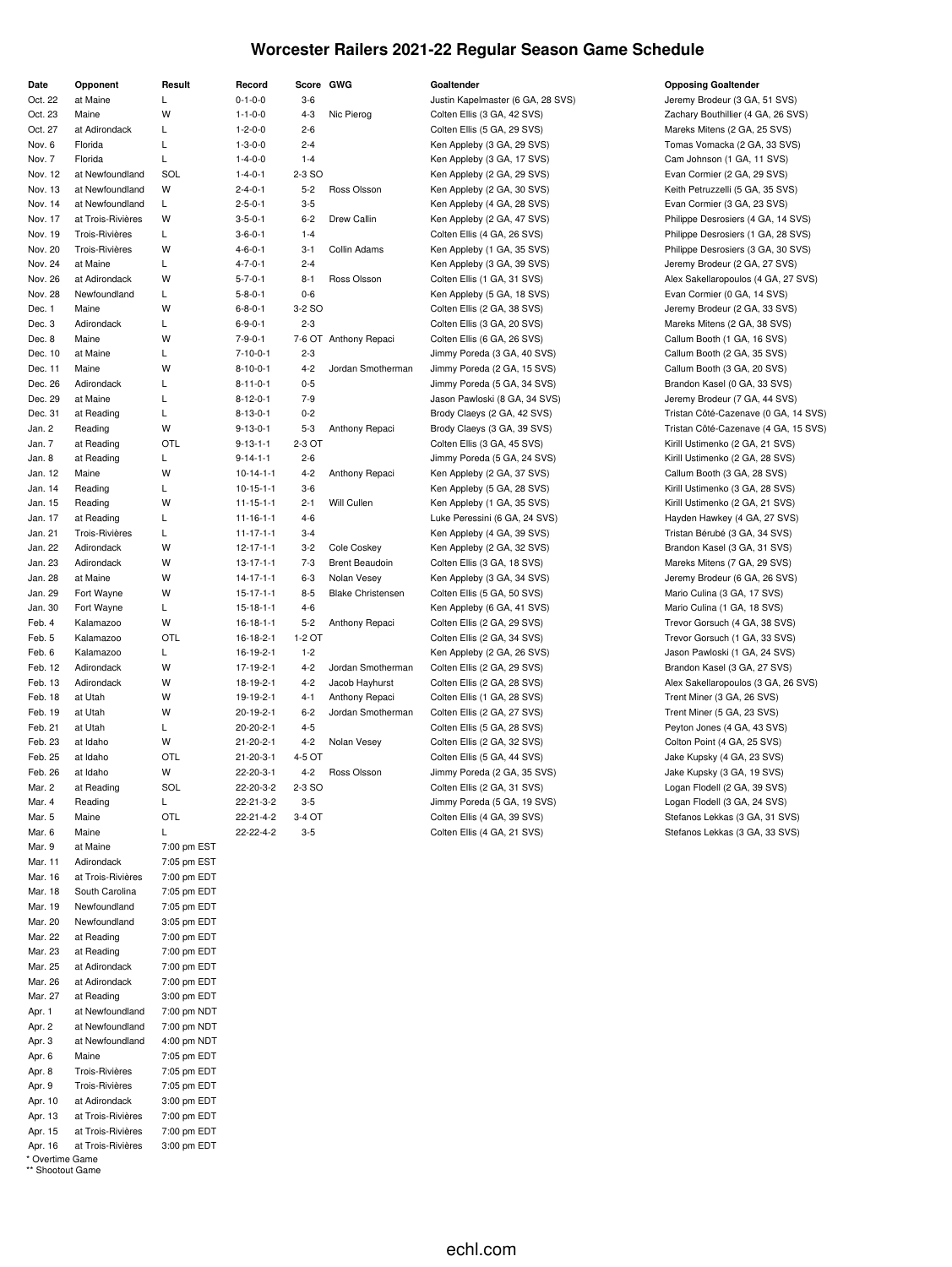#### **Worcester Railers 2021-22 Regular Season Game Schedule**

| Date                                | Opponent          | Result      | Record            | Score GWG |                          | Goaltender         |
|-------------------------------------|-------------------|-------------|-------------------|-----------|--------------------------|--------------------|
| Oct. 22                             | at Maine          | Г           | $0 - 1 - 0 - 0$   | $3-6$     |                          | Justin Kapelmast   |
| Oct. 23                             | Maine             | W           | $1 - 1 - 0 - 0$   | $4 - 3$   | Nic Pierog               | Colten Ellis (3 G/ |
| Oct. 27                             | at Adirondack     | L           | $1 - 2 - 0 - 0$   | $2 - 6$   |                          | Colten Ellis (5 G/ |
| Nov. 6                              | Florida           | Г           | $1 - 3 - 0 - 0$   | $2 - 4$   |                          | Ken Appleby (3 C   |
| Nov. 7                              | Florida           | Г           | $1 - 4 - 0 - 0$   | $1 - 4$   |                          | Ken Appleby (3 C   |
| Nov. 12                             | at Newfoundland   | SOL         | $1 - 4 - 0 - 1$   | 2-3 SO    |                          | Ken Appleby (2 C   |
| Nov. 13                             | at Newfoundland   | W           | $2 - 4 - 0 - 1$   | $5 - 2$   | Ross Olsson              | Ken Appleby (2 C   |
| Nov. 14                             | at Newfoundland   | Г           | $2 - 5 - 0 - 1$   | $3 - 5$   |                          | Ken Appleby (4 C   |
| Nov. 17                             | at Trois-Rivières | W           | $3 - 5 - 0 - 1$   | $6 - 2$   | Drew Callin              | Ken Appleby (2 C   |
| Nov. 19                             | Trois-Rivières    | L           | $3 - 6 - 0 - 1$   | $1 - 4$   |                          | Colten Ellis (4 G/ |
| Nov. 20                             | Trois-Rivières    | W           | $4 - 6 - 0 - 1$   | $3 - 1$   | Collin Adams             | Ken Appleby (1 C   |
| Nov. 24                             | at Maine          | L           | $4 - 7 - 0 - 1$   | $2 - 4$   |                          | Ken Appleby (3 C   |
| Nov. 26                             | at Adirondack     | W           | $5 - 7 - 0 - 1$   | $8 - 1$   | Ross Olsson              | Colten Ellis (1 G/ |
| Nov. 28                             | Newfoundland      | Г           | $5 - 8 - 0 - 1$   | $0-6$     |                          | Ken Appleby (5 C   |
| Dec. 1                              | Maine             | W           | $6 - 8 - 0 - 1$   | 3-2 SO    |                          | Colten Ellis (2 G/ |
| Dec. 3                              | Adirondack        | L           | $6 - 9 - 0 - 1$   | $2 - 3$   |                          | Colten Ellis (3 G/ |
| Dec. 8                              | Maine             | W           | $7 - 9 - 0 - 1$   |           | 7-6 OT Anthony Repaci    | Colten Ellis (6 G/ |
| Dec. 10                             | at Maine          | Г           | $7 - 10 - 0 - 1$  | $2 - 3$   |                          | Jimmy Poreda (3    |
| Dec. 11                             | Maine             | W           | $8 - 10 - 0 - 1$  | $4 - 2$   | Jordan Smotherman        | Jimmy Poreda (2    |
| Dec. 26                             | Adirondack        | Г           | $8 - 11 - 0 - 1$  | $0 - 5$   |                          | Jimmy Poreda (5    |
| Dec. 29                             | at Maine          | Г           | $8 - 12 - 0 - 1$  | $7-9$     |                          | Jason Pawloski (   |
| Dec. 31                             | at Reading        | Г           | $8 - 13 - 0 - 1$  | $0 - 2$   |                          | Brody Claeys (2)   |
| Jan. 2                              | Reading           | W           | $9 - 13 - 0 - 1$  | $5 - 3$   | Anthony Repaci           | Brody Claeys (3)   |
| Jan. 7                              | at Reading        | OTL         | $9 - 13 - 1 - 1$  | 2-3 OT    |                          | Colten Ellis (3 G/ |
| Jan. 8                              | at Reading        | L           | $9 - 14 - 1 - 1$  | $2 - 6$   |                          | Jimmy Poreda (5    |
| Jan. 12                             | Maine             | W           | $10-14-1-1$       | $4 - 2$   | Anthony Repaci           | Ken Appleby (2 C   |
| Jan. 14                             | Reading           | L           | $10 - 15 - 1 - 1$ | $3-6$     |                          | Ken Appleby (5 C   |
| Jan. 15                             | Reading           | W           | $11 - 15 - 1 - 1$ | $2 - 1$   | Will Cullen              | Ken Appleby (1 C   |
| Jan. 17                             | at Reading        | L           | $11 - 16 - 1 - 1$ | $4 - 6$   |                          | Luke Peressini (6  |
| Jan. 21                             | Trois-Rivières    | Г           | $11 - 17 - 1 - 1$ | $3 - 4$   |                          | Ken Appleby (4 C   |
| Jan. 22                             | Adirondack        | W           | $12 - 17 - 1 - 1$ | $3 - 2$   | Cole Coskey              | Ken Appleby (2 C   |
| Jan. 23                             | Adirondack        | W           | $13 - 17 - 1 - 1$ | $7 - 3$   | <b>Brent Beaudoin</b>    | Colten Ellis (3 G/ |
| Jan. 28                             | at Maine          | W           | $14 - 17 - 1 - 1$ | $6 - 3$   | Nolan Vesey              | Ken Appleby (3 C   |
| Jan. 29                             | Fort Wayne        | W           | $15 - 17 - 1 - 1$ | $8 - 5$   | <b>Blake Christensen</b> | Colten Ellis (5 G/ |
| Jan. 30                             | Fort Wayne        | Г           | $15 - 18 - 1 - 1$ | $4 - 6$   |                          | Ken Appleby (6 C   |
| Feb. 4                              | Kalamazoo         | W           | $16 - 18 - 1 - 1$ | $5 - 2$   | Anthony Repaci           | Colten Ellis (2 G/ |
| Feb. 5                              | Kalamazoo         | OTL         | 16-18-2-1         | 1-2 OT    |                          | Colten Ellis (2 G/ |
| Feb. 6                              | Kalamazoo         | L           | 16-19-2-1         | $1 - 2$   |                          | Ken Appleby (2 C   |
| Feb. 12                             | Adirondack        | W           | 17-19-2-1         | $4 - 2$   | Jordan Smotherman        | Colten Ellis (2 G/ |
| Feb. 13                             | Adirondack        | W           | 18-19-2-1         | $4 - 2$   | Jacob Hayhurst           | Colten Ellis (2 G/ |
| Feb. 18                             | at Utah           | W           | 19-19-2-1         | 4-1       | Anthony Repaci           | Colten Ellis (1 G/ |
| Feb. 19                             | at Utah           | W           | $20 - 19 - 2 - 1$ | $6 - 2$   | Jordan Smotherman        | Colten Ellis (2 G/ |
| Feb. 21                             | at Utah           | Г           | $20 - 20 - 2 - 1$ | $4 - 5$   |                          | Colten Ellis (5 G/ |
| Feb. 23                             | at Idaho          | W           | $21 - 20 - 2 - 1$ | $4 - 2$   | Nolan Vesey              | Colten Ellis (2 G/ |
| Feb. 25                             | at Idaho          | OTL         | 21-20-3-1         | 4-5 OT    |                          | Colten Ellis (5 G/ |
| Feb. 26                             | at Idaho          | W           | 22-20-3-1         | $4 - 2$   | Ross Olsson              | Jimmy Poreda (2    |
| Mar. 2                              | at Reading        | SOL         | 22-20-3-2         | 2-3 SO    |                          | Colten Ellis (2 G/ |
| Mar. 4                              | Reading           | L           | 22-21-3-2         | 3-5       |                          | Jimmy Poreda (5    |
| Mar. 5                              | Maine             | OTL         | 22-21-4-2         | 3-4 OT    |                          | Colten Ellis (4 G/ |
| Mar. 6                              | Maine             | Г           | 22-22-4-2         | $3-5$     |                          | Colten Ellis (4 G/ |
| Mar. 9                              | at Maine          | 7:00 pm EST |                   |           |                          |                    |
| Mar. 11                             | Adirondack        | 7:05 pm EST |                   |           |                          |                    |
| Mar. 16                             | at Trois-Rivières | 7:00 pm EDT |                   |           |                          |                    |
| Mar. 18                             | South Carolina    | 7:05 pm EDT |                   |           |                          |                    |
| Mar. 19                             | Newfoundland      | 7:05 pm EDT |                   |           |                          |                    |
| Mar. 20                             | Newfoundland      | 3:05 pm EDT |                   |           |                          |                    |
| Mar. 22                             | at Reading        | 7:00 pm EDT |                   |           |                          |                    |
| Mar. 23                             | at Reading        | 7:00 pm EDT |                   |           |                          |                    |
| Mar. 25                             | at Adirondack     |             |                   |           |                          |                    |
| Mar. 26                             | at Adirondack     | 7:00 pm EDT |                   |           |                          |                    |
|                                     |                   | 7:00 pm EDT |                   |           |                          |                    |
| Mar. 27                             | at Reading        | 3:00 pm EDT |                   |           |                          |                    |
| Apr. 1                              | at Newfoundland   | 7:00 pm NDT |                   |           |                          |                    |
| Apr. 2                              | at Newfoundland   | 7:00 pm NDT |                   |           |                          |                    |
| Apr. 3                              | at Newfoundland   | 4:00 pm NDT |                   |           |                          |                    |
| Apr. 6                              | Maine             | 7:05 pm EDT |                   |           |                          |                    |
| Apr. 8                              | Trois-Rivières    | 7:05 pm EDT |                   |           |                          |                    |
| Apr. 9                              | Trois-Rivières    | 7:05 pm EDT |                   |           |                          |                    |
| Apr. 10                             | at Adirondack     | 3:00 pm EDT |                   |           |                          |                    |
| Apr. 13                             | at Trois-Rivières | 7:00 pm EDT |                   |           |                          |                    |
| Apr. 15                             | at Trois-Rivières | 7:00 pm EDT |                   |           |                          |                    |
| Apr. 16                             | at Trois-Rivières | 3:00 pm EDT |                   |           |                          |                    |
| * Overtime Game<br>** Shootout Game |                   |             |                   |           |                          |                    |

 $D$ pposing Goaltender

der (6 GA, 28 SVS) Jeremy Brodeur (3 GA, 51 SVS) A, 42 SVS) Cachary Bouthillier (4 GA, 26 SVS) A, 29 SVS) Mareks Mitens (2 GA, 25 SVS) GA, 29 SVS) Tomas Vomacka (2 GA, 33 SVS) GA, 17 SVS) Cam Johnson (1 GA, 11 SVS) GA, 29 SVS) **Evan Cormier (2 GA, 29 SVS)** GA, 30 SVS) **EXERENT M 2-4-00-1 2-4-0-1 Keith Petruzzelli** (5 GA, 35 SVS) GA, 28 SVS) Evan Cormier (3 GA, 23 SVS) GA, 47 SVS) **Trois-Rivières W 3-0-1 Philippe Desrosiers (4 GA, 14 SVS)** A, 26 SVS) Philippe Desrosiers (1 GA, 28 SVS) GA, 35 SVS) Trois-Rivières W 4-6-0-1 Philippe Desrosiers (3 GA, 30 SVS) GA, 39 SVS) Jeremy Brodeur (2 GA, 27 SVS) A, 31 SVS) **Adicacl** Alex Sakellaropoulos (4 GA, 27 SVS) GA, 18 SVS) Evan Cormier (0 GA, 14 SVS) A, 38 SVS) Jeremy Brodeur (2 GA, 33 SVS) A, 20 SVS) Mareks Mitens (2 GA, 38 SVS) A, 26 SVS) Callum Booth (1 GA, 16 SVS) GA, 40 SVS) Callum Booth (2 GA, 35 SVS) 2 GA, 15 SVS) Callum Booth (3 GA, 20 SVS) GA, 34 SVS) Brandon Kasel (0 GA, 33 SVS) (8 GA, 34 SVS) Jeremy Brodeur (7 GA, 44 SVS) GA, 42 SVS) Tristan Côté-Cazenave (0 GA, 14 SVS) GA, 39 SVS) Tristan Côté-Cazenave (4 GA, 15 SVS) A, 45 SVS) **Example 2-13-1-1** Kirill Ustimenko (2 GA, 21 SVS) Jan. 24 SVS) **At Accord 2-14-1-1-1-1-1** GA, 24 SVS CGA, 28 SVS) Jan. 12 Maine W 10-14-1-1 4-2 Anthony Repaci Ken Appleby (2 GA, 37 SVS) Callum Booth (3 GA, 28 SVS) GA, 28 SVS) The Leading L 10-15-1-1 Reading L 10-1-1 September (3 GA, 28 SVS) GA, 35 SVS) **Internal M 11-15-1-1-1** Kirill Ustimenko (2 GA, 21 SVS) 6 GA, 24 SVS) Tan. 17 and Hayden Hawkey (4 GA, 27 SVS) GA, 39 SVS) Tristan Bérubé (3 GA, 34 SVS) GA, 32 SVS) **12-12-2 Cone Appleby Cone Appleby Cone Brandon Kasel (3 GA, 31 SVS)** A, 18 SVS) Mareks Mitens (7 GA, 29 SVS) GA, 34 SVS) Jeremy Brodeur (6 GA, 26 SVS) Jan. 29 Fort Wayne W 15-17-1-1 8-5 Blake Christensen Colten Ellis (5 GA, 50 SVS) Mario Culina (3 GA, 17 SVS) GA, 41 SVS) **Mario Culina (1 GA, 18 SVS)** Frevor Gorsuch (4 GA, 38 SVS) 16-1-1 5-2 Anti-1 5-2 Anti-1 5-2 Anti-1 5-2 Anti-1 5-2 Anti-1 5-2 Anti-1 5-2 Anti-A, 34 SVS) Trevor Gorsuch (1 GA, 33 SVS) Feb. 26 SVS) CA. 26 SVS) Jason Pawloski (1 GA, 24 SVS) Feb. 12 A, 29 SVS) 17-19-20-2-2-1 2-2 Jordan Smotherman Brandon Kasel (3 GA, 27 SVS) Feb. 28 SVS) Alex Sakellaropoulos (3 GA, 26 SVS) Frent Miner (3 GA, 28 SVS) Trent Miner (3 GA, 26 SVS) Frent Miner (5 GA, 23 SVS) Trent Miner (5 GA, 23 SVS) A, 28 SVS) Peyton Jones (4 GA, 43 SVS) Feb. 23 at 22 SVS) Colton Point (4 GA, 25 SVS) Feb. 25 at Idaho OTL 21-20-3-1 4-5 OT Colten Ellis (5 GA, 44 SVS) Jake Kupsky (4 GA, 23 SVS) Feb. 26 at Idaho W 22-20-3-1 4-2 Ross Olsson Jimmy Poreda (2 GA, 35 SVS) Jake Kupsky (3 GA, 19 SVS) A. 31 SVS) COLLEGAT READING SOLA 22-20-39 SVS) GA, 19 SVS) Logan Flodell (3 GA, 24 SVS) A 39 SVS) Stefanos Lekkas (3 GA, 31 SVS) A, 21 SVS) Stefanos Lekkas (3 GA, 33 SVS)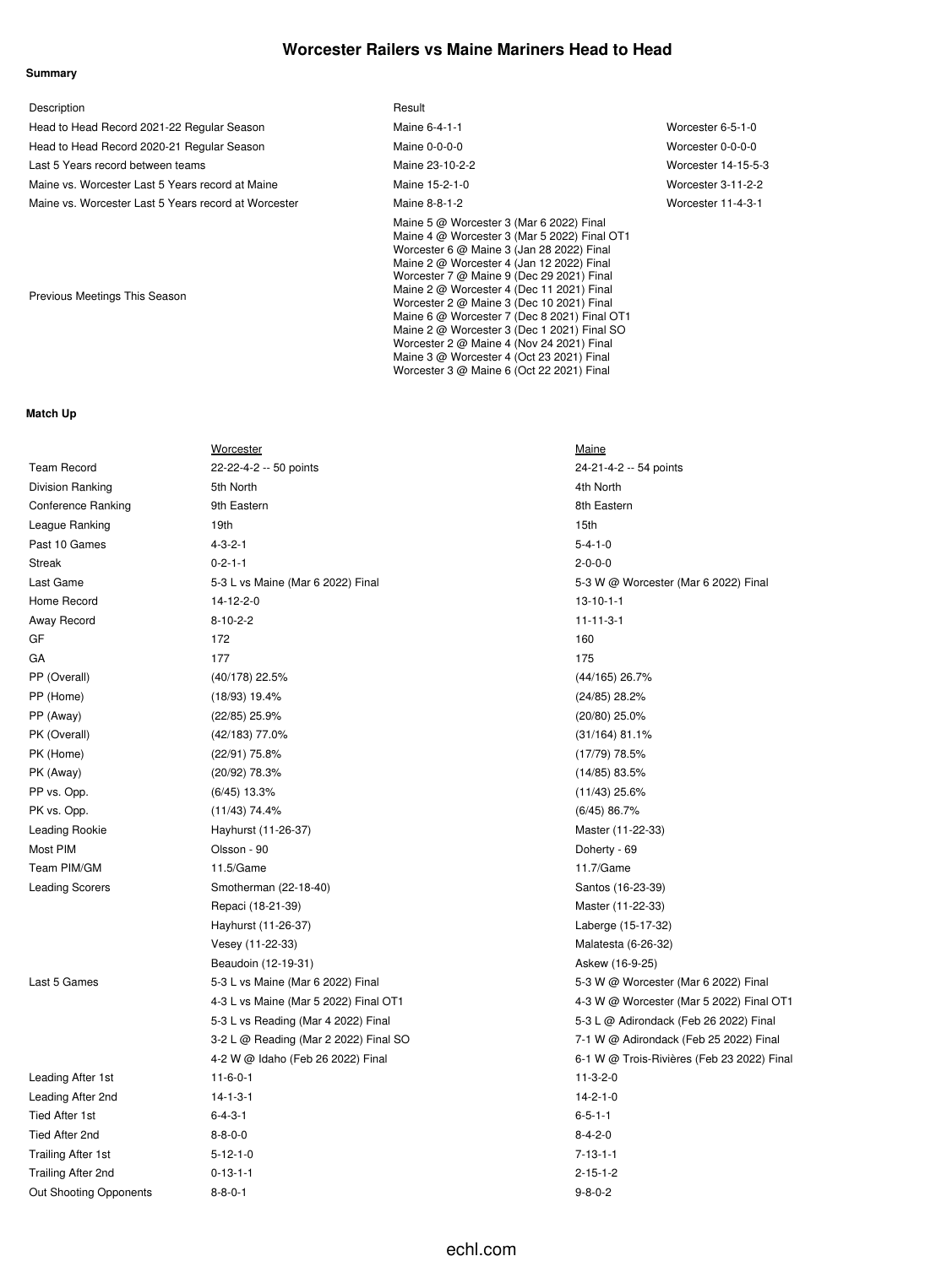## **Worcester Railers vs Maine Mariners Head to Head**

Worcester 3 @ Maine 6 (Oct 22 2021) Final

#### **Summary**

| Description                                          | Result                                                                                                                                                                                                                                                                                                                                                                                                                                                                                                             |                     |
|------------------------------------------------------|--------------------------------------------------------------------------------------------------------------------------------------------------------------------------------------------------------------------------------------------------------------------------------------------------------------------------------------------------------------------------------------------------------------------------------------------------------------------------------------------------------------------|---------------------|
| Head to Head Record 2021-22 Regular Season           | Maine 6-4-1-1                                                                                                                                                                                                                                                                                                                                                                                                                                                                                                      | Worcester 6-5-1-0   |
| Head to Head Record 2020-21 Regular Season           | Maine 0-0-0-0                                                                                                                                                                                                                                                                                                                                                                                                                                                                                                      | Worcester 0-0-0-0   |
| Last 5 Years record between teams                    | Maine 23-10-2-2                                                                                                                                                                                                                                                                                                                                                                                                                                                                                                    | Worcester 14-15-5-3 |
| Maine vs. Worcester Last 5 Years record at Maine     | Maine 15-2-1-0                                                                                                                                                                                                                                                                                                                                                                                                                                                                                                     | Worcester 3-11-2-2  |
| Maine vs. Worcester Last 5 Years record at Worcester | Maine 8-8-1-2                                                                                                                                                                                                                                                                                                                                                                                                                                                                                                      | Worcester 11-4-3-1  |
| Previous Meetings This Season                        | Maine 5 @ Worcester 3 (Mar 6 2022) Final<br>Maine 4 @ Worcester 3 (Mar 5 2022) Final OT1<br>Worcester 6 @ Maine 3 (Jan 28 2022) Final<br>Maine 2 @ Worcester 4 (Jan 12 2022) Final<br>Worcester 7 @ Maine 9 (Dec 29 2021) Final<br>Maine 2 @ Worcester 4 (Dec 11 2021) Final<br>Worcester 2 @ Maine 3 (Dec 10 2021) Final<br>Maine 6 @ Worcester 7 (Dec 8 2021) Final OT1<br>Maine 2 @ Worcester 3 (Dec 1 2021) Final SO<br>Worcester 2 @ Maine 4 (Nov 24 2021) Final<br>Maine 3 @ Worcester 4 (Oct 23 2021) Final |                     |

#### **Match Up**

|                        | <b>Worcester</b>                      | <b>Maine</b>                               |
|------------------------|---------------------------------------|--------------------------------------------|
| <b>Team Record</b>     | 22-22-4-2 -- 50 points                | 24-21-4-2 -- 54 points                     |
| Division Ranking       | 5th North                             | 4th North                                  |
| Conference Ranking     | 9th Eastern                           | 8th Eastern                                |
| League Ranking         | 19th                                  | 15th                                       |
| Past 10 Games          | $4 - 3 - 2 - 1$                       | $5 - 4 - 1 - 0$                            |
| Streak                 | $0 - 2 - 1 - 1$                       | $2 - 0 - 0 - 0$                            |
| Last Game              | 5-3 L vs Maine (Mar 6 2022) Final     | 5-3 W @ Worcester (Mar 6 2022) Final       |
| Home Record            | 14-12-2-0                             | $13 - 10 - 1 - 1$                          |
| Away Record            | $8 - 10 - 2 - 2$                      | $11 - 11 - 3 - 1$                          |
| GF                     | 172                                   | 160                                        |
| GА                     | 177                                   | 175                                        |
| PP (Overall)           | $(40/178)$ 22.5%                      | $(44/165)$ 26.7%                           |
| PP (Home)              | $(18/93)$ 19.4%                       | $(24/85)$ 28.2%                            |
| PP (Away)              | (22/85) 25.9%                         | (20/80) 25.0%                              |
| PK (Overall)           | (42/183) 77.0%                        | $(31/164)$ 81.1%                           |
| PK (Home)              | (22/91) 75.8%                         | $(17/79)$ 78.5%                            |
| PK (Away)              | (20/92) 78.3%                         | $(14/85)$ 83.5%                            |
| PP vs. Opp.            | $(6/45)$ 13.3%                        | $(11/43)$ 25.6%                            |
| PK vs. Opp.            | $(11/43)$ 74.4%                       | $(6/45)$ 86.7%                             |
| Leading Rookie         | Hayhurst (11-26-37)                   | Master (11-22-33)                          |
| Most PIM               | Olsson - 90                           | Doherty - 69                               |
| Team PIM/GM            | 11.5/Game                             | 11.7/Game                                  |
| <b>Leading Scorers</b> | Smotherman (22-18-40)                 | Santos (16-23-39)                          |
|                        | Repaci (18-21-39)                     | Master (11-22-33)                          |
|                        | Hayhurst (11-26-37)                   | Laberge (15-17-32)                         |
|                        | Vesey (11-22-33)                      | Malatesta (6-26-32)                        |
|                        | Beaudoin (12-19-31)                   | Askew (16-9-25)                            |
| Last 5 Games           | 5-3 L vs Maine (Mar 6 2022) Final     | 5-3 W @ Worcester (Mar 6 2022) Final       |
|                        | 4-3 L vs Maine (Mar 5 2022) Final OT1 | 4-3 W @ Worcester (Mar 5 2022) Final OT1   |
|                        | 5-3 L vs Reading (Mar 4 2022) Final   | 5-3 L @ Adirondack (Feb 26 2022) Final     |
|                        | 3-2 L @ Reading (Mar 2 2022) Final SO | 7-1 W @ Adirondack (Feb 25 2022) Final     |
|                        | 4-2 W @ Idaho (Feb 26 2022) Final     | 6-1 W @ Trois-Rivières (Feb 23 2022) Final |
| Leading After 1st      | $11 - 6 - 0 - 1$                      | $11-3-2-0$                                 |
| Leading After 2nd      | $14 - 1 - 3 - 1$                      | $14 - 2 - 1 - 0$                           |
| Tied After 1st         | $6 - 4 - 3 - 1$                       | $6 - 5 - 1 - 1$                            |
| Tied After 2nd         | $8 - 8 - 0 - 0$                       | $8 - 4 - 2 - 0$                            |
| Trailing After 1st     | $5 - 12 - 1 - 0$                      | $7 - 13 - 1 - 1$                           |
| Trailing After 2nd     | $0-13-1-1$                            | $2 - 15 - 1 - 2$                           |
| Out Shooting Opponents | $8 - 8 - 0 - 1$                       | $9 - 8 - 0 - 2$                            |

## echl.com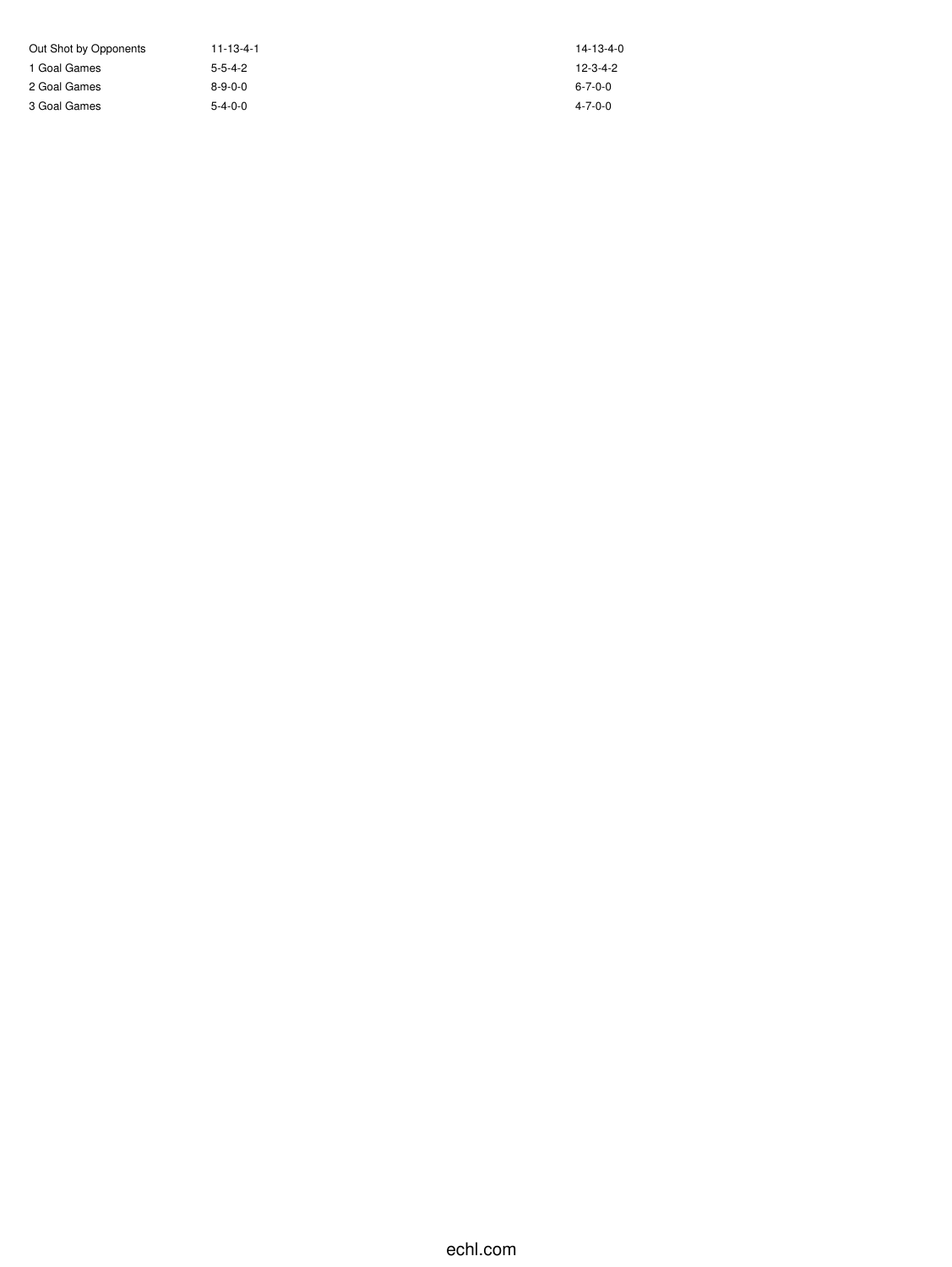| Out Shot by Opponents | $11 - 13 - 4 - 1$ | 14-13-4-0        |
|-----------------------|-------------------|------------------|
| 1 Goal Games          | $5 - 5 - 4 - 2$   | $12 - 3 - 4 - 2$ |
| 2 Goal Games          | $8 - 9 - 0 - 0$   | $6 - 7 - 0 - 0$  |
| 3 Goal Games          | $5 - 4 - 0 - 0$   | $4 - 7 - 0 - 0$  |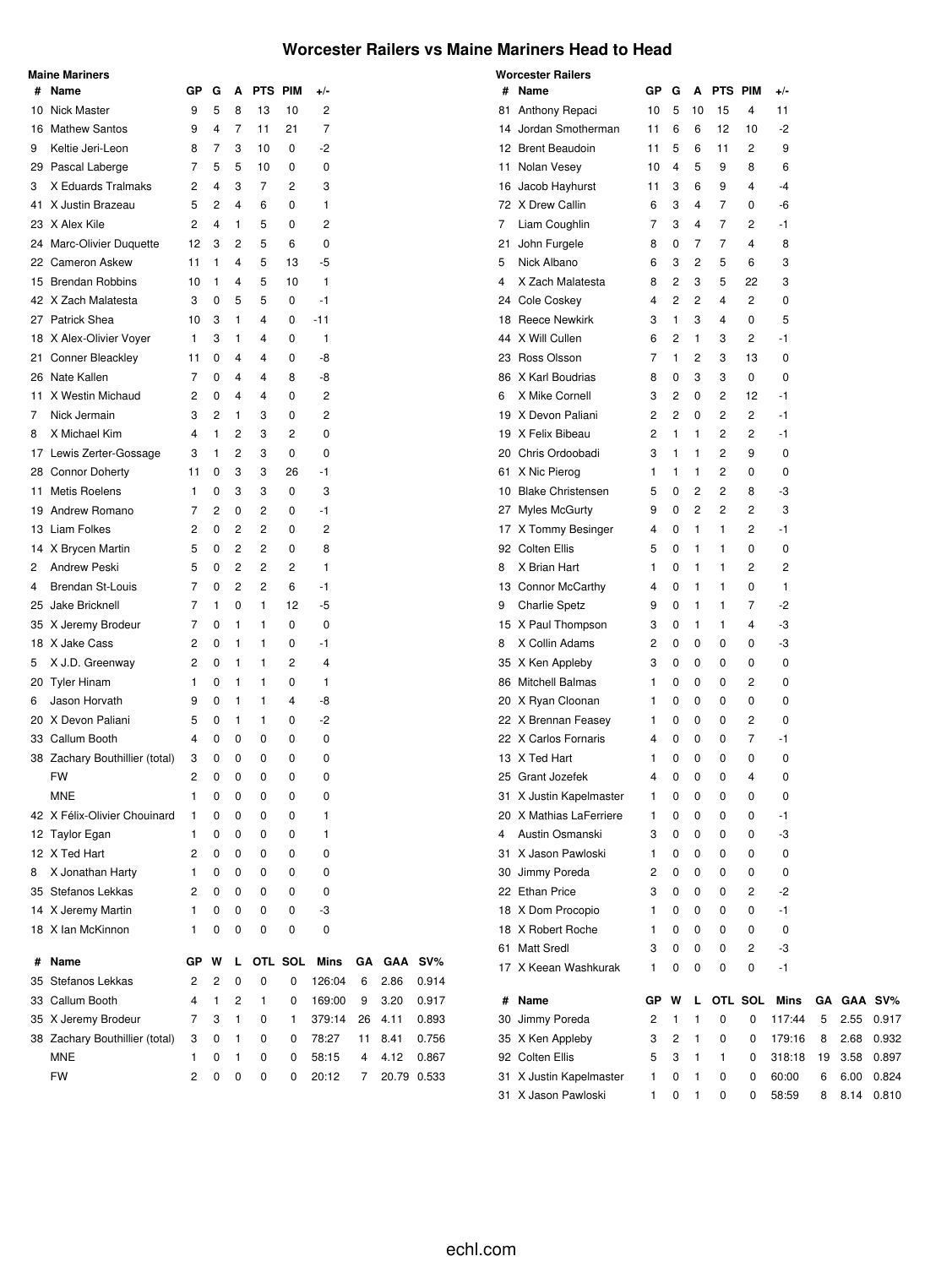### **Worcester Railers vs Maine Mariners Head to Head**

| #  | Name                                 | GР             | G              | Α | PTS PIM        |         | +/-            |    |            |        |
|----|--------------------------------------|----------------|----------------|---|----------------|---------|----------------|----|------------|--------|
|    | 10 Nick Master                       | 9              | 5              | 8 | 13             | 10      | 2              |    |            |        |
|    | 16 Mathew Santos                     | 9              | 4              | 7 | 11             | 21      | $\overline{7}$ |    |            |        |
| 9  | Keltie Jeri-Leon                     | 8              | 7              | 3 | 10             | 0       | -2             |    |            |        |
|    | 29 Pascal Laberge                    | 7              | 5              | 5 | 10             | 0       | 0              |    |            |        |
| 3  | X Eduards Tralmaks                   | 2              | 4              | 3 | $\overline{7}$ | 2       | 3              |    |            |        |
| 41 | X Justin Brazeau                     | 5              | 2              | 4 | 6              | 0       | 1              |    |            |        |
|    | 23 X Alex Kile                       | $\overline{c}$ | 4              | 1 | 5              | 0       | 2              |    |            |        |
|    | 24 Marc-Olivier Duquette             | 12             | 3              | 2 | 5              | 6       | 0              |    |            |        |
|    | 22 Cameron Askew                     | 11             | 1              | 4 | 5              | 13      | -5             |    |            |        |
|    | 15 Brendan Robbins                   | 10             | 1              | 4 | 5              | 10      | 1              |    |            |        |
|    | 42 X Zach Malatesta                  | 3              | 0              | 5 | 5              | 0       | $-1$           |    |            |        |
|    | 27 Patrick Shea                      | 10             | 3              | 1 | 4              | 0       | $-11$          |    |            |        |
|    | 18 X Alex-Olivier Voyer              | 1              | 3              | 1 | 4              | 0       | 1              |    |            |        |
| 21 | <b>Conner Bleackley</b>              | 11             | 0              | 4 | 4              | 0       | -8             |    |            |        |
|    | 26 Nate Kallen                       | 7              | 0              | 4 | 4              | 8       | -8             |    |            |        |
| 11 | X Westin Michaud                     | 2              | 0              | 4 | 4              | 0       | 2              |    |            |        |
| 7  | Nick Jermain                         | 3              | 2              | 1 | 3              | 0       | 2              |    |            |        |
| 8  | X Michael Kim                        | 4              | 1              | 2 | 3              | 2       | 0              |    |            |        |
|    | 17 Lewis Zerter-Gossage              | 3              | 1              | 2 | 3              | 0       | 0              |    |            |        |
|    | 28 Connor Doherty                    | 11             | 0              | 3 | 3              | 26      | -1             |    |            |        |
| 11 | <b>Metis Roelens</b>                 | 1              | 0              | 3 | 3              | 0       | 3              |    |            |        |
|    | 19 Andrew Romano                     | 7              | $\overline{2}$ | 0 | 2              | 0       | -1             |    |            |        |
|    | 13 Liam Folkes                       | 2              | 0              | 2 | 2              | 0       | 2              |    |            |        |
|    | 14 X Brycen Martin                   | 5              | 0              | 2 | 2              | 0       | 8              |    |            |        |
| 2  | <b>Andrew Peski</b>                  | 5              | 0              | 2 | 2              | 2       | 1              |    |            |        |
| 4  | <b>Brendan St-Louis</b>              | 7              | 0              | 2 | 2              | 6       | -1             |    |            |        |
|    | 25 Jake Bricknell                    | 7              | 1              | 0 | 1              | 12      | -5             |    |            |        |
|    | 35 X Jeremy Brodeur                  | 7              | 0              | 1 | 1              | 0       | 0              |    |            |        |
|    | 18 X Jake Cass                       | 2              | 0              | 1 | 1              | 0       | -1             |    |            |        |
| 5  | X J.D. Greenway                      | 2              | 0              | 1 | 1              | 2       | 4              |    |            |        |
|    | 20 Tyler Hinam                       | 1              | 0              | 1 | 1              | 0       | 1              |    |            |        |
| 6  | Jason Horvath                        | 9              | 0              | 1 | 1              | 4       | -8             |    |            |        |
|    | 20 X Devon Paliani                   | 5              | 0              | 1 | 1              | 0       | -2             |    |            |        |
|    | 33 Callum Booth                      | 4              | 0              | 0 | 0              | 0       | 0              |    |            |        |
|    |                                      | 3              | 0              | 0 | 0              | 0       | 0              |    |            |        |
|    | 38 Zachary Bouthillier (total)<br>FW | 2              |                | 0 |                |         |                |    |            |        |
|    | <b>MNE</b>                           | 1              | 0<br>0         | 0 | 0<br>0         | 0<br>0  | 0<br>0         |    |            |        |
|    |                                      |                |                |   |                |         |                |    |            |        |
|    | 42 X Félix-Olivier Chouinard         | 1              | 0              | 0 | 0              | 0       | 1              |    |            |        |
|    | 12 Taylor Egan                       | 1              | 0              | 0 | 0              | 0       | 1              |    |            |        |
|    | 12 X Ted Hart                        | 2              | 0              | 0 | 0              | 0       | 0              |    |            |        |
| 8  | X Jonathan Harty                     | 1              | 0              | 0 | 0              | 0       | 0              |    |            |        |
|    | 35 Stefanos Lekkas                   | 2              | 0              | 0 | 0              | 0       | 0              |    |            |        |
|    | 14 X Jeremy Martin                   | 1              | 0              | 0 | 0              | 0       | -3             |    |            |        |
|    | 18 X lan McKinnon                    | 1              | 0              | 0 | 0              | 0       | 0              |    |            |        |
| #  | Name                                 | GР             | W              | L |                | OTL SOL | <b>Mins</b>    | GΑ | <b>GAA</b> | $SV\%$ |
| 35 | Stefanos Lekkas                      | 2              | 2              | 0 | 0              | 0       | 126:04         | 6  | 2.86       | 0.914  |
|    | 33 Callum Booth                      | 4              | 1              | 2 | 1              | 0       | 169:00         | 9  | 3.20       | 0.917  |
|    | 35 X Jeremy Brodeur                  | 7              | 3              | 1 | 0              | 1       | 379:14         | 26 | 4.11       | 0.893  |
|    | 38 Zachary Bouthillier (total)       | 3              | 0              | 1 | 0              | 0       | 78:27          | 11 | 8.41       | 0.756  |
|    | <b>MNE</b>                           | 1              | 0              | 1 | 0              | 0       | 58:15          | 4  | 4.12       | 0.867  |
|    | FW                                   | 2              | 0              |   |                |         |                |    |            |        |
|    |                                      |                |                | 0 | 0              | 0       | 20:12          | 7  | 20.79      | 0.533  |

**Maine Mariners**

|                | <b>Worcester Railers</b> |                         |   |                |         |         |        |    |      |         |
|----------------|--------------------------|-------------------------|---|----------------|---------|---------|--------|----|------|---------|
| #              | Name                     | GР                      | G | Α              | PTS PIM |         | +/-    |    |      |         |
| 81             | Anthony Repaci           | 10                      | 5 | 10             | 15      | 4       | 11     |    |      |         |
|                | 14 Jordan Smotherman     | 11                      | 6 | 6              | 12      | 10      | -2     |    |      |         |
|                | 12 Brent Beaudoin        | 11                      | 5 | 6              | 11      | 2       | 9      |    |      |         |
|                | 11 Nolan Vesey           | 10                      | 4 | 5              | 9       | 8       | 6      |    |      |         |
| 16             | Jacob Hayhurst           | 11                      | 3 | 6              | 9       | 4       | $-4$   |    |      |         |
|                | 72 X Drew Callin         | 6                       | 3 | 4              | 7       | 0       | -6     |    |      |         |
| 7              | Liam Coughlin            | $\overline{7}$          | 3 | 4              | 7       | 2       | $-1$   |    |      |         |
| 21             | John Furgele             | 8                       | 0 | $\overline{7}$ | 7       | 4       | 8      |    |      |         |
| 5              | Nick Albano              | 6                       | 3 | 2              | 5       | 6       | 3      |    |      |         |
| 4              | X Zach Malatesta         | 8                       | 2 | 3              | 5       | 22      | 3      |    |      |         |
|                | 24 Cole Coskey           | $\overline{\mathbf{4}}$ | 2 | $\overline{2}$ | 4       | 2       | 0      |    |      |         |
|                | 18 Reece Newkirk         | 3                       | 1 | 3              | 4       | 0       | 5      |    |      |         |
| 44             | X Will Cullen            | 6                       | 2 | 1              | 3       | 2       | $-1$   |    |      |         |
|                | 23 Ross Olsson           | $\overline{7}$          | 1 | 2              | 3       | 13      | 0      |    |      |         |
|                | 86 X Karl Boudrias       | 8                       | 0 | 3              | 3       | 0       | 0      |    |      |         |
| 6              | X Mike Cornell           | 3                       | 2 | 0              | 2       | 12      | $-1$   |    |      |         |
|                | 19 X Devon Paliani       | 2                       | 2 | 0              | 2       | 2       | $-1$   |    |      |         |
| 19             | X Felix Bibeau           | 2                       | 1 | 1              | 2       | 2       | -1     |    |      |         |
|                | 20 Chris Ordoobadi       | 3                       | 1 | 1              | 2       | 9       | 0      |    |      |         |
| 61             | X Nic Pierog             | 1                       | 1 | 1              | 2       | 0       | 0      |    |      |         |
| 10             | <b>Blake Christensen</b> | 5                       | 0 | 2              | 2       | 8       | -3     |    |      |         |
| 27             | Myles McGurty            | 9                       | 0 | $\overline{2}$ | 2       | 2       | 3      |    |      |         |
| 17             | X Tommy Besinger         | 4                       | 0 | 1              | 1       | 2       | $-1$   |    |      |         |
|                | 92 Colten Ellis          | 5                       | 0 | 1              | 1       | 0       | 0      |    |      |         |
| 8              | X Brian Hart             | 1                       | 0 | 1              | 1       | 2       | 2      |    |      |         |
|                | 13 Connor McCarthy       | 4                       | 0 | 1              | 1       | 0       | 1      |    |      |         |
| 9              | <b>Charlie Spetz</b>     | 9                       | 0 | 1              | 1       | 7       | -2     |    |      |         |
|                | 15 X Paul Thompson       | 3                       | 0 | 1              | 1       | 4       | -3     |    |      |         |
| 8              | X Collin Adams           | $\overline{2}$          | 0 | 0              | 0       | 0       | -3     |    |      |         |
|                | 35 X Ken Appleby         | 3                       | 0 | 0              | 0       | 0       | 0      |    |      |         |
|                | 86 Mitchell Balmas       | 1                       | 0 | 0              | 0       | 2       | 0      |    |      |         |
|                | 20 X Ryan Cloonan        | 1                       | 0 | 0              | 0       | 0       | 0      |    |      |         |
|                | 22 X Brennan Feasey      | 1                       | 0 | 0              | 0       | 2       | 0      |    |      |         |
|                | 22 X Carlos Fornaris     | 4                       | 0 | 0              | 0       | 7       | $-1$   |    |      |         |
|                | 13 X Ted Hart            | 1                       | 0 | 0              | 0       | 0       | 0      |    |      |         |
|                | 25 Grant Jozefek         | 4                       | 0 | 0              | 0       | 4       | 0      |    |      |         |
| 31             | X Justin Kapelmaster     | 1                       | 0 | 0              | 0       | 0       | 0      |    |      |         |
|                | 20 X Mathias LaFerriere  | 1                       | 0 | 0              | 0       | 0       | -1     |    |      |         |
| $\overline{4}$ | Austin Osmanski          | 3                       | 0 | 0              | 0       | 0       | -3     |    |      |         |
| 31             | X Jason Pawloski         | 1                       | 0 | 0              | 0       | 0       | 0      |    |      |         |
| 30             | Jimmy Poreda             | 2                       | 0 | 0              | 0       | 0       | 0      |    |      |         |
|                | 22 Ethan Price           | 3                       | 0 | 0              | 0       | 2       | $-2$   |    |      |         |
|                | 18 X Dom Procopio        | 1                       | 0 | 0              | 0       | 0       | $-1$   |    |      |         |
|                | 18 X Robert Roche        | 1                       | 0 | 0              | 0       | 0       | 0      |    |      |         |
| 61             | <b>Matt Sredl</b>        | 3                       | 0 | 0              | 0       | 2       | -3     |    |      |         |
| 17             | X Keean Washkurak        | 1                       | 0 | 0              | 0       | 0       | $-1$   |    |      |         |
| #              | Name                     | GР                      | W | L              |         | OTL SOL | Mins   | GΑ |      | GAA SV% |
| 30             | Jimmy Poreda             | 2                       | 1 | 1              | 0       | 0       | 117:44 | 5  | 2.55 | 0.917   |
| 35             | X Ken Appleby            | 3                       | 2 | 1              | 0       | 0       | 179:16 | 8  | 2.68 | 0.932   |
|                | 92 Colten Ellis          | 5                       | 3 | 1              | 1       | 0       | 318:18 | 19 | 3.58 | 0.897   |
| 31             | X Justin Kapelmaster     | 1                       | 0 | 1              | 0       | 0       | 60:00  | 6  | 6.00 | 0.824   |
| 31             | X Jason Pawloski         | 1                       | 0 | 1              | 0       | 0       | 58:59  | 8  | 8.14 | 0.810   |
|                |                          |                         |   |                |         |         |        |    |      |         |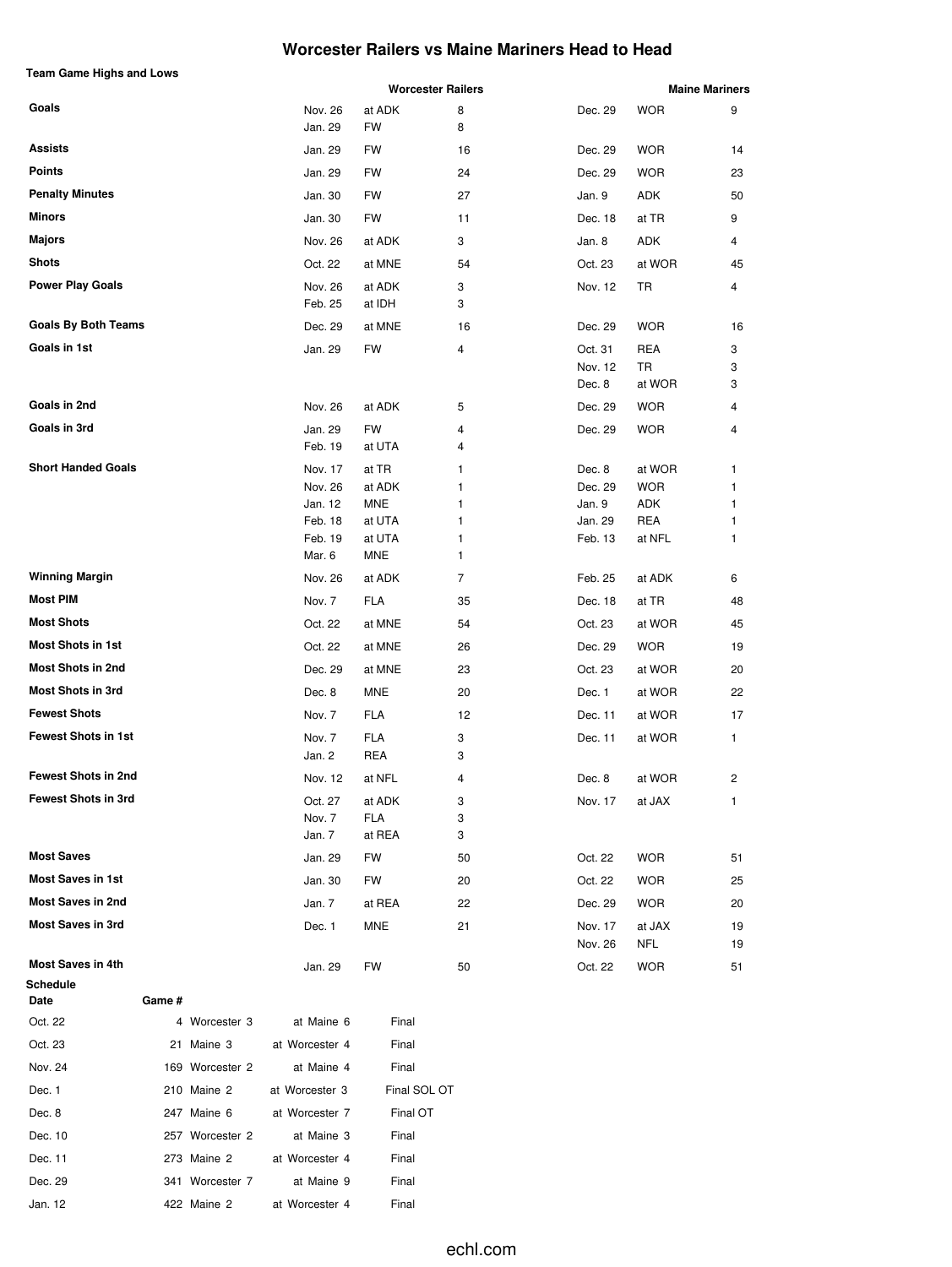## **Worcester Railers vs Maine Mariners Head to Head**

**Team Game Highs and Lows**

|                            |        |                 |                    |                      | <b>Worcester Railers</b> |                    |                          | <b>Maine Mariners</b> |
|----------------------------|--------|-----------------|--------------------|----------------------|--------------------------|--------------------|--------------------------|-----------------------|
| Goals                      |        |                 | Nov. 26<br>Jan. 29 | at ADK<br>FW         | 8<br>8                   | Dec. 29            | <b>WOR</b>               | 9                     |
| Assists                    |        |                 | Jan. 29            | FW                   | 16                       | Dec. 29            | <b>WOR</b>               | 14                    |
| Points                     |        |                 | Jan. 29            | FW                   | 24                       | Dec. 29            | <b>WOR</b>               | 23                    |
| <b>Penalty Minutes</b>     |        |                 | Jan. 30            | FW                   | 27                       | Jan. 9             | ADK                      | 50                    |
| Minors                     |        |                 | Jan. 30            | FW                   | 11                       | Dec. 18            | at TR                    | 9                     |
| <b>Majors</b>              |        |                 | Nov. 26            | at ADK               | 3                        | Jan. 8             | ADK                      | 4                     |
| Shots                      |        |                 | Oct. 22            | at MNE               | 54                       | Oct. 23            | at WOR                   | 45                    |
| <b>Power Play Goals</b>    |        |                 | Nov. 26            | at ADK               | 3                        | Nov. 12            | TR                       | 4                     |
|                            |        |                 | Feb. 25            | at IDH               | 3                        |                    |                          |                       |
| <b>Goals By Both Teams</b> |        |                 | Dec. 29            | at MNE               | 16                       | Dec. 29            | <b>WOR</b>               | 16                    |
| Goals in 1st               |        |                 | Jan. 29            | FW                   | 4                        | Oct. 31            | REA                      | 3                     |
|                            |        |                 |                    |                      |                          | Nov. 12<br>Dec. 8  | TR<br>at WOR             | 3<br>3                |
| Goals in 2nd               |        |                 | Nov. 26            | at ADK               | 5                        | Dec. 29            | <b>WOR</b>               | 4                     |
| Goals in 3rd               |        |                 | Jan. 29            | FW                   | 4                        | Dec. 29            | <b>WOR</b>               | 4                     |
|                            |        |                 | Feb. 19            | at UTA               | 4                        |                    |                          |                       |
| <b>Short Handed Goals</b>  |        |                 | Nov. 17            | at TR                | 1                        | Dec. 8             | at WOR                   | 1                     |
|                            |        |                 | Nov. 26            | at ADK               | 1                        | Dec. 29            | <b>WOR</b>               | 1                     |
|                            |        |                 | Jan. 12            | <b>MNE</b>           | 1                        | Jan. 9             | ADK                      | 1                     |
|                            |        |                 | Feb. 18            | at UTA<br>at UTA     | 1                        | Jan. 29            | REA                      | 1<br>1                |
|                            |        |                 | Feb. 19<br>Mar. 6  | MNE                  | 1<br>1                   | Feb. 13            | at NFL                   |                       |
| <b>Winning Margin</b>      |        |                 | Nov. 26            | at ADK               | 7                        | Feb. 25            | at ADK                   | 6                     |
| Most PIM                   |        |                 | Nov. 7             | <b>FLA</b>           | 35                       | Dec. 18            | at TR                    | 48                    |
| <b>Most Shots</b>          |        |                 | Oct. 22            | at MNE               | 54                       | Oct. 23            | at WOR                   | 45                    |
| Most Shots in 1st          |        |                 | Oct. 22            | at MNE               | 26                       | Dec. 29            | <b>WOR</b>               | 19                    |
| <b>Most Shots in 2nd</b>   |        |                 | Dec. 29            | at MNE               | 23                       | Oct. 23            | at WOR                   | 20                    |
| Most Shots in 3rd          |        |                 | Dec. 8             | MNE                  | 20                       | Dec. 1             | at WOR                   | 22                    |
| <b>Fewest Shots</b>        |        |                 | Nov. 7             | FLA                  | 12                       | Dec. 11            | at WOR                   | 17                    |
| <b>Fewest Shots in 1st</b> |        |                 | Nov. 7             | FLA                  | 3                        | Dec. 11            | at WOR                   | $\mathbf{1}$          |
|                            |        |                 | Jan. 2             | REA                  | 3                        |                    |                          |                       |
| <b>Fewest Shots in 2nd</b> |        |                 | Nov. 12            | at NFL               | 4                        | Dec. 8             | at WOR                   | 2                     |
| Fewest Shots in 3rd        |        |                 | Oct. 27            | at ADK               | 3                        | Nov. 17            | at JAX                   |                       |
|                            |        |                 | Nov. 7<br>Jan. 7   | <b>FLA</b><br>at REA | 3<br>3                   |                    |                          |                       |
| <b>Most Saves</b>          |        |                 | Jan. 29            | FW                   | 50                       | Oct. 22            | <b>WOR</b>               | 51                    |
| <b>Most Saves in 1st</b>   |        |                 | Jan. 30            | FW                   | 20                       | Oct. 22            | <b>WOR</b>               | 25                    |
| <b>Most Saves in 2nd</b>   |        |                 | Jan. 7             | at REA               | 22                       | Dec. 29            | <b>WOR</b>               | 20                    |
| <b>Most Saves in 3rd</b>   |        |                 | Dec. 1             | MNE                  | 21                       | Nov. 17            | at JAX                   | 19                    |
| <b>Most Saves in 4th</b>   |        |                 | Jan. 29            | FW                   | 50                       | Nov. 26<br>Oct. 22 | <b>NFL</b><br><b>WOR</b> | 19<br>51              |
| Schedule                   |        |                 |                    |                      |                          |                    |                          |                       |
| Date                       | Game # |                 |                    |                      |                          |                    |                          |                       |
| Oct. 22                    |        | 4 Worcester 3   | at Maine 6         | Final                |                          |                    |                          |                       |
| Oct. 23                    |        | 21 Maine 3      | at Worcester 4     | Final                |                          |                    |                          |                       |
| Nov. 24                    |        | 169 Worcester 2 | at Maine 4         | Final                |                          |                    |                          |                       |
| Dec. 1                     |        | 210 Maine 2     | at Worcester 3     | Final SOL OT         |                          |                    |                          |                       |
| Dec. 8                     |        | 247 Maine 6     | at Worcester 7     | Final OT             |                          |                    |                          |                       |

Dec. 10 257 Worcester 2 at Maine 3 Final Dec. 11 273 Maine 2 at Worcester 4 Final Dec. 29 341 Worcester 7 at Maine 9 Final Jan. 12 422 Maine 2 at Worcester 4 Final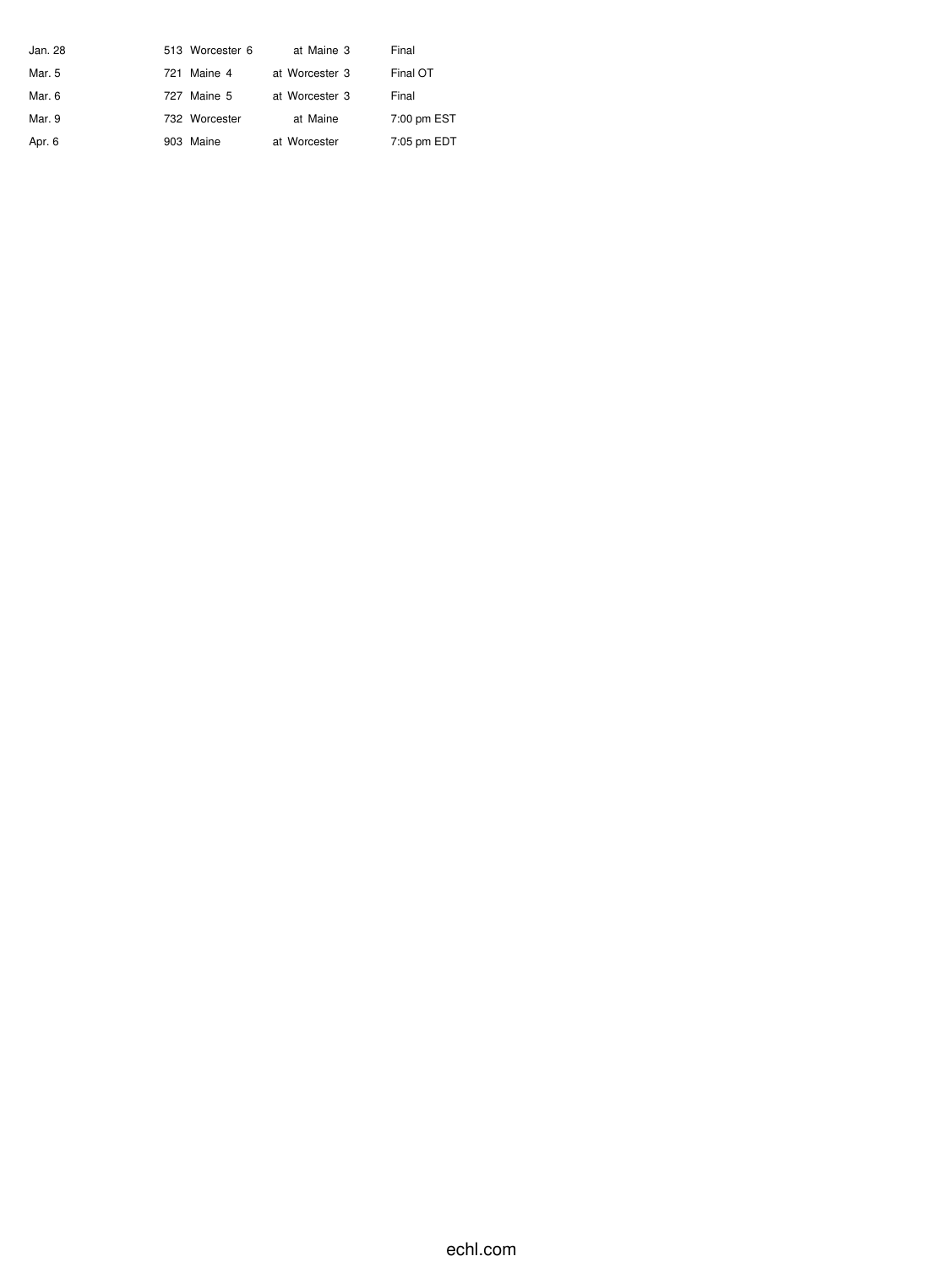| Jan. 28 |     | 513 Worcester 6 | at Maine 3     | Final       |
|---------|-----|-----------------|----------------|-------------|
| Mar. 5  | 721 | Maine 4         | at Worcester 3 | Final OT    |
| Mar. 6  |     | 727 Maine 5     | at Worcester 3 | Final       |
| Mar. 9  |     | 732 Worcester   | at Maine       | 7:00 pm EST |
| Apr. 6  |     | 903 Maine       | at Worcester   | 7:05 pm EDT |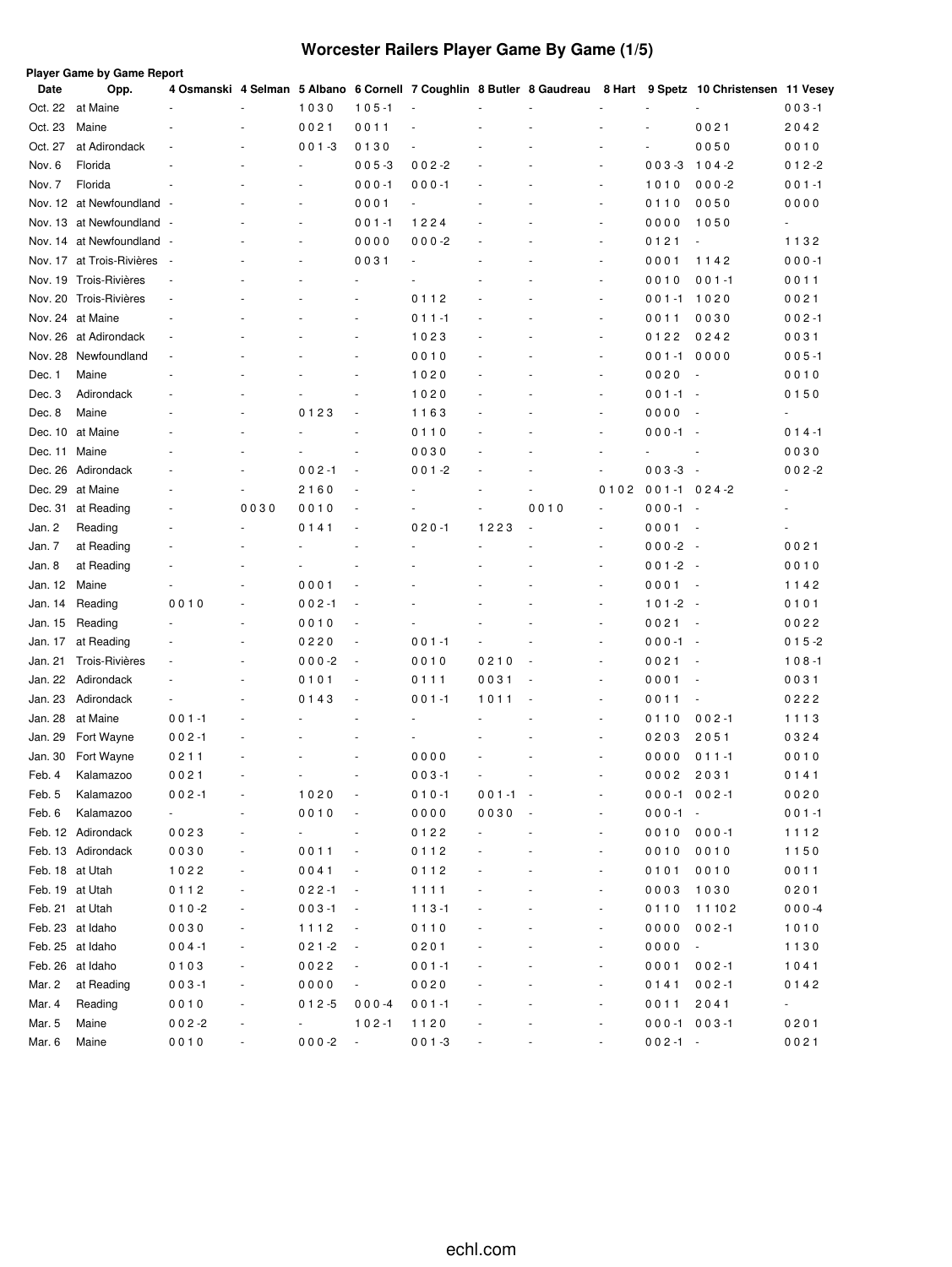## **Worcester Railers Player Game By Game (1/5)**

| Date    | Opp.                      |                          |      |                          |                          |                          |           | 4 Osmanski 4 Selman 5 Albano 6 Cornell 7 Coughlin 8 Butler 8 Gaudreau |                          |                  | 8 Hart 9 Spetz 10 Christensen 11 Vesey |           |
|---------|---------------------------|--------------------------|------|--------------------------|--------------------------|--------------------------|-----------|-----------------------------------------------------------------------|--------------------------|------------------|----------------------------------------|-----------|
| Oct. 22 | at Maine                  |                          |      | 1030                     | $105 - 1$                | ÷,                       |           |                                                                       |                          |                  |                                        | $003 - 1$ |
| Oct. 23 | Maine                     |                          |      | 0021                     | 0011                     | ÷,                       |           |                                                                       |                          |                  | 0021                                   | 2042      |
| Oct. 27 | at Adirondack             | $\overline{a}$           |      | $001 - 3$                | 0130                     | $\overline{\phantom{a}}$ |           |                                                                       |                          | ÷,               | 0050                                   | 0010      |
| Nov. 6  | Florida                   |                          |      | $\overline{a}$           | $005 - 3$                | $002 - 2$                |           |                                                                       |                          | $003 - 3$        | $104 - 2$                              | $012 - 2$ |
| Nov. 7  | Florida                   |                          |      | $\overline{\phantom{a}}$ | $000 - 1$                | $000 - 1$                |           |                                                                       | $\sim$                   | 1010             | $000 - 2$                              | $001 - 1$ |
|         | Nov. 12 at Newfoundland - |                          |      | ٠                        | 0001                     | ä,                       |           |                                                                       | $\overline{\phantom{a}}$ | 0110             | 0050                                   | 0000      |
|         | Nov. 13 at Newfoundland - |                          |      | $\overline{\phantom{a}}$ | $001 - 1$                | 1224                     |           |                                                                       | $\sim$                   | 0000             | 1050                                   | $\sim$    |
|         | Nov. 14 at Newfoundland - |                          |      | $\overline{\phantom{a}}$ | 0000                     | $000 - 2$                |           |                                                                       | $\sim$                   | 0121             |                                        | 1132      |
| Nov. 17 | at Trois-Rivières         | $\overline{\phantom{a}}$ |      | ä,                       | 0031                     | ä,                       |           |                                                                       | $\sim$                   | 0001             | 1142                                   | $000 - 1$ |
| Nov. 19 | Trois-Rivières            |                          |      |                          |                          |                          |           |                                                                       | $\sim$                   | 0010             | $001 - 1$                              | 0011      |
| Nov. 20 | Trois-Rivières            | ä,                       |      |                          | ä,                       | 0112                     |           |                                                                       | ÷.                       | $001 - 1$        | 1020                                   | 0021      |
|         | Nov. 24 at Maine          |                          |      |                          | ä,                       | 0 1 1 -1                 |           |                                                                       | $\sim$                   | 0011             | 0030                                   | $002 - 1$ |
| Nov. 26 | at Adirondack             | ÷,                       |      |                          | ä,                       | 1023                     |           |                                                                       | ÷.                       | 0122             | 0242                                   | 0031      |
| Nov. 28 | Newfoundland              |                          |      |                          |                          | 0010                     |           |                                                                       |                          | $001 - 1$        | 0000                                   | $005 - 1$ |
| Dec. 1  | Maine                     |                          |      |                          | ä,                       | 1020                     |           |                                                                       | $\sim$                   | 0020             |                                        | 0010      |
| Dec. 3  | Adirondack                |                          |      |                          |                          | 1020                     |           |                                                                       | $\overline{\phantom{a}}$ | 0 0 1 -1         | $\sim$                                 | 0150      |
| Dec. 8  | Maine                     |                          |      | 0123                     | ÷,                       | 1163                     |           |                                                                       | $\overline{\phantom{a}}$ | 0000             |                                        |           |
| Dec. 10 | at Maine                  |                          |      |                          | ä,                       | 0110                     |           |                                                                       | ٠                        | $000 - 1$        | и.                                     | $014 - 1$ |
| Dec. 11 | Maine                     |                          |      |                          | ÷,                       | 0030                     |           |                                                                       |                          |                  |                                        | 0030      |
| Dec. 26 | Adirondack                |                          |      | $002 - 1$                | $\overline{\phantom{a}}$ | $001 - 2$                |           |                                                                       | $\sim$                   | $003 - 3$        | $\sim$                                 | $002 - 2$ |
| Dec. 29 | at Maine                  |                          |      | 2160                     | ÷,                       |                          |           |                                                                       | 0102                     | $001 - 1024 - 2$ |                                        |           |
| Dec. 31 | at Reading                |                          | 0030 | 0010                     | ä,                       |                          |           | 0010                                                                  |                          | $000 - 1$        | $\sim$                                 |           |
| Jan. 2  | Reading                   |                          |      | 0141                     | ÷,                       | $020 - 1$                | 1223      |                                                                       |                          | 0001             | $\overline{\phantom{a}}$               |           |
| Jan. 7  | at Reading                |                          |      |                          |                          |                          |           |                                                                       | $\overline{a}$           | $000-2$          | $\sim$                                 | 0021      |
| Jan. 8  | at Reading                |                          |      |                          |                          |                          |           |                                                                       |                          | $001 - 2$        | . —                                    | 0010      |
| Jan. 12 | Maine                     |                          |      | 0001                     |                          |                          |           |                                                                       | $\sim$                   | 0001             |                                        | 1142      |
| Jan. 14 | Reading                   | 0010                     |      | $002 - 1$                | ÷,                       |                          |           |                                                                       |                          | $101 - 2$        | $\sim$                                 | 0101      |
| Jan. 15 | Reading                   |                          |      | 0010                     | ÷,                       |                          |           |                                                                       | $\sim$                   | 0021             |                                        | 0022      |
| Jan. 17 | at Reading                |                          |      | 0220                     | ÷,                       | $001 - 1$                |           |                                                                       | $\overline{\phantom{a}}$ | $000 - 1$        | $\overline{\phantom{a}}$               | $015 - 2$ |
| Jan. 21 | <b>Trois-Rivières</b>     | ٠                        |      | $000 - 2$                | ÷,                       | 0010                     | 0210      |                                                                       | $\sim$                   | 0021             |                                        | $108 - 1$ |
| Jan. 22 | Adirondack                |                          |      | 0101                     |                          | 0111                     | 0031      |                                                                       |                          | 0001             |                                        | 0031      |
| Jan. 23 | Adirondack                | ÷,                       |      | 0143                     |                          | $001 - 1$                | 1011      |                                                                       | $\overline{\phantom{a}}$ | 0011             |                                        | 0222      |
| Jan. 28 | at Maine                  | $001 - 1$                |      |                          |                          |                          |           |                                                                       |                          | 0110             | $002 - 1$                              | 1113      |
| Jan. 29 | Fort Wayne                | $002 - 1$                |      |                          |                          | L,                       |           |                                                                       | $\overline{\phantom{a}}$ | 0203             | 2051                                   | 0324      |
| Jan. 30 | Fort Wayne                | 0211                     |      |                          |                          | 0000                     |           |                                                                       |                          | 0000             | $011 - 1$                              | 0010      |
| Feb. 4  | Kalamazoo                 | 0021                     |      |                          | $\overline{\phantom{a}}$ | $003 - 1$                |           |                                                                       | $\sim$                   | 0002             | 2031                                   | 0141      |
| Feb. 5  | Kalamazoo                 | $002 - 1$                |      | 1020                     |                          | $010 - 1$                | $001 - 1$ | $\sim$                                                                |                          | $000 - 1002 - 1$ |                                        | 0020      |
| Feb. 6  | Kalamazoo                 | ÷,                       |      | 0010                     |                          | 0000                     | 0030      |                                                                       |                          | $000 - 1 -$      |                                        | $001 - 1$ |
|         | Feb. 12 Adirondack        | 0023                     |      | $\overline{\phantom{a}}$ |                          | 0122                     |           |                                                                       | $\overline{\phantom{a}}$ | 0010             | $000 - 1$                              | 1112      |
|         | Feb. 13 Adirondack        | 0030                     | ÷,   | 0011                     |                          | 0112                     |           |                                                                       | $\blacksquare$           | 0010             | 0010                                   | 1150      |
|         | Feb. 18 at Utah           | 1022                     |      | 0041                     |                          | 0112                     |           |                                                                       | $\overline{\phantom{a}}$ | 0101             | 0010                                   | 0011      |
|         | Feb. 19 at Utah           | 0112                     |      | $022 - 1$                |                          | 1111                     |           |                                                                       | $\frac{1}{2}$            | 0003             | 1030                                   | 0201      |
|         | Feb. 21 at Utah           | $010 - 2$                | ÷,   | $003 - 1$                |                          | $113 - 1$                |           |                                                                       | $\overline{\phantom{a}}$ | 0110             | 11102                                  | $000 - 4$ |
|         | Feb. 23 at Idaho          | 0030                     | ÷,   | 1112                     |                          | 0110                     |           |                                                                       | $\overline{\phantom{a}}$ | 0000             | $002 - 1$                              | 1010      |
|         | Feb. 25 at Idaho          | $004 - 1$                | ÷,   | 0 2 1 -2                 |                          | 0201                     |           |                                                                       | $\overline{\phantom{a}}$ | 0000             | $\blacksquare$                         | 1130      |
|         | Feb. 26 at Idaho          | 0103                     |      | 0022                     |                          | 001-1                    |           |                                                                       | $\overline{\phantom{a}}$ | 0001             | $002 - 1$                              | 1041      |
| Mar. 2  | at Reading                | $003 - 1$                | ÷,   | 0000                     | $\blacksquare$           | 0020                     |           |                                                                       | $\overline{\phantom{a}}$ | 0141             | $002 - 1$                              | 0142      |
| Mar. 4  | Reading                   | 0010                     |      | $012 - 5$                | $000 - 4$                | 001-1                    |           |                                                                       | ÷,                       | 0011             | 2041                                   | ÷         |
| Mar. 5  | Maine                     | $002 - 2$                |      | $\blacksquare$           | $102 - 1$                | 1120                     |           |                                                                       |                          | $000 - 1003 - 1$ |                                        | 0201      |
| Mar. 6  | Maine                     | 0010                     |      | $000-2$                  | $\sim 10^{-10}$          | $001 - 3$                |           |                                                                       |                          | $002 - 1 -$      |                                        | 0021      |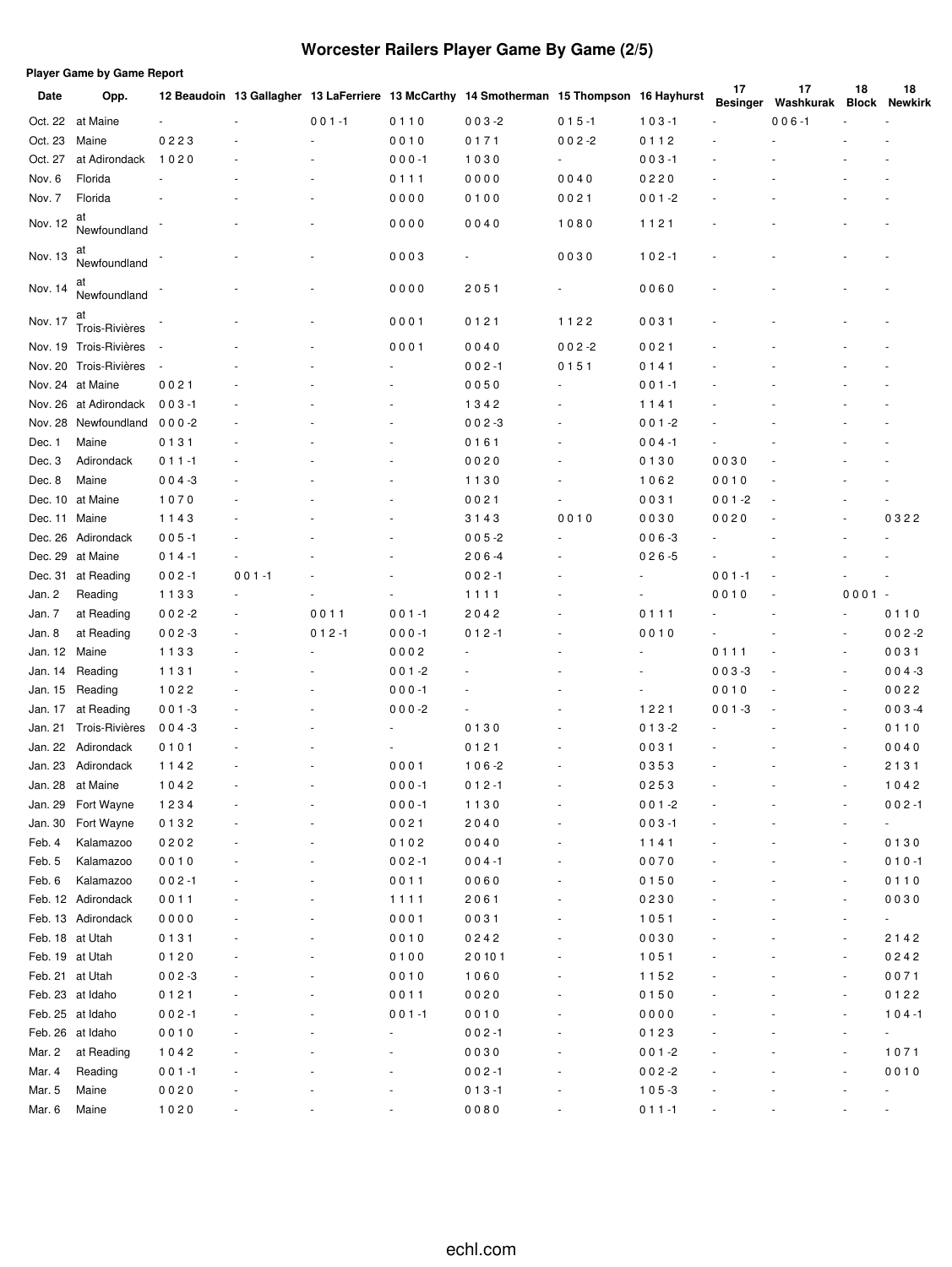# **Worcester Railers Player Game By Game (2/5)**

| <b>Player Game by Game Report</b> |  |  |  |  |  |  |  |
|-----------------------------------|--|--|--|--|--|--|--|
|-----------------------------------|--|--|--|--|--|--|--|

| Date            | Opp.                   |           |           |           |           | 12 Beaudoin 13 Gallagher 13 LaFerriere 13 McCarthy 14 Smotherman 15 Thompson 16 Hayhurst |           |                        | 17<br><b>Besinger</b> | 17<br>Washkurak Block | 18                       | 18<br><b>Newkirk</b> |
|-----------------|------------------------|-----------|-----------|-----------|-----------|------------------------------------------------------------------------------------------|-----------|------------------------|-----------------------|-----------------------|--------------------------|----------------------|
|                 | Oct. 22 at Maine       |           |           | $001 - 1$ | 0110      | $003 - 2$                                                                                | $015 - 1$ | $103 - 1$              |                       | $006 - 1$             |                          |                      |
| Oct. 23 Maine   |                        | 0223      |           |           | 0010      | 0171                                                                                     | $002 - 2$ | 0112                   |                       |                       |                          |                      |
| Oct. 27         | at Adirondack          | 1020      |           |           | $000 - 1$ | 1030                                                                                     | ä,        | $003 - 1$              |                       |                       |                          |                      |
| Nov. 6          | Florida                |           |           |           | 0111      | 0000                                                                                     | 0040      | 0220                   |                       |                       |                          |                      |
| Nov. 7          | Florida                |           |           |           | 0000      | 0100                                                                                     | 0021      | $001 - 2$              |                       |                       |                          |                      |
| Nov. 12         | at<br>Newfoundland     |           |           |           | 0000      | 0040                                                                                     | 1080      | 1121                   |                       |                       |                          |                      |
| Nov. 13         | aτ<br>Newfoundland     |           |           |           | 0003      | ٠                                                                                        | 0030      | $102 - 1$              |                       |                       |                          |                      |
| Nov. 14         | at<br>Newfoundland     |           |           |           | 0000      | 2051                                                                                     |           | 0060                   |                       |                       |                          |                      |
| Nov. 17         | at<br>Trois-Rivières   |           |           |           | 0001      | 0121                                                                                     | 1122      | 0031                   |                       |                       |                          |                      |
|                 | Nov. 19 Trois-Rivières |           |           |           | 0001      | 0040                                                                                     | $002 - 2$ | 0021                   |                       |                       |                          |                      |
|                 | Nov. 20 Trois-Rivières |           |           |           |           | $002 - 1$                                                                                | 0151      | 0141                   |                       |                       |                          |                      |
|                 | Nov. 24 at Maine       | 0021      |           |           |           | 0050                                                                                     |           | $001 - 1$              |                       |                       |                          |                      |
|                 | Nov. 26 at Adirondack  | $003 - 1$ |           |           |           | 1342                                                                                     |           | 1141                   |                       |                       |                          |                      |
|                 | Nov. 28 Newfoundland   | $000 - 2$ |           |           |           | $002 - 3$                                                                                |           | $001 - 2$              |                       |                       |                          |                      |
| Dec. 1          | Maine                  | 0131      |           |           |           | 0161                                                                                     |           | $004 - 1$              |                       |                       |                          |                      |
| Dec. 3          | Adirondack             | $011 - 1$ |           |           |           | 0020                                                                                     |           | 0130                   | 0030                  |                       |                          |                      |
| Dec. 8          | Maine                  | $004 - 3$ |           |           |           | 1130                                                                                     |           | 1062                   | 0010                  |                       |                          |                      |
|                 | Dec. 10 at Maine       | 1070      |           |           |           | 0021                                                                                     |           | 0031                   | $001 - 2$             |                       |                          |                      |
| Dec. 11 Maine   |                        | 1143      |           |           |           | 3143                                                                                     | 0010      | 0030                   | 0020                  |                       |                          | 0322                 |
|                 | Dec. 26 Adirondack     | $005 - 1$ |           |           |           | $005 - 2$                                                                                |           | $006 - 3$              |                       |                       |                          |                      |
|                 | Dec. 29 at Maine       | $014 - 1$ |           |           |           | $206 - 4$                                                                                |           | $026 - 5$              |                       |                       |                          |                      |
|                 | Dec. 31 at Reading     | $002 - 1$ | $001 - 1$ |           |           | $002 - 1$                                                                                |           |                        | $001 - 1$             |                       |                          |                      |
| Jan. 2          | Reading                | 1133      |           |           |           | 1111                                                                                     |           |                        | 0010                  |                       | $0001 -$                 |                      |
| Jan. 7          | at Reading             | $002 - 2$ |           | 0011      | $001 - 1$ | 2042                                                                                     |           | 0111                   |                       |                       |                          | 0110                 |
| Jan. 8          | at Reading             | $002 - 3$ |           | $012 - 1$ | $000 - 1$ | $012 - 1$                                                                                |           | 0010                   |                       |                       | $\overline{\phantom{a}}$ | $002 - 2$            |
| Jan. 12         | Maine                  | 1133      |           |           | 0002      |                                                                                          |           |                        | 0111                  |                       | $\blacksquare$           | 0031                 |
| Jan. 14         | Reading                | 1131      |           |           | $001 - 2$ |                                                                                          |           |                        | $003 - 3$             |                       | $\blacksquare$           | $004 - 3$            |
| Jan. 15         | Reading                | 1022      |           |           | $000 - 1$ |                                                                                          |           |                        | 0010                  |                       | ÷,                       | 0022                 |
| Jan. 17         | at Reading             | $001 - 3$ |           |           | $000 - 2$ |                                                                                          |           | 1221                   | $001 - 3$             |                       | $\blacksquare$           | $003 - 4$            |
| Jan. 21         | Trois-Rivières         | $004 - 3$ |           |           |           | 0130                                                                                     |           | $013 - 2$              |                       |                       | ÷,                       | 0110                 |
|                 | Adirondack             |           |           |           |           |                                                                                          |           |                        |                       |                       | ÷,                       | 0040                 |
| Jan. 22         | Adirondack             | 0101      |           |           |           | 0121                                                                                     |           | 0031                   |                       |                       | ÷,                       |                      |
| Jan. 23         |                        | 1142      |           |           | 0001      | $106 - 2$                                                                                |           | 0353                   |                       |                       |                          | 2131                 |
|                 | Jan. 28 at Maine       | 1042      |           |           | $000 - 1$ | $012 - 1$                                                                                |           | 0253                   |                       |                       |                          | 1042                 |
|                 | Jan. 29 Fort Wayne     | 1234      |           |           | $000 - 1$ | 1130                                                                                     |           | $001 - 2$<br>$003 - 1$ |                       |                       |                          | $002 - 1$            |
| Jan. 30         | Fort Wayne             | 0132      |           |           | 0021      | 2040                                                                                     |           |                        |                       |                       |                          |                      |
| Feb. 4          | Kalamazoo              | 0202      |           |           | 0102      | 0040                                                                                     |           | 1141                   |                       |                       | $\overline{\phantom{a}}$ | 0130                 |
| Feb. 5          | Kalamazoo              | 0010      |           |           | $002 - 1$ | $004 - 1$                                                                                |           | 0070                   |                       |                       | $\overline{\phantom{a}}$ | $010 - 1$            |
| Feb. 6          | Kalamazoo              | $002 - 1$ |           |           | 0011      | 0060                                                                                     |           | 0150                   |                       |                       | $\overline{\phantom{a}}$ | 0110                 |
|                 | Feb. 12 Adirondack     | 0011      |           |           | 1111      | 2061                                                                                     |           | 0230                   |                       |                       |                          | 0030                 |
|                 | Feb. 13 Adirondack     | 0000      |           |           | 0001      | 0031                                                                                     |           | 1051                   |                       |                       |                          | ÷                    |
| Feb. 18 at Utah |                        | 0131      |           |           | 0010      | 0242                                                                                     |           | 0030                   |                       |                       | ÷,                       | 2142                 |
| Feb. 19 at Utah |                        | 0120      |           |           | 0100      | 20101                                                                                    |           | 1051                   |                       |                       |                          | 0242                 |
| Feb. 21 at Utah |                        | $002 - 3$ |           |           | 0010      | 1060                                                                                     |           | 1152                   |                       |                       |                          | 0071                 |
|                 | Feb. 23 at Idaho       | 0121      |           |           | 0011      | 0020                                                                                     |           | 0150                   |                       |                       |                          | 0122                 |
|                 | Feb. 25 at Idaho       | $002 - 1$ |           |           | $001 - 1$ | 0010                                                                                     |           | 0000                   |                       |                       |                          | $104 - 1$            |
|                 | Feb. 26 at Idaho       | 0010      |           |           |           | $002 - 1$                                                                                |           | 0123                   |                       |                       |                          | ÷,                   |
| Mar. 2          | at Reading             | 1042      |           |           |           | 0030                                                                                     |           | $001 - 2$              |                       |                       |                          | 1071                 |
| Mar. 4          | Reading                | $001 - 1$ |           |           |           | $002 - 1$                                                                                |           | $002 - 2$              |                       |                       |                          | 0010                 |
| Mar. 5          | Maine                  | 0020      |           |           |           | $013 - 1$                                                                                |           | $105 - 3$              |                       |                       |                          |                      |
| Mar. 6 Maine    |                        | 1020      |           |           |           | 0080                                                                                     |           | $011 - 1$              |                       |                       |                          |                      |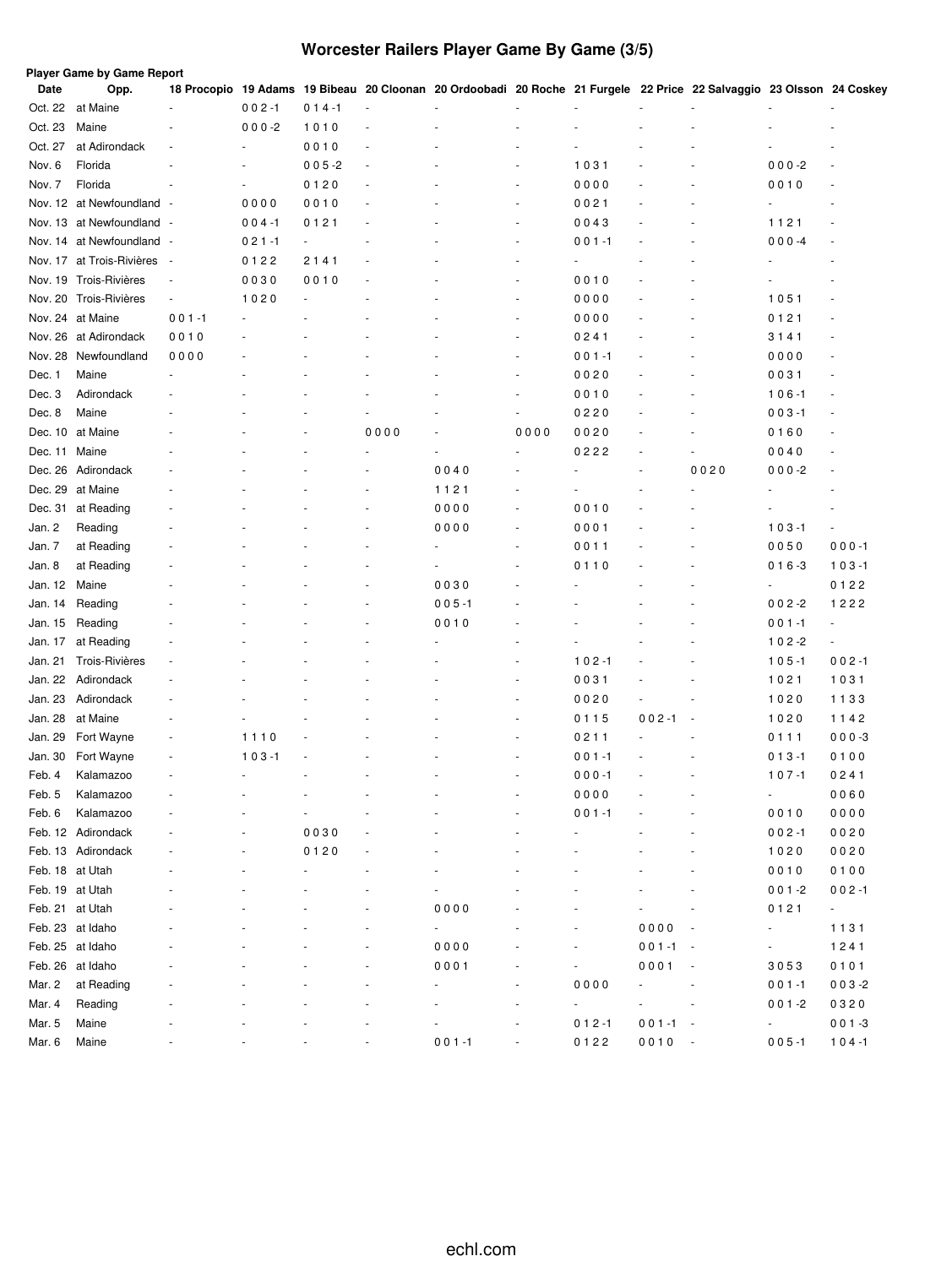## **Worcester Railers Player Game By Game (3/5)**

| Date    | Player Game by Game Report<br>Opp.                  |                          |           |                |         | 18 Procopio 19 Adams 19 Bibeau 20 Cloonan 20 Ordoobadi 20 Roche 21 Furgele 22 Price 22 Salvaggio 23 Olsson 24 Coskey |                          |                          |             |                          |                          |                          |
|---------|-----------------------------------------------------|--------------------------|-----------|----------------|---------|----------------------------------------------------------------------------------------------------------------------|--------------------------|--------------------------|-------------|--------------------------|--------------------------|--------------------------|
| Oct. 22 | at Maine                                            |                          | $002 - 1$ | $014 - 1$      | ÷       |                                                                                                                      |                          |                          |             |                          |                          |                          |
| Oct. 23 |                                                     |                          | $000 -2$  |                | ÷,      |                                                                                                                      |                          |                          |             |                          |                          |                          |
|         | Maine                                               | ä,                       |           | 1010           | ÷,      |                                                                                                                      |                          |                          |             |                          |                          |                          |
| Oct. 27 | at Adirondack                                       |                          |           | 0010           |         |                                                                                                                      |                          |                          |             |                          |                          |                          |
| Nov. 6  | Florida<br>Florida                                  |                          |           | $005 - 2$      | ÷,<br>٠ |                                                                                                                      |                          | 1031                     |             |                          | $000 - 2$                |                          |
| Nov. 7  |                                                     |                          |           | 0120           | ÷,      |                                                                                                                      | $\sim$                   | 0000                     |             |                          | 0010                     |                          |
|         | Nov. 12 at Newfoundland -                           |                          | 0000      | 0010           |         |                                                                                                                      |                          | 0021                     |             |                          |                          | ٠                        |
|         | Nov. 13 at Newfoundland                             | $\overline{\phantom{a}}$ | $004 - 1$ | 0121           |         |                                                                                                                      |                          | 0043                     |             |                          | 1121                     |                          |
|         | Nov. 14 at Newfoundland                             | $\overline{\phantom{a}}$ | $021 - 1$ | $\blacksquare$ |         |                                                                                                                      |                          | 001-1                    |             |                          | $000 -4$                 | ٠                        |
|         | Nov. 17 at Trois-Rivières<br>Nov. 19 Trois-Rivières | $\overline{\phantom{a}}$ | 0122      | 2141           | ÷,      |                                                                                                                      |                          |                          |             |                          |                          |                          |
|         |                                                     | $\overline{\phantom{a}}$ | 0030      | 0010<br>ä,     |         |                                                                                                                      |                          | 0010                     |             |                          |                          |                          |
|         | Nov. 20 Trois-Rivières                              | $\overline{\phantom{a}}$ | 1020      |                |         |                                                                                                                      |                          | 0000                     |             |                          | 1051                     | $\sim$                   |
|         | Nov. 24 at Maine                                    | $001 - 1$                |           |                |         |                                                                                                                      |                          | 0000                     |             |                          | 0121                     | ٠                        |
|         | Nov. 26 at Adirondack                               | 0010                     |           |                |         |                                                                                                                      |                          | 0241                     |             |                          | 3141                     |                          |
| Nov. 28 | Newfoundland                                        | 0000                     |           |                |         |                                                                                                                      |                          | $001 - 1$                |             |                          | 0000                     | ä,                       |
| Dec. 1  | Maine                                               |                          |           |                |         |                                                                                                                      |                          | 0020                     |             |                          | 0031                     |                          |
| Dec. 3  | Adirondack                                          |                          |           |                |         |                                                                                                                      |                          | 0010                     |             |                          | $106 - 1$                | ä,                       |
| Dec. 8  | Maine                                               |                          |           |                |         |                                                                                                                      | $\overline{\phantom{a}}$ | 0220                     |             |                          | $003 - 1$                | ä,                       |
|         | Dec. 10 at Maine                                    |                          |           |                | 0000    |                                                                                                                      | 0000                     | 0020                     |             |                          | 0160                     | ä,                       |
| Dec. 11 | Maine                                               |                          |           |                |         |                                                                                                                      |                          | 0222                     |             |                          | 0040                     | ٠                        |
| Dec. 26 | Adirondack                                          |                          |           |                |         | 0040                                                                                                                 |                          |                          |             | 0020                     | $000 - 2$                | ä,                       |
| Dec. 29 | at Maine                                            |                          |           |                |         | 1121                                                                                                                 | $\sim$                   |                          |             |                          |                          | ÷,                       |
| Dec. 31 | at Reading                                          |                          |           |                |         | 0000                                                                                                                 | $\sim$                   | 0010                     |             |                          |                          | ÷,                       |
| Jan. 2  | Reading                                             |                          |           |                |         | 0000                                                                                                                 | $\overline{\phantom{a}}$ | 0001                     |             |                          | $103 - 1$                | $\overline{\phantom{a}}$ |
| Jan. 7  | at Reading                                          |                          |           |                |         |                                                                                                                      | $\sim$                   | 0011                     |             |                          | 0050                     | $000 - 1$                |
| Jan. 8  | at Reading                                          |                          |           |                |         |                                                                                                                      |                          | 0110                     |             |                          | $016 - 3$                | $103 - 1$                |
| Jan. 12 | Maine                                               |                          |           |                |         | 0030                                                                                                                 |                          |                          |             |                          |                          | 0122                     |
| Jan. 14 | Reading                                             |                          |           |                |         | $005 - 1$                                                                                                            |                          |                          |             |                          | $002 - 2$                | 1222                     |
| Jan. 15 | Reading                                             |                          |           |                |         | 0010                                                                                                                 |                          |                          |             |                          | $001 - 1$                | $\blacksquare$           |
| Jan. 17 | at Reading                                          |                          |           |                |         |                                                                                                                      |                          |                          |             |                          | $102 - 2$                | $\overline{\phantom{a}}$ |
| Jan. 21 | Trois-Rivières                                      |                          |           |                |         |                                                                                                                      |                          | $102 - 1$                |             |                          | $105 - 1$                | $002 - 1$                |
| Jan. 22 | Adirondack                                          |                          |           |                |         |                                                                                                                      |                          | 0031                     |             |                          | 1021                     | 1031                     |
| Jan. 23 | Adirondack                                          |                          |           |                |         |                                                                                                                      |                          | 0020                     |             |                          | 1020                     | 1133                     |
| Jan. 28 | at Maine                                            |                          |           |                |         |                                                                                                                      |                          | 0115                     | $002 - 1$   |                          | 1020                     | 1142                     |
| Jan. 29 | Fort Wayne                                          |                          | 1110      |                |         |                                                                                                                      |                          | 0211                     |             |                          | 0111                     | $000-3$                  |
| Jan. 30 | Fort Wayne                                          |                          | $103 - 1$ |                |         |                                                                                                                      |                          | 001-1                    |             |                          | $013 - 1$                | 0100                     |
| Feb. 4  | Kalamazoo                                           | ä,                       | ٠         | ÷              |         |                                                                                                                      | ٠                        | $000 - 1$                |             |                          | $107 - 1$                | 0241                     |
| Feb. 5  | Kalamazoo                                           |                          |           |                |         |                                                                                                                      |                          | 0000                     |             |                          | ÷                        | 0060                     |
| Feb. 6  | Kalamazoo                                           |                          |           |                |         |                                                                                                                      |                          | $001 - 1$                |             |                          | 0010                     | 0000                     |
|         | Feb. 12 Adirondack                                  |                          |           | 0030           |         |                                                                                                                      |                          |                          |             |                          | $002 - 1$                | 0020                     |
|         | Feb. 13 Adirondack                                  |                          |           | 0120           |         |                                                                                                                      |                          |                          |             |                          | 1020                     | 0020                     |
|         | Feb. 18 at Utah                                     |                          |           |                |         |                                                                                                                      |                          |                          |             |                          | 0010                     | 0100                     |
|         | Feb. 19 at Utah                                     |                          |           |                |         |                                                                                                                      |                          |                          |             |                          | $001 - 2$                | $002 - 1$                |
|         | Feb. 21 at Utah                                     |                          |           |                |         | 0000                                                                                                                 |                          |                          |             |                          | 0121                     | $\sim 10$                |
|         | Feb. 23 at Idaho                                    |                          |           |                |         | ä,                                                                                                                   |                          |                          | 0000        | $\overline{\phantom{a}}$ | $\overline{\phantom{a}}$ | 1131                     |
|         | Feb. 25 at Idaho                                    |                          |           |                |         | 0000                                                                                                                 |                          |                          | $001 - 1 -$ |                          | ۰                        | 1241                     |
|         | Feb. 26 at Idaho                                    |                          |           |                |         | 0001                                                                                                                 |                          |                          | 0001        | $\sim$                   | 3053                     | 0101                     |
| Mar. 2  | at Reading                                          |                          |           |                |         | ÷                                                                                                                    |                          | 0000                     |             |                          | $001 - 1$                | $003 - 2$                |
| Mar. 4  | Reading                                             |                          |           |                |         |                                                                                                                      |                          | $\overline{\phantom{a}}$ |             |                          | $001 - 2$                | 0320                     |
| Mar. 5  | Maine                                               |                          |           |                |         |                                                                                                                      |                          | $012 - 1$                | $001 - 1 -$ |                          | $\overline{\phantom{a}}$ | $001 - 3$                |
| Mar. 6  | Maine                                               |                          |           |                |         | $001 - 1$                                                                                                            |                          | 0122                     | $0010 -$    |                          | $005 - 1$                | $104 - 1$                |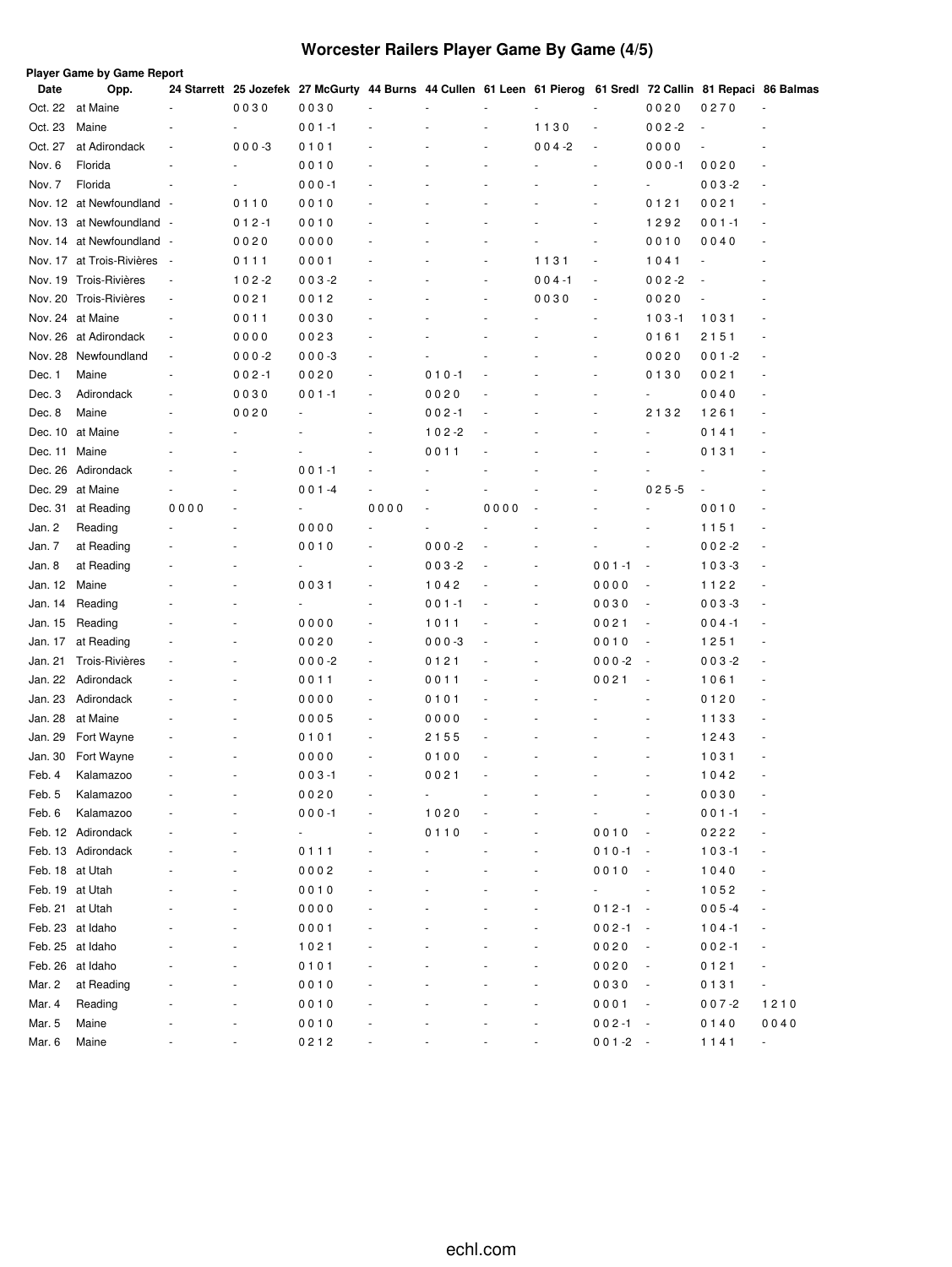## **Worcester Railers Player Game By Game (4/5)**

|                 | <b>Player Game by Game Report</b> |                          |           |                                                                                                               |                          |           |      |           |                          |                          |           |                          |
|-----------------|-----------------------------------|--------------------------|-----------|---------------------------------------------------------------------------------------------------------------|--------------------------|-----------|------|-----------|--------------------------|--------------------------|-----------|--------------------------|
| Date            | Opp.                              |                          |           | 24 Starrett 25 Jozefek 27 McGurty 44 Burns 44 Cullen 61 Leen 61 Pierog 61 Sredl 72 Callin 81 Repaci 86 Balmas |                          |           |      |           |                          |                          |           |                          |
| Oct. 22         | at Maine                          |                          | 0030      | 0030                                                                                                          |                          |           |      |           | $\overline{\phantom{a}}$ | 0020                     | 0270      | ÷,                       |
| Oct. 23         | Maine                             |                          | ÷,        | $001 - 1$                                                                                                     |                          |           |      | 1130      | $\overline{\phantom{a}}$ | $002 - 2$                | ÷,        |                          |
| Oct. 27         | at Adirondack                     | $\overline{\phantom{a}}$ | $000 - 3$ | 0101                                                                                                          |                          |           |      | $004 - 2$ | ÷,                       | 0000                     | ÷,        |                          |
| Nov. 6          | Florida                           |                          |           | 0010                                                                                                          |                          |           |      |           | ÷,                       | $000 - 1$                | 0020      |                          |
| Nov. 7          | Florida                           |                          |           | $000 - 1$                                                                                                     |                          |           |      |           |                          |                          | $003 - 2$ |                          |
| Nov. 12         | at Newfoundland -                 |                          | 0110      | 0010                                                                                                          |                          |           |      |           | ٠                        | 0121                     | 0021      |                          |
| Nov. 13         | at Newfoundland -                 |                          | $012 - 1$ | 0010                                                                                                          |                          |           |      |           |                          | 1292                     | $001 - 1$ |                          |
|                 | Nov. 14 at Newfoundland -         |                          | 0020      | 0000                                                                                                          |                          |           |      |           | ٠                        | 0010                     | 0040      |                          |
|                 | Nov. 17 at Trois-Rivières         | $\sim$                   | 0111      | 0001                                                                                                          |                          |           |      | 1131      | ÷,                       | 1041                     |           |                          |
| Nov. 19         | Trois-Rivières                    | $\overline{\phantom{a}}$ | $102 - 2$ | $003 - 2$                                                                                                     |                          |           | ٠    | $004 - 1$ | ÷,                       | $002 - 2$                |           |                          |
| Nov. 20         | Trois-Rivières                    | $\overline{\phantom{a}}$ | 0021      | 0012                                                                                                          |                          |           |      | 0030      | ٠                        | 0020                     | ä,        |                          |
|                 | Nov. 24 at Maine                  | ÷,                       | 0011      | 0030                                                                                                          |                          |           |      |           | ٠                        | $103 - 1$                | 1031      |                          |
| Nov. 26         | at Adirondack                     | $\overline{\phantom{a}}$ | 0000      | 0023                                                                                                          |                          |           |      |           |                          | 0161                     | 2151      |                          |
| Nov. 28         | Newfoundland                      | ÷,                       | $000 - 2$ | $000 - 3$                                                                                                     |                          |           |      |           |                          | 0020                     | $001 - 2$ |                          |
| Dec. 1          | Maine                             |                          | $002 - 1$ | 0020                                                                                                          | $\overline{\phantom{a}}$ | $010 - 1$ |      |           |                          | 0130                     | 0021      |                          |
| Dec. 3          | Adirondack                        |                          | 0030      | $001 - 1$                                                                                                     |                          | 0020      |      |           |                          |                          | 0040      |                          |
| Dec. 8          | Maine                             |                          | 0020      |                                                                                                               |                          | $002 - 1$ |      |           |                          | 2132                     | 1261      |                          |
| Dec. 10         | at Maine                          |                          | ä,        |                                                                                                               |                          | $102 - 2$ |      |           |                          | $\overline{\phantom{a}}$ | 0141      |                          |
| Dec. 11         | Maine                             |                          |           |                                                                                                               |                          | 0011      |      |           |                          |                          | 0131      |                          |
| Dec. 26         | Adirondack                        |                          |           | $001 - 1$                                                                                                     |                          |           |      |           |                          |                          |           |                          |
| Dec. 29         | at Maine                          |                          | ٠         | $001 - 4$                                                                                                     |                          |           |      |           |                          | $025 - 5$                |           |                          |
| Dec. 31         | at Reading                        | 0000                     | ٠         | $\overline{\phantom{a}}$                                                                                      | 0000                     | ä,        | 0000 |           |                          | $\sim$                   | 0010      |                          |
| Jan. 2          | Reading                           |                          | ٠         | 0000                                                                                                          | $\sim$                   |           |      |           |                          |                          | 1151      |                          |
| Jan. 7          | at Reading                        |                          |           | 0010                                                                                                          | $\overline{\phantom{a}}$ | $000 - 2$ |      |           |                          | ٠                        | $002 - 2$ |                          |
| Jan. 8          | at Reading                        |                          | ÷,        | $\sim$                                                                                                        | $\sim$                   | $003 - 2$ |      |           | $001 - 1$                | $\overline{\phantom{a}}$ | $103 - 3$ | ٠                        |
| Jan. 12         | Maine                             |                          | ä,        | 0031                                                                                                          | $\overline{\phantom{a}}$ | 1042      |      |           | 0000                     | $\overline{\phantom{a}}$ | 1122      |                          |
| Jan. 14         | Reading                           |                          | ÷,        |                                                                                                               | ÷,                       | $001 - 1$ |      |           | 0030                     | $\overline{\phantom{a}}$ | $003 - 3$ | ÷,                       |
| Jan. 15         | Reading                           |                          | ٠         | 0000                                                                                                          | $\overline{\phantom{a}}$ | 1011      |      |           | 0021                     | $\overline{\phantom{a}}$ | $004 - 1$ |                          |
| Jan. 17         | at Reading                        |                          | ä,        | 0020                                                                                                          | $\overline{\phantom{a}}$ | $000 - 3$ |      |           | 0010                     | $\overline{\phantom{a}}$ | 1251      |                          |
| Jan. 21         | Trois-Rivières                    | ÷,                       | ä,        | $000 - 2$                                                                                                     | $\overline{\phantom{a}}$ | 0121      |      |           | $000 - 2$                | $\overline{\phantom{a}}$ | $003 - 2$ | ÷,                       |
| Jan. 22         | Adirondack                        |                          |           | 0011                                                                                                          | $\overline{\phantom{a}}$ | 0011      |      |           | 0021                     | $\overline{\phantom{a}}$ | 1061      |                          |
| Jan. 23         | Adirondack                        |                          |           | 0000                                                                                                          | $\overline{\phantom{a}}$ | 0101      |      |           |                          |                          | 0120      |                          |
| Jan. 28         | at Maine                          |                          |           | 0005                                                                                                          | $\overline{\phantom{a}}$ | 0000      |      |           |                          |                          | 1133      |                          |
| Jan. 29         | Fort Wayne                        |                          |           | 0101                                                                                                          | $\overline{\phantom{a}}$ | 2155      |      |           |                          |                          | 1243      |                          |
| Jan. 30         | Fort Wayne                        |                          |           | 0000                                                                                                          |                          | 0100      |      |           |                          |                          | 1031      |                          |
| Feb. 4          | Kalamazoo                         |                          |           | $003 - 1$                                                                                                     |                          | 0021      |      |           |                          |                          | 1042      |                          |
| Feb. 5          | Kalamazoo                         |                          |           | 0020                                                                                                          |                          |           |      |           |                          |                          | 0030      |                          |
| Feb. 6          | Kalamazoo                         |                          |           | $000 - 1$                                                                                                     |                          | 1020      |      |           |                          |                          | $001 - 1$ |                          |
|                 | Feb. 12 Adirondack                |                          |           | $\blacksquare$                                                                                                |                          | 0110      |      |           | 0010                     |                          | 0222      |                          |
|                 | Feb. 13 Adirondack                |                          |           | 0111                                                                                                          |                          |           |      |           | $010 - 1$                |                          | $103 - 1$ |                          |
| Feb. 18 at Utah |                                   |                          |           | 0002                                                                                                          |                          |           |      |           | 0010                     |                          | 1040      |                          |
| Feb. 19 at Utah |                                   |                          |           | 0010                                                                                                          |                          |           |      |           | ä,                       |                          | 1052      |                          |
| Feb. 21 at Utah |                                   |                          |           | 0000                                                                                                          |                          |           |      |           | $012 - 1$                | $\overline{\phantom{a}}$ | $005 - 4$ |                          |
|                 | Feb. 23 at Idaho                  |                          |           | 0001                                                                                                          |                          |           |      |           | $002 - 1$                | $\overline{\phantom{a}}$ | $104 - 1$ |                          |
|                 | Feb. 25 at Idaho                  |                          |           | 1021                                                                                                          |                          |           |      |           | 0020                     | $\overline{\phantom{a}}$ | $002 - 1$ |                          |
|                 | Feb. 26 at Idaho                  |                          |           | 0101                                                                                                          |                          |           |      |           | 0020                     | $\blacksquare$           | 0121      |                          |
| Mar. 2          | at Reading                        |                          |           | 0010                                                                                                          |                          |           |      |           | 0030                     |                          | 0131      | ÷,                       |
| Mar. 4          | Reading                           |                          |           | 0010                                                                                                          |                          |           |      |           | 0001                     | $\overline{\phantom{a}}$ | $007 - 2$ | 1210                     |
| Mar. 5          | Maine                             |                          |           | 0010                                                                                                          |                          |           |      |           | $002 - 1$                | $\overline{\phantom{a}}$ | 0140      | 0040                     |
| Mar. 6          | Maine                             |                          |           | 0212                                                                                                          |                          |           |      |           | $001 - 2 -$              |                          | 1141      | $\overline{\phantom{a}}$ |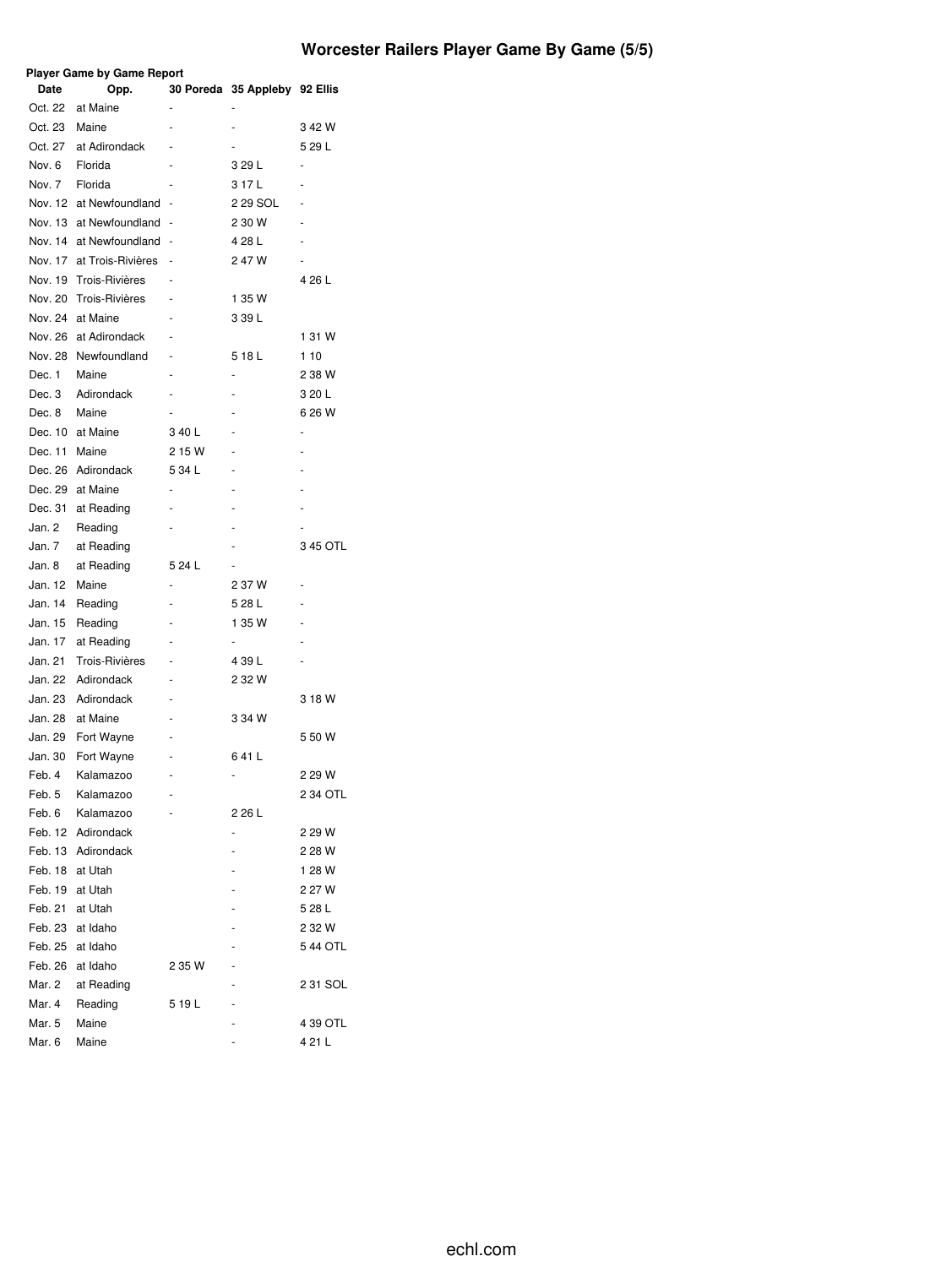## **Worcester Railers Player Game By Game (5/5)**

| <b>Player Game by Game Report</b> |                         |        |                               |                |  |  |  |  |  |
|-----------------------------------|-------------------------|--------|-------------------------------|----------------|--|--|--|--|--|
| Date                              | Opp.                    |        | 30 Poreda 35 Appleby 92 Ellis |                |  |  |  |  |  |
| Oct. 22                           | at Maine                |        |                               |                |  |  |  |  |  |
| Oct. 23                           | Maine                   |        |                               | 342W           |  |  |  |  |  |
| Oct. 27                           | at Adirondack           |        |                               | 529L           |  |  |  |  |  |
| Nov. 6                            | Florida                 |        | 3 29 L                        | ä,             |  |  |  |  |  |
| Nov. 7                            | Florida                 | ÷      | 317L                          | ÷,             |  |  |  |  |  |
|                                   | Nov. 12 at Newfoundland | ÷,     | 2 29 SOL                      |                |  |  |  |  |  |
| Nov. 13                           | at Newfoundland         | ÷,     | 2 30 W                        |                |  |  |  |  |  |
| Nov. 14                           | at Newfoundland         | ÷,     | 4 28 L                        |                |  |  |  |  |  |
| Nov. 17                           | at Trois-Rivières       | ÷,     | 247W                          | ÷,             |  |  |  |  |  |
| Nov. 19                           | <b>Trois-Rivières</b>   | ÷,     |                               | 4 26 L         |  |  |  |  |  |
| Nov. 20                           | <b>Trois-Rivières</b>   | ÷,     | 1 35 W                        |                |  |  |  |  |  |
| Nov. 24                           | at Maine                | ÷,     | 3 39 L                        |                |  |  |  |  |  |
| Nov. 26                           | at Adirondack           |        |                               | 1 31 W         |  |  |  |  |  |
| Nov. 28                           | Newfoundland            | ٠      | 518L                          | 1 10           |  |  |  |  |  |
| Dec. 1                            | Maine                   | ٠      | -                             | 2 38 W         |  |  |  |  |  |
| Dec. 3                            | Adirondack              |        | ٠                             | 3 20 L         |  |  |  |  |  |
| Dec. 8                            | Maine                   |        | ٠                             | 6 26 W         |  |  |  |  |  |
| Dec. 10                           | at Maine                | 340 L  | ٠                             | $\overline{a}$ |  |  |  |  |  |
| Dec. 11                           | Maine                   | 215W   | ۰                             | -              |  |  |  |  |  |
| Dec. 26                           | Adirondack              | 534L   | -                             |                |  |  |  |  |  |
| Dec. 29                           | at Maine                | ÷,     | -                             |                |  |  |  |  |  |
| Dec. 31                           | at Reading              |        | -                             |                |  |  |  |  |  |
| Jan. 2                            | Reading                 |        |                               |                |  |  |  |  |  |
| Jan. 7                            | at Reading              |        |                               | 345 OTL        |  |  |  |  |  |
| Jan. 8                            | at Reading              | 5 24 L |                               |                |  |  |  |  |  |
| Jan. 12                           | Maine                   | -      | 2 37 W                        | $\overline{a}$ |  |  |  |  |  |
| Jan. 14                           | Reading                 |        | 5 28 L                        |                |  |  |  |  |  |
| Jan. 15                           | Reading                 |        | 1 35 W                        |                |  |  |  |  |  |
| Jan. 17                           | at Reading              |        | $\overline{\phantom{0}}$      |                |  |  |  |  |  |
| Jan. 21                           | <b>Trois-Rivières</b>   |        | 4 39 L                        |                |  |  |  |  |  |
| Jan. 22                           | Adirondack              |        | 2 32 W                        |                |  |  |  |  |  |
| Jan. 23                           | Adirondack              |        |                               | 3 18 W         |  |  |  |  |  |
| Jan. 28                           | at Maine                |        | 3 34 W                        |                |  |  |  |  |  |
| Jan. 29                           | Fort Wayne              |        |                               | 5 50 W         |  |  |  |  |  |
| Jan. 30                           | Fort Wayne              | ä,     | 641L                          |                |  |  |  |  |  |
| Feb. 4                            | Kalamazoo               | L,     | ٠                             | 2 29 W         |  |  |  |  |  |
| Feb. 5                            | Kalamazoo               |        |                               | 2 34 OTL       |  |  |  |  |  |
| Feb. 6                            | Kalamazoo               |        | 2 26 L                        |                |  |  |  |  |  |
| Feb. 12                           | Adirondack              |        |                               | 2 29 W         |  |  |  |  |  |
|                                   | Feb. 13 Adirondack      |        | ÷,                            | 2 28 W         |  |  |  |  |  |
| Feb. 18                           | at Utah                 |        |                               | 1 28 W         |  |  |  |  |  |
| Feb. 19                           | at Utah                 |        |                               | 2 27 W         |  |  |  |  |  |
| Feb. 21                           | at Utah                 |        |                               | 5 28 L         |  |  |  |  |  |
| Feb. 23                           | at Idaho                |        |                               | 2 32 W         |  |  |  |  |  |
| Feb. 25                           | at Idaho                |        |                               | 544 OTL        |  |  |  |  |  |
| Feb. 26                           | at Idaho                | 2 35 W |                               |                |  |  |  |  |  |
| Mar. 2                            | at Reading              |        |                               | 2 31 SOL       |  |  |  |  |  |
| Mar. 4                            | Reading                 | 519L   |                               |                |  |  |  |  |  |
| Mar. 5                            | Maine                   |        |                               | 4 39 OTL       |  |  |  |  |  |
| Mar. 6                            | Maine                   |        |                               | 4 21 L         |  |  |  |  |  |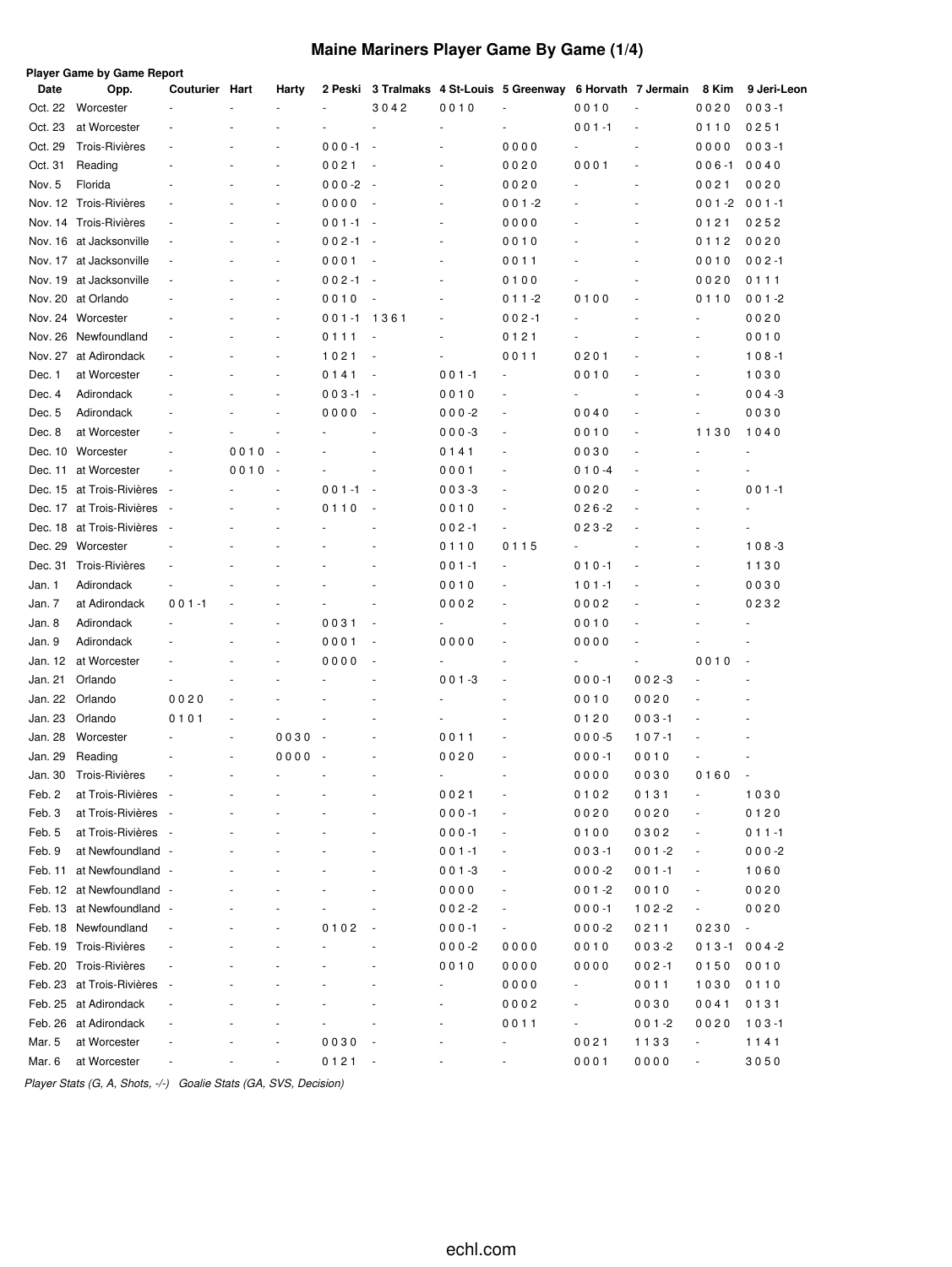## **Maine Mariners Player Game By Game (1/4)**

|         | <b>Player Game by Game Report</b> |                |      |                          |                          |                          |           |                                                      |           |           |                          |                          |
|---------|-----------------------------------|----------------|------|--------------------------|--------------------------|--------------------------|-----------|------------------------------------------------------|-----------|-----------|--------------------------|--------------------------|
| Date    | Opp.                              | Couturier Hart |      | Harty                    | 2 Peski                  |                          |           | 3 Tralmaks 4 St-Louis 5 Greenway 6 Horvath 7 Jermain |           |           | 8 Kim                    | 9 Jeri-Leon              |
| Oct. 22 | Worcester                         |                |      | $\sim$                   |                          | 3042                     | 0010      |                                                      | 0010      | ÷,        | 0020                     | $003 - 1$                |
| Oct. 23 | at Worcester                      |                |      |                          |                          |                          |           |                                                      | $001 - 1$ |           | 0110                     | 0251                     |
| Oct. 29 | Trois-Rivières                    |                |      | ٠                        | $000 - 1$                | $\overline{\phantom{a}}$ |           | 0000                                                 | ä,        | ä,        | 0000                     | $003 - 1$                |
| Oct. 31 | Reading                           |                |      | ٠                        | 0021                     | ÷,                       |           | 0020                                                 | 0001      | ÷,        | $006 - 1$                | 0040                     |
| Nov. 5  | Florida                           |                |      |                          | $000 - 2$                | $\overline{\phantom{a}}$ |           | 0020                                                 |           |           | 0021                     | 0020                     |
|         | Nov. 12 Trois-Rivières            |                |      |                          | 0000                     |                          |           | $001 - 2$                                            |           |           | $001 - 2$                | $001 - 1$                |
|         | Nov. 14 Trois-Rivières            |                |      |                          | $001 - 1$                |                          |           | 0000                                                 |           |           | 0121                     | 0252                     |
|         | Nov. 16 at Jacksonville           |                |      | ÷,                       | $002 - 1$                |                          |           | 0010                                                 |           | ÷,        | 0112                     | 0020                     |
|         | Nov. 17 at Jacksonville           | ٠              |      | $\overline{a}$           | 0001                     |                          |           | 0011                                                 |           | ÷,        | 0010                     | $002 - 1$                |
|         | Nov. 19 at Jacksonville           |                |      | $\overline{a}$           | $002 - 1$                |                          |           | 0100                                                 |           | ÷,        | 0020                     | 0111                     |
|         | Nov. 20 at Orlando                |                |      | ٠                        | 0010                     |                          |           | $011 - 2$                                            | 0100      | ÷,        | 0110                     | $001 - 2$                |
|         | Nov. 24 Worcester                 |                |      | $\overline{a}$           | $001 - 1$                | 1361                     |           | $002 - 1$                                            |           |           | $\overline{\phantom{a}}$ | 0020                     |
|         | Nov. 26 Newfoundland              |                |      | ٠                        | 0111                     | ÷,                       |           | 0121                                                 |           |           | ٠                        | 0010                     |
|         | Nov. 27 at Adirondack             |                |      | ٠                        | 1021                     | ÷,                       |           | 0011                                                 | 0201      |           | $\sim$                   | $108 - 1$                |
| Dec. 1  | at Worcester                      |                |      | ٠                        | 0141                     | ÷,                       | $001 - 1$ |                                                      | 0010      |           | $\blacksquare$           | 1030                     |
| Dec. 4  | Adirondack                        |                |      | ٠                        | $003 - 1$                | $\overline{\phantom{a}}$ | 0010      |                                                      |           | ä,        |                          | $004 - 3$                |
| Dec. 5  | Adirondack                        |                |      |                          | 0000                     | ÷,                       | $000 - 2$ | $\blacksquare$                                       | 0040      |           |                          | 0030                     |
| Dec. 8  | at Worcester                      |                |      |                          |                          |                          | $000 - 3$ | $\sim$                                               | 0010      | ÷         | 1130                     | 1040                     |
|         | Dec. 10 Worcester                 | ÷,             | 0010 | ÷,                       |                          |                          | 0141      | $\sim$                                               | 0030      | ÷,        |                          | $\overline{\phantom{a}}$ |
|         | Dec. 11 at Worcester              | ÷,             | 0010 | $\overline{\phantom{a}}$ |                          |                          | 0001      | $\overline{\phantom{a}}$                             | $010 - 4$ | ٠         |                          | ÷,                       |
|         | Dec. 15 at Trois-Rivières         |                |      | ÷,                       | $001 - 1$                | ÷,                       | $003 - 3$ | $\sim$                                               | 0020      | ÷,        |                          | $001 - 1$                |
|         | Dec. 17 at Trois-Rivières         |                |      |                          | 0110                     |                          | 0010      | ä,                                                   | $026 - 2$ |           |                          |                          |
|         | Dec. 18 at Trois-Rivières         |                |      |                          |                          |                          | $002 - 1$ |                                                      | $023 - 2$ |           |                          |                          |
|         | Dec. 29 Worcester                 |                |      |                          |                          |                          | 0110      | 0115                                                 |           |           |                          | $108 - 3$                |
|         | Dec. 31 Trois-Rivières            |                |      |                          |                          |                          | $001 - 1$ | $\overline{\phantom{a}}$                             | $010 - 1$ |           |                          | 1130                     |
| Jan. 1  | Adirondack                        |                |      |                          |                          |                          | 0010      | $\blacksquare$                                       | $101 - 1$ |           |                          | 0030                     |
| Jan. 7  | at Adirondack                     | $001 - 1$      |      | $\overline{a}$           |                          |                          | 0002      |                                                      | 0002      | ÷,        |                          | 0232                     |
| Jan. 8  | Adirondack                        |                |      | ٠                        | 0031                     | ÷,                       |           | $\blacksquare$                                       | 0010      |           |                          |                          |
| Jan. 9  | Adirondack                        |                |      | ä,                       | 0001                     | ÷,                       | 0000      |                                                      | 0000      |           |                          |                          |
| Jan. 12 | at Worcester                      |                |      |                          | 0000                     | ÷,                       |           | ٠                                                    |           |           | 0010                     | $\overline{\phantom{a}}$ |
| Jan. 21 | Orlando                           |                |      |                          |                          |                          | $001 - 3$ |                                                      | $000 - 1$ | $002 - 3$ |                          |                          |
| Jan. 22 | Orlando                           | 0020           |      |                          |                          |                          |           |                                                      | 0010      | 0020      |                          |                          |
| Jan. 23 | Orlando                           | 0101           |      |                          |                          |                          |           |                                                      | 0120      | $003 - 1$ |                          |                          |
| Jan. 28 | Worcester                         |                |      | 0030                     | $\overline{\phantom{a}}$ |                          | 0011      |                                                      | $000 - 5$ | $107 - 1$ |                          |                          |
| Jan. 29 | Reading                           |                |      | 0000                     |                          |                          | 0020      |                                                      | $000 - 1$ | 0010      |                          |                          |
| Jan. 30 | Trois-Rivières                    |                |      |                          |                          |                          |           |                                                      | 0000      | 0030      | 0160                     |                          |
| Feb. 2  | at Trois-Rivières                 |                |      |                          |                          |                          | 0021      |                                                      | 0102      | 0131      |                          | 1030                     |
| Feb. 3  | at Trois-Rivières                 |                |      |                          |                          |                          | $000 - 1$ |                                                      | 0020      | 0020      |                          | 0120                     |
| Feb. 5  | at Trois-Rivières                 |                |      |                          |                          |                          | $000 - 1$ |                                                      | 0100      | 0302      |                          | $011 - 1$                |
| Feb. 9  | at Newfoundland -                 |                |      |                          |                          |                          | $001 - 1$ |                                                      | $003 - 1$ | $001 - 2$ | $\frac{1}{2}$            | $000 - 2$                |
|         | at Newfoundland -                 |                |      |                          |                          |                          |           |                                                      | $000 -2$  | $001 - 1$ | ÷,                       |                          |
| Feb. 11 |                                   |                |      |                          |                          |                          | $001 - 3$ |                                                      |           |           |                          | 1060                     |
| Feb. 12 | at Newfoundland -                 |                |      |                          |                          |                          | 0000      |                                                      | $001 - 2$ | 0010      | ÷,                       | 0020                     |
| Feb. 13 | at Newfoundland -                 |                |      |                          |                          |                          | $002 - 2$ |                                                      | $000 - 1$ | $102 - 2$ | $\overline{\phantom{a}}$ | 0020                     |
| Feb. 18 | Newfoundland                      |                |      |                          | 0102                     |                          | $000 - 1$ |                                                      | $000 - 2$ | 0211      | 0230                     | $\overline{\phantom{a}}$ |
| Feb. 19 | Trois-Rivières                    |                |      |                          |                          |                          | $000 - 2$ | 0000                                                 | 0010      | $003 - 2$ | $013 - 1$                | $004 - 2$                |
| Feb. 20 | Trois-Rivières                    |                |      |                          |                          |                          | 0010      | 0000                                                 | 0000      | $002 - 1$ | 0150                     | 0010                     |
| Feb. 23 | at Trois-Rivières                 |                |      |                          |                          |                          |           | 0000                                                 |           | 0011      | 1030                     | 0110                     |
| Feb. 25 | at Adirondack                     |                |      |                          |                          |                          |           | 0002                                                 |           | 0030      | 0041                     | 0131                     |
| Feb. 26 | at Adirondack                     |                |      |                          |                          |                          |           | 0011                                                 |           | $001 - 2$ | 0020                     | $103 - 1$                |
| Mar. 5  | at Worcester                      |                |      |                          | 0030                     | ÷,                       |           |                                                      | 0021      | 1133      | $\blacksquare$           | 1141                     |
| Mar. 6  | at Worcester                      |                |      |                          | 0121                     | ÷,                       |           |                                                      | 0001      | 0000      | $\overline{\phantom{a}}$ | 3050                     |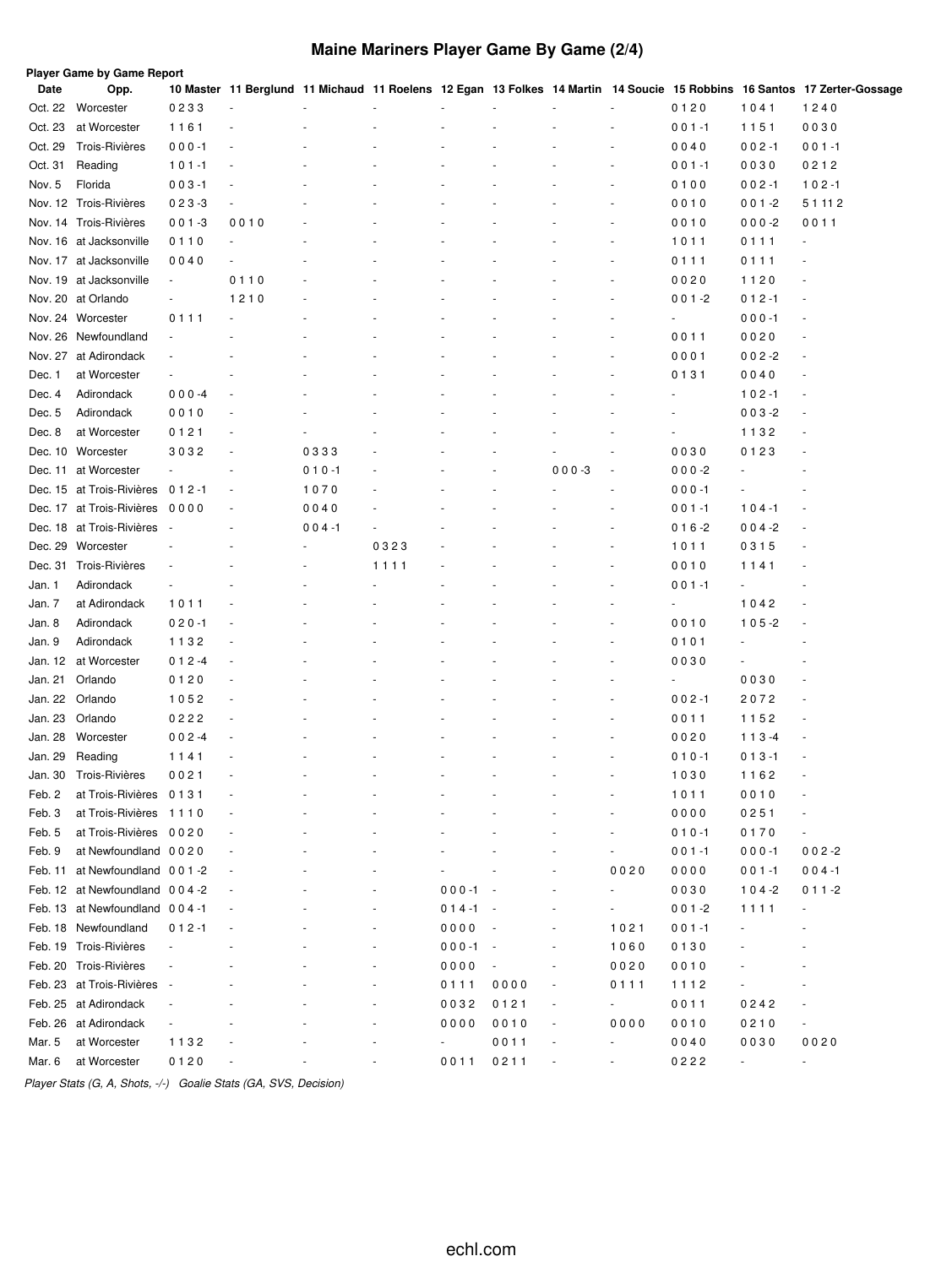# **Maine Mariners Player Game By Game (2/4)**

| Date    | <b>Player Game by Game Report</b><br>Opp. |                          |                          |           |                          |                |                          |                          |                |                          |           | 10 Master 11 Berglund 11 Michaud 11 Roelens 12 Egan 13 Folkes 14 Martin 14 Soucie 15 Robbins 16 Santos 17 Zerter-Gossage |
|---------|-------------------------------------------|--------------------------|--------------------------|-----------|--------------------------|----------------|--------------------------|--------------------------|----------------|--------------------------|-----------|--------------------------------------------------------------------------------------------------------------------------|
|         |                                           | 0233                     | $\overline{\phantom{a}}$ |           |                          |                |                          |                          |                |                          |           |                                                                                                                          |
|         | Oct. 22 Worcester                         |                          |                          |           |                          |                |                          |                          |                | 0120                     | 1041      | 1240                                                                                                                     |
| Oct. 23 | at Worcester                              | 1161                     |                          |           |                          |                |                          |                          |                | $001 - 1$                | 1151      | 0030                                                                                                                     |
| Oct. 29 | Trois-Rivières                            | $000 - 1$                |                          |           |                          |                |                          |                          |                | 0040                     | $002 - 1$ | $001 - 1$                                                                                                                |
| Oct. 31 | Reading                                   | $101 - 1$                |                          |           |                          |                |                          |                          |                | $001 - 1$                | 0030      | 0212                                                                                                                     |
| Nov. 5  | Florida                                   | $003 - 1$                |                          |           |                          |                |                          |                          |                | 0100                     | $002 - 1$ | $102 - 1$                                                                                                                |
|         | Nov. 12 Trois-Rivières                    | $023 - 3$                | $\overline{\phantom{a}}$ |           |                          |                |                          |                          |                | 0010                     | $001 - 2$ | 5 1 1 1 2                                                                                                                |
|         | Nov. 14 Trois-Rivières                    | $001 - 3$                | 0010                     |           |                          |                |                          |                          |                | 0010                     | $000-2$   | 0011                                                                                                                     |
|         | Nov. 16 at Jacksonville                   | 0110                     | $\overline{\phantom{a}}$ |           |                          |                |                          |                          |                | 1011                     | 0111      | $\overline{\phantom{a}}$                                                                                                 |
|         | Nov. 17 at Jacksonville                   | 0040                     |                          |           |                          |                |                          |                          |                | 0111                     | 0111      | $\overline{\phantom{a}}$                                                                                                 |
|         | Nov. 19 at Jacksonville                   | $\overline{\phantom{a}}$ | 0110                     |           |                          |                |                          |                          |                | 0020                     | 1120      | $\overline{\phantom{a}}$                                                                                                 |
|         | Nov. 20 at Orlando                        | $\overline{\phantom{a}}$ | 1210                     |           |                          |                |                          |                          |                | $001 - 2$                | $012 - 1$ | $\overline{\phantom{a}}$                                                                                                 |
|         | Nov. 24 Worcester                         | 0111                     |                          |           |                          |                |                          |                          |                | $\overline{\phantom{a}}$ | $000 - 1$ | $\overline{\phantom{a}}$                                                                                                 |
|         | Nov. 26 Newfoundland                      | $\overline{\phantom{a}}$ |                          |           |                          |                |                          |                          |                | 0011                     | 0020      | $\blacksquare$                                                                                                           |
|         | Nov. 27 at Adirondack                     |                          |                          |           |                          |                |                          |                          |                | 0001                     | $002 - 2$ | $\sim$                                                                                                                   |
| Dec. 1  | at Worcester                              |                          |                          |           |                          |                |                          |                          |                | 0131                     | 0040      | $\sim$                                                                                                                   |
| Dec. 4  | Adirondack                                | $000 -4$                 |                          |           |                          |                |                          |                          |                |                          | $102 - 1$ | $\overline{\phantom{a}}$                                                                                                 |
| Dec. 5  | Adirondack                                | 0010                     |                          |           |                          |                |                          |                          |                |                          | $003 - 2$ | $\overline{\phantom{a}}$                                                                                                 |
| Dec. 8  | at Worcester                              | 0121                     |                          |           |                          |                |                          |                          |                |                          | 1132      | $\overline{\phantom{a}}$                                                                                                 |
| Dec. 10 | Worcester                                 | 3032                     |                          | 0333      |                          |                |                          |                          |                | 0030                     | 0123      |                                                                                                                          |
|         | Dec. 11 at Worcester                      |                          |                          | $010 - 1$ |                          |                |                          | $000-3$                  |                | $000 - 2$                |           |                                                                                                                          |
|         | Dec. 15 at Trois-Rivières                 | $012 - 1$                |                          | 1070      |                          |                |                          |                          |                | $000 - 1$                |           |                                                                                                                          |
|         | Dec. 17 at Trois-Rivières                 | 0000                     |                          | 0040      |                          |                |                          |                          |                | $001 - 1$                | $104 - 1$ |                                                                                                                          |
|         | Dec. 18 at Trois-Rivières                 |                          |                          | $004 - 1$ |                          |                |                          |                          |                | $016 - 2$                | $004 - 2$ |                                                                                                                          |
| Dec. 29 | Worcester                                 |                          |                          |           | 0323                     |                |                          |                          |                | 1011                     | 0315      |                                                                                                                          |
| Dec. 31 | Trois-Rivières                            |                          |                          |           | 1111                     |                |                          |                          |                | 0010                     | 1141      |                                                                                                                          |
| Jan. 1  | Adirondack                                |                          |                          |           |                          |                |                          |                          |                | $001 - 1$                |           |                                                                                                                          |
| Jan. 7  | at Adirondack                             | 1011                     |                          |           |                          |                |                          |                          |                | $\blacksquare$           | 1042      | $\overline{a}$                                                                                                           |
| Jan. 8  | Adirondack                                | $020 - 1$                |                          |           |                          |                |                          |                          |                | 0010                     | $105 - 2$ | $\overline{a}$                                                                                                           |
| Jan. 9  | Adirondack                                | 1132                     |                          |           |                          |                |                          |                          |                | 0101                     |           |                                                                                                                          |
|         | at Worcester                              |                          |                          |           |                          |                |                          |                          |                | 0030                     |           |                                                                                                                          |
| Jan. 12 |                                           | $012 - 4$                |                          |           |                          |                |                          |                          |                | $\sim$                   | 0030      |                                                                                                                          |
| Jan. 21 | Orlando                                   | 0120                     |                          |           |                          |                |                          |                          |                |                          |           |                                                                                                                          |
| Jan. 22 | Orlando                                   | 1052                     |                          |           |                          |                |                          |                          |                | $002 - 1$                | 2072      | $\overline{a}$                                                                                                           |
| Jan. 23 | Orlando                                   | 0222                     |                          |           |                          |                |                          |                          |                | 0011                     | 1152      | $\overline{\phantom{a}}$                                                                                                 |
| Jan. 28 | Worcester                                 | $002 -4$                 |                          |           |                          |                |                          |                          |                | 0020                     | 113-4     |                                                                                                                          |
| Jan. 29 | Reading                                   | 1141                     |                          |           |                          |                |                          |                          |                | $010 - 1$                | $013 - 1$ |                                                                                                                          |
|         | Jan. 30 Trois-Rivières                    | 0021                     |                          |           |                          |                |                          |                          |                | 1030                     | 1162      |                                                                                                                          |
| Feb. 2  | at Trois-Rivières 0131                    |                          |                          |           |                          |                |                          |                          | ä,             | 1011                     | 0010      | ÷,                                                                                                                       |
| Feb. 3  | at Trois-Rivières 1110                    |                          |                          |           |                          |                |                          |                          | ÷,             | 0000                     | 0251      | $\overline{\phantom{a}}$                                                                                                 |
| Feb. 5  | at Trois-Rivières 0020                    |                          |                          |           |                          |                |                          |                          | ä,             | $010 - 1$                | 0170      | $\sim$                                                                                                                   |
| Feb. 9  | at Newfoundland 0020                      |                          |                          |           |                          |                |                          |                          | $\frac{1}{2}$  | $001 - 1$                | $000 - 1$ | $002 - 2$                                                                                                                |
|         | Feb. 11 at Newfoundland 001-2             |                          |                          |           |                          |                |                          |                          | 0020           | 0000                     | $001 - 1$ | $004 - 1$                                                                                                                |
|         | Feb. 12 at Newfoundland 004-2             |                          |                          |           | ÷,                       | $000 - 1$      | $\sim$                   |                          | ٠              | 0030                     | $104 - 2$ | $011 - 2$                                                                                                                |
|         | Feb. 13 at Newfoundland 004-1             |                          |                          |           | $\overline{\phantom{a}}$ | $014-1 -$      |                          | ÷,                       | $\blacksquare$ | $001 - 2$                | 1111      | $\blacksquare$                                                                                                           |
|         | Feb. 18 Newfoundland                      | $012 - 1$                |                          |           | ÷,                       | 0000           | $\sim$                   | $\overline{\phantom{a}}$ | 1021           | $001 - 1$                | ä,        |                                                                                                                          |
|         | Feb. 19 Trois-Rivières                    | $\blacksquare$           |                          |           | ÷,                       | $000-1 -$      |                          | $\overline{\phantom{a}}$ | 1060           | 0130                     |           |                                                                                                                          |
|         | Feb. 20 Trois-Rivières                    |                          |                          |           | $\overline{\phantom{a}}$ | 0000           | $\overline{\phantom{a}}$ | $\overline{\phantom{a}}$ | 0020           | 0010                     |           |                                                                                                                          |
|         | Feb. 23 at Trois-Rivières                 |                          |                          |           | $\overline{\phantom{a}}$ | 0111           | 0000                     | $\blacksquare$           | 0111           | 1112                     |           |                                                                                                                          |
|         | Feb. 25 at Adirondack                     |                          |                          |           |                          | 0032           | 0121                     | ÷                        | $\sim$         | 0011                     | 0242      | $\overline{\phantom{a}}$                                                                                                 |
|         | Feb. 26 at Adirondack                     |                          |                          |           |                          | 0000           | 0010                     | ÷                        | 0000           | 0010                     | 0210      | $\overline{\phantom{a}}$                                                                                                 |
| Mar. 5  | at Worcester                              | 1132                     |                          |           |                          | $\blacksquare$ | 0011                     |                          |                | 0040                     | 0030      | 0020                                                                                                                     |
| Mar. 6  | at Worcester                              | 0120                     |                          |           |                          | 0011           | 0211                     |                          | $\frac{1}{2}$  | 0222                     | $\sim$    | $\blacksquare$                                                                                                           |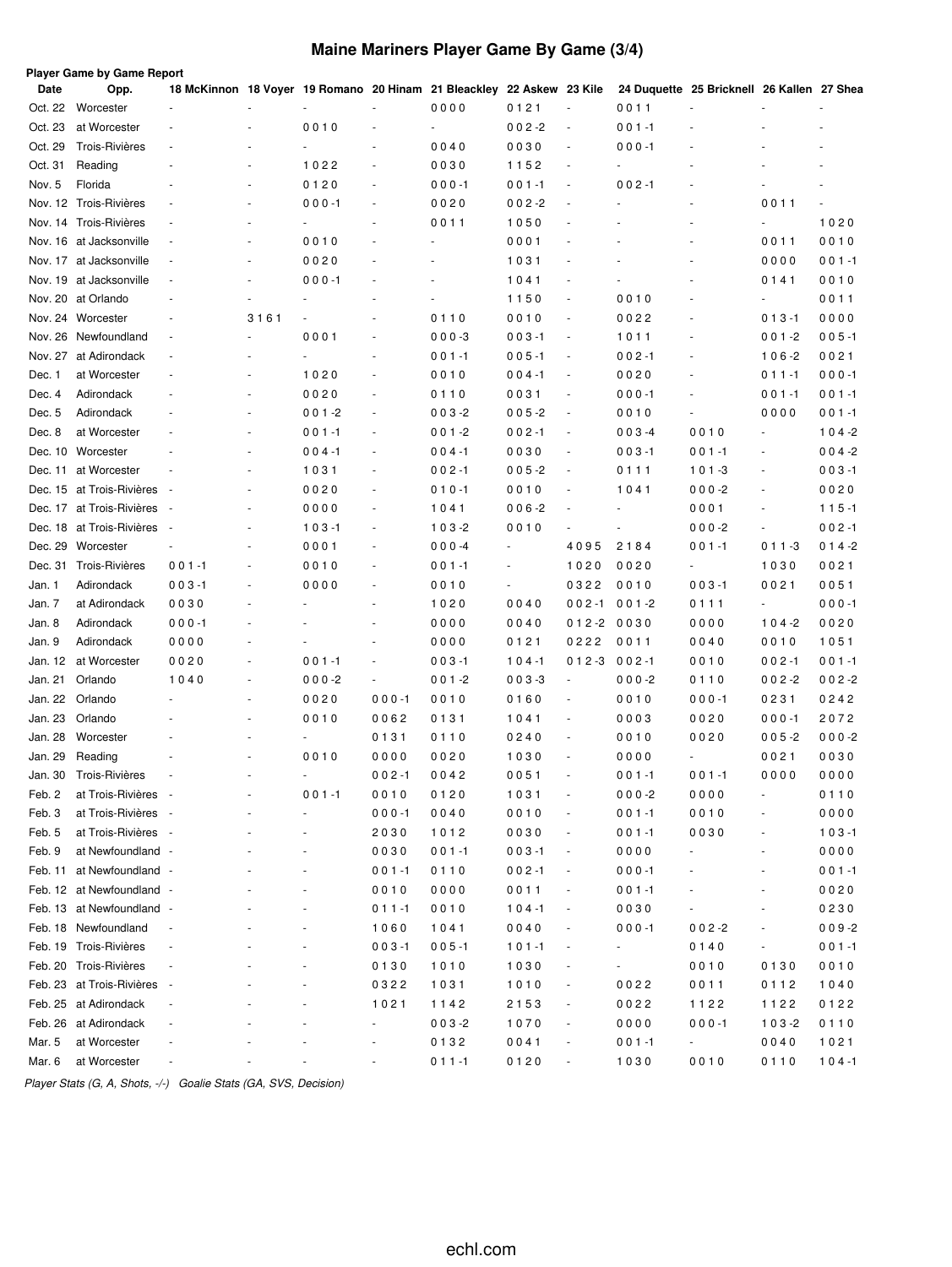# **Maine Mariners Player Game By Game (3/4)**

| Date    | <b>Player Game by Game Report</b><br>Opp. |                          |      |           |           | 18 McKinnon 18 Voyer 19 Romano 20 Hinam 21 Bleackley 22 Askew 23 Kile |                          |                          |                        | 24 Duquette 25 Bricknell 26 Kallen 27 Shea |                              |           |
|---------|-------------------------------------------|--------------------------|------|-----------|-----------|-----------------------------------------------------------------------|--------------------------|--------------------------|------------------------|--------------------------------------------|------------------------------|-----------|
|         | Worcester                                 |                          |      |           |           | 0000                                                                  |                          |                          | 0011                   |                                            |                              |           |
| Oct. 22 |                                           |                          |      |           |           |                                                                       | 0121                     | $\overline{\phantom{a}}$ |                        |                                            |                              |           |
| Oct. 23 | at Worcester                              |                          |      | 0010      |           |                                                                       | $002 - 2$                | $\overline{\phantom{a}}$ | $001 - 1$<br>$000 - 1$ |                                            |                              |           |
| Oct. 29 | Trois-Rivières                            |                          |      |           |           | 0040                                                                  | 0030                     | $\overline{\phantom{a}}$ |                        |                                            |                              |           |
| Oct. 31 | Reading                                   |                          |      | 1022      |           | 0030                                                                  | 1152                     | $\overline{\phantom{a}}$ |                        |                                            |                              |           |
| Nov. 5  | Florida                                   |                          |      | 0120      |           | $000 - 1$                                                             | $001 - 1$                | $\overline{\phantom{a}}$ | $002 - 1$              |                                            |                              |           |
|         | Nov. 12 Trois-Rivières                    |                          |      | $000 - 1$ |           | 0020                                                                  | $002 - 2$                | $\overline{\phantom{a}}$ |                        |                                            | 0011                         |           |
|         | Nov. 14 Trois-Rivières                    |                          |      |           |           | 0011                                                                  | 1050                     |                          |                        |                                            |                              | 1020      |
|         | Nov. 16 at Jacksonville                   |                          |      | 0010      |           |                                                                       | 0001                     |                          |                        |                                            | 0011                         | 0010      |
|         | Nov. 17 at Jacksonville                   |                          |      | 0020      |           |                                                                       | 1031                     |                          |                        |                                            | 0000                         | $001 - 1$ |
|         | Nov. 19 at Jacksonville                   |                          |      | $000 - 1$ |           |                                                                       | 1041                     |                          |                        |                                            | 0141                         | 0010      |
|         | Nov. 20 at Orlando                        |                          |      |           |           |                                                                       | 1150                     | $\overline{\phantom{a}}$ | 0010                   |                                            |                              | 0011      |
|         | Nov. 24 Worcester                         |                          | 3161 |           |           | 0110                                                                  | 0010                     | $\overline{\phantom{a}}$ | 0022                   |                                            | $013 - 1$                    | 0000      |
|         | Nov. 26 Newfoundland                      |                          |      | 0001      |           | $000-3$                                                               | $003 - 1$                |                          | 1011                   |                                            | $001 - 2$                    | $005 - 1$ |
|         | Nov. 27 at Adirondack                     |                          |      |           |           | $001 - 1$                                                             | $005 - 1$                |                          | $002 - 1$              |                                            | $106 - 2$                    | 0021      |
| Dec. 1  | at Worcester                              |                          |      | 1020      |           | 0010                                                                  | $004 - 1$                |                          | 0020                   |                                            | $011 - 1$                    | $000 - 1$ |
| Dec. 4  | Adirondack                                |                          |      | 0020      |           | 0110                                                                  | 0031                     |                          | $000 - 1$              |                                            | $001 - 1$                    | $001 - 1$ |
| Dec. 5  | Adirondack                                |                          |      | $001 - 2$ |           | $003 - 2$                                                             | $005 - 2$                |                          | 0010                   |                                            | 0000                         | $001 - 1$ |
| Dec. 8  | at Worcester                              |                          |      | $001 - 1$ |           | $001 - 2$                                                             | $002 - 1$                | $\overline{\phantom{a}}$ | $003 - 4$              | 0010                                       | $\bar{\phantom{a}}$          | $104 - 2$ |
|         | Dec. 10 Worcester                         |                          |      | $004 - 1$ |           | $004 - 1$                                                             | 0030                     | ÷,                       | $003 - 1$              | $001 - 1$                                  |                              | $004 - 2$ |
| Dec. 11 | at Worcester                              |                          |      | 1031      |           | $002 - 1$                                                             | $005 - 2$                | $\overline{\phantom{a}}$ | 0111                   | $101 - 3$                                  | $\overline{\phantom{a}}$     | $003 - 1$ |
|         | Dec. 15 at Trois-Rivières                 |                          |      | 0020      |           | $010 - 1$                                                             | 0010                     | ÷,                       | 1041                   | $000 - 2$                                  | $\qquad \qquad \blacksquare$ | 0020      |
|         | Dec. 17 at Trois-Rivières                 |                          |      | 0000      |           | 1041                                                                  | $006 - 2$                |                          |                        | 0001                                       | ٠                            | $115 - 1$ |
|         | Dec. 18 at Trois-Rivières                 |                          |      | $103 - 1$ |           | $103 - 2$                                                             | 0010                     |                          |                        | $000-2$                                    | ÷,                           | $002 - 1$ |
|         | Dec. 29 Worcester                         |                          |      | 0001      |           | $000 - 4$                                                             | $\overline{\phantom{a}}$ | 4095                     | 2184                   | $001 - 1$                                  | $011 - 3$                    | $014 - 2$ |
| Dec. 31 | Trois-Rivières                            | 001-1                    |      | 0010      |           | $001 - 1$                                                             |                          | 1020                     | 0020                   |                                            | 1030                         | 0021      |
| Jan. 1  | Adirondack                                | $003 - 1$                |      | 0000      |           | 0010                                                                  |                          | 0322                     | 0010                   | $003 - 1$                                  | 0021                         | 0051      |
| Jan. 7  | at Adirondack                             | 0030                     |      |           |           | 1020                                                                  | 0040                     | $002 - 1$                | $001 - 2$              | 0111                                       | $\sim$                       | $000 - 1$ |
| Jan. 8  | Adirondack                                | 000-1                    |      |           |           | 0000                                                                  | 0040                     | $012 - 2$                | 0030                   | 0000                                       | $104 - 2$                    | 0020      |
| Jan. 9  | Adirondack                                | 0000                     |      |           |           | 0000                                                                  | 0121                     | 0222                     | 0011                   | 0040                                       | 0010                         | 1051      |
| Jan. 12 | at Worcester                              | 0020                     |      | $001 - 1$ |           | $003 - 1$                                                             | $104 - 1$                | $012 - 3$                | $002 - 1$              | 0010                                       | $002 - 1$                    | $001 - 1$ |
| Jan. 21 | Orlando                                   | 1040                     |      | $000 - 2$ |           | $001 - 2$                                                             | $003 - 3$                | $\overline{\phantom{a}}$ | $000 - 2$              | 0110                                       | $002 - 2$                    | $002 - 2$ |
|         | Jan. 22 Orlando                           |                          |      | 0020      | $000 - 1$ | 0010                                                                  | 0160                     | $\overline{\phantom{a}}$ | 0010                   | $000 - 1$                                  | 0231                         | 0242      |
| Jan. 23 | Orlando                                   |                          |      | 0010      | 0062      | 0131                                                                  | 1041                     | $\sim$                   | 0003                   | 0020                                       | 000-1                        | 2072      |
| Jan. 28 | Worcester                                 |                          |      |           | 0131      | 0110                                                                  | 0240                     | $\overline{\phantom{a}}$ | 0010                   | 0020                                       | 005-2                        | $000 - 2$ |
| Jan. 29 | Reading                                   |                          |      | 0010      | 0000      | 0020                                                                  | 1030                     |                          | 0000                   |                                            | 0021                         | 0030      |
|         | Jan. 30 Trois-Rivières                    |                          |      |           | $002 - 1$ | 0042                                                                  | 0051                     |                          | $001 - 1$              | $001 - 1$                                  | 0000                         | 0000      |
| Feb. 2  | at Trois-Rivières                         |                          |      | $001 - 1$ | 0010      | 0120                                                                  | 1031                     |                          | $000 - 2$              | 0000                                       |                              | 0110      |
| Feb. 3  | at Trois-Rivières                         |                          |      |           | $000 - 1$ | 0040                                                                  | 0010                     |                          | $001 - 1$              | 0010                                       |                              | 0000      |
| Feb. 5  | at Trois-Rivières                         |                          |      |           | 2030      | 1012                                                                  | 0030                     | $\overline{\phantom{a}}$ | $001 - 1$              | 0030                                       |                              | $103 - 1$ |
| Feb. 9  | at Newfoundland -                         |                          |      |           | 0030      | $001 - 1$                                                             | $003 - 1$                | $\overline{\phantom{a}}$ | 0000                   |                                            |                              | 0000      |
| Feb. 11 | at Newfoundland -                         |                          |      |           | $001 - 1$ | 0110                                                                  | $002 - 1$                | $\overline{\phantom{a}}$ | $000 - 1$              |                                            |                              | $001 - 1$ |
|         | Feb. 12 at Newfoundland -                 |                          |      |           | 0010      | 0000                                                                  | 0011                     | $\overline{\phantom{a}}$ | $001 - 1$              |                                            |                              | 0020      |
|         | Feb. 13 at Newfoundland -                 |                          |      |           | $011 - 1$ | 0010                                                                  | $104 - 1$                | $\blacksquare$           | 0030                   |                                            |                              | 0230      |
|         | Feb. 18 Newfoundland                      |                          |      |           | 1060      | 1041                                                                  | 0040                     | $\overline{\phantom{a}}$ | $000 - 1$              | $002 - 2$                                  |                              | $009 - 2$ |
|         | Feb. 19 Trois-Rivières                    |                          |      |           | $003 - 1$ | $005 - 1$                                                             | $101 - 1$                | $\overline{\phantom{a}}$ |                        | 0140                                       |                              | $001 - 1$ |
|         | Feb. 20 Trois-Rivières                    |                          |      |           | 0130      | 1010                                                                  | 1030                     | $\overline{\phantom{a}}$ |                        | 0010                                       | 0130                         | 0010      |
|         | Feb. 23 at Trois-Rivières                 | $\overline{\phantom{a}}$ |      |           | 0322      | 1031                                                                  | 1010                     | $\overline{\phantom{a}}$ | 0022                   | 0011                                       | 0112                         | 1040      |
|         | Feb. 25 at Adirondack                     |                          |      |           | 1021      | 1142                                                                  | 2153                     | $\overline{\phantom{a}}$ | 0022                   | 1122                                       | 1122                         | 0122      |
|         | Feb. 26 at Adirondack                     |                          |      |           |           | $003 - 2$                                                             | 1070                     | $\overline{\phantom{a}}$ | 0000                   | $000 - 1$                                  | $103 - 2$                    | 0110      |
| Mar. 5  | at Worcester                              |                          |      |           |           | 0132                                                                  | 0041                     |                          | $001 - 1$              | $\blacksquare$                             | 0040                         | 1021      |
| Mar. 6  | at Worcester                              |                          |      |           |           | $011 - 1$                                                             | 0120                     |                          | 1030                   | 0010                                       | 0110                         | $104 - 1$ |
|         |                                           |                          |      |           |           |                                                                       |                          |                          |                        |                                            |                              |           |